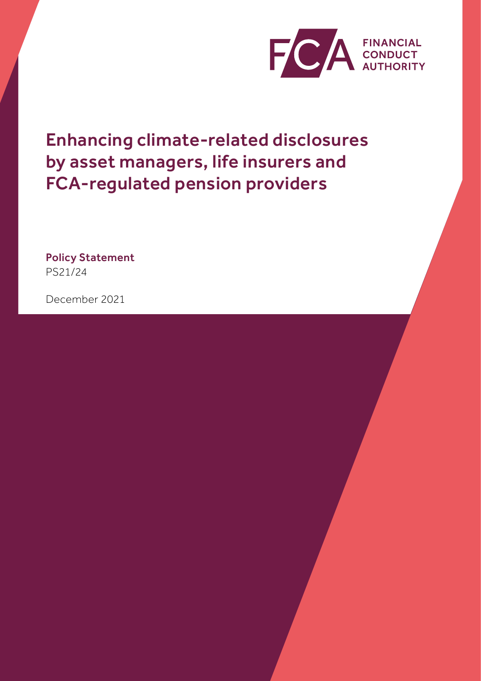

Enhancing climate-related disclosures by asset managers, life insurers and FCA-regulated pension providers

Policy Statement PS21/24

December 2021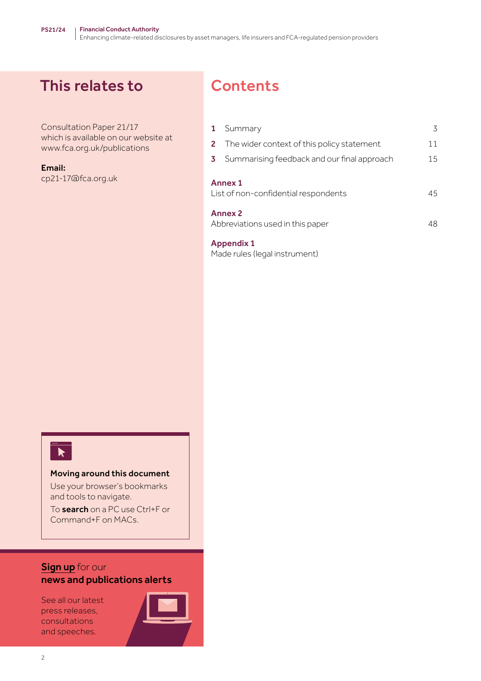# This relates to

Consultation Paper 21/17 which is available on our website at www.fca.org.uk/publications

Email:

cp21-17@fca.org.uk

# **Contents**

| $\mathbf{1}$                                           | Summary                                              | 3  |
|--------------------------------------------------------|------------------------------------------------------|----|
|                                                        | <b>2</b> The wider context of this policy statement  | 11 |
|                                                        | <b>3</b> Summarising feedback and our final approach | 15 |
| <b>Annex 1</b><br>List of non-confidential respondents |                                                      | 45 |
| <b>Annex 2</b><br>Abbreviations used in this paper     |                                                      | 48 |

[Appendix 1](#page-49-0)  [Made rules \(legal instrument\)](#page-49-0)



## Moving around this document

Use your browser's bookmarks and tools to navigate.

To search on a PC use Ctrl+F or Command+F on MACs.

# [Sign up](https://www.fca.org.uk/news-and-publications-email-alerts?doc=#utm_source=signup&utm_medium=document&utm_campaign=newsandpubs) for our news and publications alerts

See all our latest press releases, consultations and speeches.

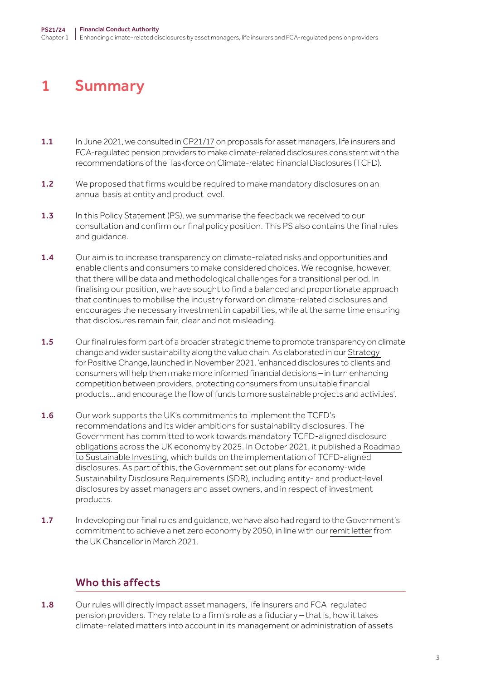# <span id="page-2-0"></span>1 Summary

- 1.1 In June 2021, we consulted in [CP21/17](https://www.fca.org.uk/publication/consultation/cp21-17.pdf) on proposals for asset managers, life insurers and FCA-regulated pension providers to make climate-related disclosures consistent with the recommendations of the Taskforce on Climate-related Financial Disclosures (TCFD).
- 1.2 We proposed that firms would be required to make mandatory disclosures on an annual basis at entity and product level.
- 1.3 In this Policy Statement (PS), we summarise the feedback we received to our consultation and confirm our final policy position. This PS also contains the final rules and guidance.
- 1.4 Our aim is to increase transparency on climate-related risks and opportunities and enable clients and consumers to make considered choices. We recognise, however, that there will be data and methodological challenges for a transitional period. In finalising our position, we have sought to find a balanced and proportionate approach that continues to mobilise the industry forward on climate-related disclosures and encourages the necessary investment in capabilities, while at the same time ensuring that disclosures remain fair, clear and not misleading.
- 1.5 Our final rules form part of a broader strategic theme to promote transparency on climate change and wider sustainability along the value chain. As elaborated in our [Strategy](https://www.fca.org.uk/publications/corporate-documents/strategy-positive-change-our-esg-priorities)  [for Positive Change,](https://www.fca.org.uk/publications/corporate-documents/strategy-positive-change-our-esg-priorities) launched in November 2021, 'enhanced disclosures to clients and consumers will help them make more informed financial decisions – in turn enhancing competition between providers, protecting consumers from unsuitable financial products… and encourage the flow of funds to more sustainable projects and activities'.
- 1.6 Our work supports the UK's commitments to implement the TCFD's recommendations and its wider ambitions for sustainability disclosures. The Government has committed to work towards [mandatory TCFD-aligned disclosure](https://assets.publishing.service.gov.uk/government/uploads/system/uploads/attachment_data/file/933783/FINAL_TCFD_ROADMAP.pdf)  [obligations](https://assets.publishing.service.gov.uk/government/uploads/system/uploads/attachment_data/file/933783/FINAL_TCFD_ROADMAP.pdf) across the UK economy by 2025. In October 2021, it published a [Roadmap](https://assets.publishing.service.gov.uk/government/uploads/system/uploads/attachment_data/file/1026224/CCS0821102722-006_Green_Finance_Paper_2021_v5_Bookmarked_48PP.pdf)  [to Sustainable Investing,](https://assets.publishing.service.gov.uk/government/uploads/system/uploads/attachment_data/file/1026224/CCS0821102722-006_Green_Finance_Paper_2021_v5_Bookmarked_48PP.pdf) which builds on the implementation of TCFD-aligned disclosures. As part of this, the Government set out plans for economy-wide Sustainability Disclosure Requirements (SDR), including entity- and product-level disclosures by asset managers and asset owners, and in respect of investment products.
- 1.7 In developing our final rules and quidance, we have also had regard to the Government's commitment to achieve a net zero economy by 2050, in line with our [remit letter](https://assets.publishing.service.gov.uk/government/uploads/system/uploads/attachment_data/file/972445/CX_Letter_-_FCA_Remit_230321.pdf) from the UK Chancellor in March 2021.

# Who this affects

1.8 Our rules will directly impact asset managers, life insurers and FCA-regulated pension providers. They relate to a firm's role as a fiduciary – that is, how it takes climate-related matters into account in its management or administration of assets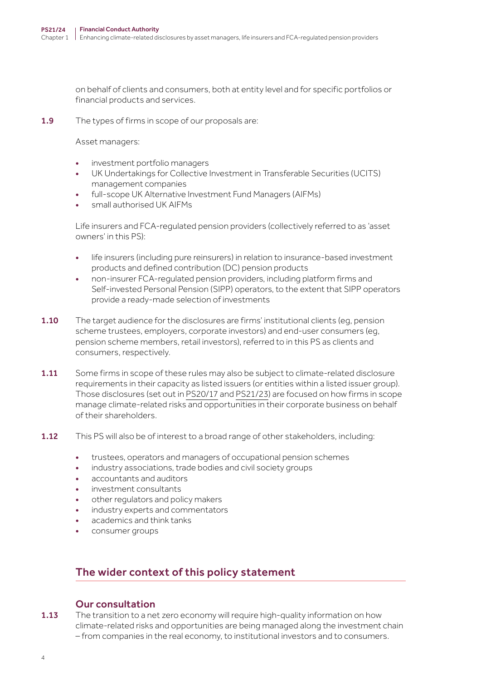on behalf of clients and consumers, both at entity level and for specific portfolios or financial products and services.

1.9 The types of firms in scope of our proposals are:

Asset managers:

- investment portfolio managers
- UK Undertakings for Collective Investment in Transferable Securities (UCITS) management companies
- full-scope UK Alternative Investment Fund Managers (AIFMs)
- small authorised UK AIFMs

Life insurers and FCA-regulated pension providers (collectively referred to as 'asset owners' in this PS):

- life insurers (including pure reinsurers) in relation to insurance-based investment products and defined contribution (DC) pension products
- non-insurer FCA-regulated pension providers, including platform firms and Self-invested Personal Pension (SIPP) operators, to the extent that SIPP operators provide a ready-made selection of investments
- **1.10** The target audience for the disclosures are firms' institutional clients (eg, pension scheme trustees, employers, corporate investors) and end-user consumers (eg, pension scheme members, retail investors), referred to in this PS as clients and consumers, respectively.
- 1.11 Some firms in scope of these rules may also be subject to climate-related disclosure requirements in their capacity as listed issuers (or entities within a listed issuer group). Those disclosures (set out in [PS20/17](https://www.fca.org.uk/publication/policy/ps20-17.pdf) and [PS21/23](https://www.fca.org.uk/publication/policy/ps21-23.pdf)) are focused on how firms in scope manage climate-related risks and opportunities in their corporate business on behalf of their shareholders.
- 1.12 This PS will also be of interest to a broad range of other stakeholders, including:
	- trustees, operators and managers of occupational pension schemes
	- industry associations, trade bodies and civil society groups
	- accountants and auditors
	- investment consultants
	- other regulators and policy makers
	- industry experts and commentators
	- academics and think tanks
	- consumer groups

# The wider context of this policy statement

## Our consultation

1.13 The transition to a net zero economy will require high-quality information on how climate-related risks and opportunities are being managed along the investment chain – from companies in the real economy, to institutional investors and to consumers.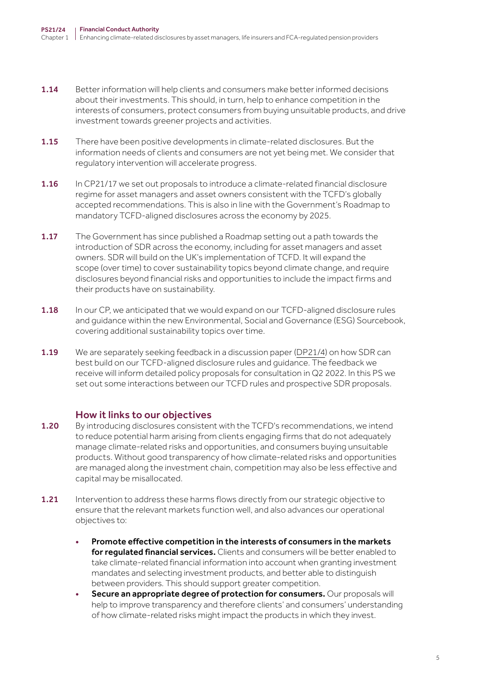- 1.14 Better information will help clients and consumers make better informed decisions about their investments. This should, in turn, help to enhance competition in the interests of consumers, protect consumers from buying unsuitable products, and drive investment towards greener projects and activities.
- 1.15 There have been positive developments in climate-related disclosures. But the information needs of clients and consumers are not yet being met. We consider that regulatory intervention will accelerate progress.
- 1.16 In CP21/17 we set out proposals to introduce a climate-related financial disclosure regime for asset managers and asset owners consistent with the TCFD's globally accepted recommendations. This is also in line with the Government's Roadmap to mandatory TCFD-aligned disclosures across the economy by 2025.
- 1.17 The Government has since published a Roadmap setting out a path towards the introduction of SDR across the economy, including for asset managers and asset owners. SDR will build on the UK's implementation of TCFD. It will expand the scope (over time) to cover sustainability topics beyond climate change, and require disclosures beyond financial risks and opportunities to include the impact firms and their products have on sustainability.
- 1.18 In our CP, we anticipated that we would expand on our TCFD-aligned disclosure rules and guidance within the new Environmental, Social and Governance (ESG) Sourcebook, covering additional sustainability topics over time.
- 1.19 We are separately seeking feedback in a discussion paper [\(DP21/4](https://www.fca.org.uk/publication/discussion/dp21-4.pdf)) on how SDR can best build on our TCFD-aligned disclosure rules and guidance. The feedback we receive will inform detailed policy proposals for consultation in Q2 2022. In this PS we set out some interactions between our TCFD rules and prospective SDR proposals.

## How it links to our objectives

- 1.20 By introducing disclosures consistent with the TCFD's recommendations, we intend to reduce potential harm arising from clients engaging firms that do not adequately manage climate-related risks and opportunities, and consumers buying unsuitable products. Without good transparency of how climate-related risks and opportunities are managed along the investment chain, competition may also be less effective and capital may be misallocated.
- 1.21 Intervention to address these harms flows directly from our strategic objective to ensure that the relevant markets function well, and also advances our operational objectives to:
	- Promote effective competition in the interests of consumers in the markets for requlated financial services. Clients and consumers will be better enabled to take climate-related financial information into account when granting investment mandates and selecting investment products, and better able to distinguish between providers. This should support greater competition.
	- Secure an appropriate degree of protection for consumers. Our proposals will help to improve transparency and therefore clients' and consumers' understanding of how climate-related risks might impact the products in which they invest.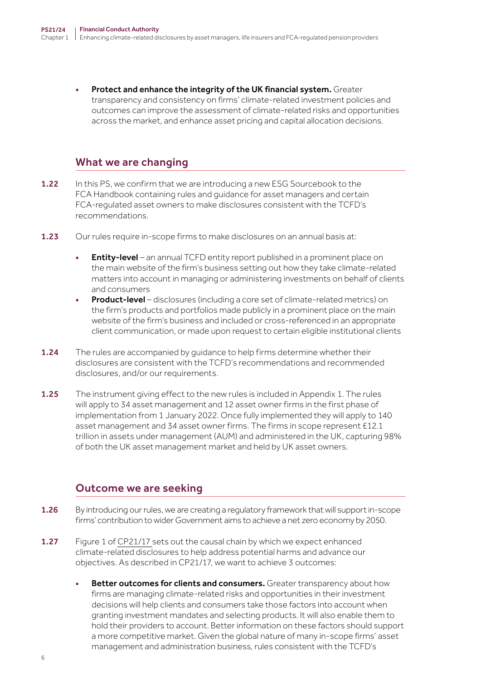Protect and enhance the integrity of the UK financial system. Greater transparency and consistency on firms' climate-related investment policies and outcomes can improve the assessment of climate-related risks and opportunities across the market, and enhance asset pricing and capital allocation decisions.

# What we are changing

- 1.22 In this PS, we confirm that we are introducing a new ESG Sourcebook to the FCA Handbook containing rules and guidance for asset managers and certain FCA-regulated asset owners to make disclosures consistent with the TCFD's recommendations.
- 1.23 Our rules require in-scope firms to make disclosures on an annual basis at:
	- **Entity-level** an annual TCFD entity report published in a prominent place on the main website of the firm's business setting out how they take climate-related matters into account in managing or administering investments on behalf of clients and consumers
	- Product-level disclosures (including a core set of climate-related metrics) on the firm's products and portfolios made publicly in a prominent place on the main website of the firm's business and included or cross-referenced in an appropriate client communication, or made upon request to certain eligible institutional clients
- 1.24 The rules are accompanied by quidance to help firms determine whether their disclosures are consistent with the TCFD's recommendations and recommended disclosures, and/or our requirements.
- 1.25 The instrument giving effect to the new rules is included in Appendix 1. The rules will apply to 34 asset management and 12 asset owner firms in the first phase of implementation from 1 January 2022. Once fully implemented they will apply to 140 asset management and 34 asset owner firms. The firms in scope represent £12.1 trillion in assets under management (AUM) and administered in the UK, capturing 98% of both the UK asset management market and held by UK asset owners.

# Outcome we are seeking

- 1.26 By introducing our rules, we are creating a regulatory framework that will support in-scope firms' contribution to wider Government aims to achieve a net zero economy by 2050.
- 1.27 Figure 1 of [CP21/17](https://www.fca.org.uk/publication/consultation/cp21-17.pdf) sets out the causal chain by which we expect enhanced climate-related disclosures to help address potential harms and advance our objectives. As described in CP21/17, we want to achieve 3 outcomes:
	- Better outcomes for clients and consumers. Greater transparency about how firms are managing climate-related risks and opportunities in their investment decisions will help clients and consumers take those factors into account when granting investment mandates and selecting products. It will also enable them to hold their providers to account. Better information on these factors should support a more competitive market. Given the global nature of many in-scope firms' asset management and administration business, rules consistent with the TCFD's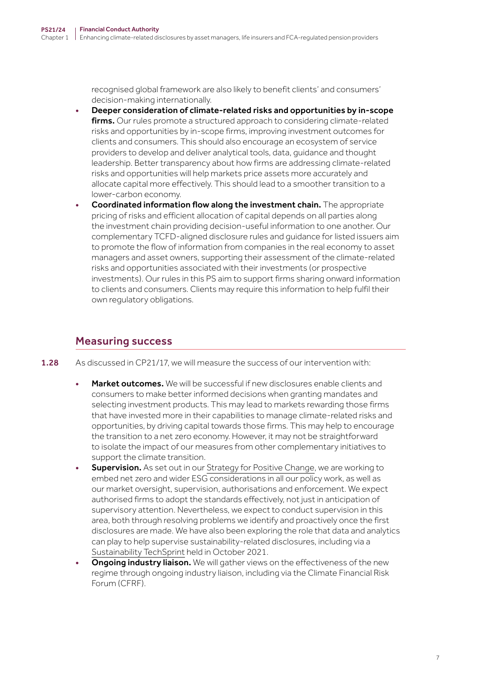recognised global framework are also likely to benefit clients' and consumers' decision-making internationally.

- Deeper consideration of climate-related risks and opportunities by in-scope firms. Our rules promote a structured approach to considering climate-related risks and opportunities by in-scope firms, improving investment outcomes for clients and consumers. This should also encourage an ecosystem of service providers to develop and deliver analytical tools, data, guidance and thought leadership. Better transparency about how firms are addressing climate-related risks and opportunities will help markets price assets more accurately and allocate capital more effectively. This should lead to a smoother transition to a lower-carbon economy.
- Coordinated information flow along the investment chain. The appropriate pricing of risks and efficient allocation of capital depends on all parties along the investment chain providing decision-useful information to one another. Our complementary TCFD-aligned disclosure rules and guidance for listed issuers aim to promote the flow of information from companies in the real economy to asset managers and asset owners, supporting their assessment of the climate-related risks and opportunities associated with their investments (or prospective investments). Our rules in this PS aim to support firms sharing onward information to clients and consumers. Clients may require this information to help fulfil their own regulatory obligations.

# Measuring success

- 1.28 As discussed in CP21/17, we will measure the success of our intervention with:
	- Market outcomes. We will be successful if new disclosures enable clients and consumers to make better informed decisions when granting mandates and selecting investment products. This may lead to markets rewarding those firms that have invested more in their capabilities to manage climate-related risks and opportunities, by driving capital towards those firms. This may help to encourage the transition to a net zero economy. However, it may not be straightforward to isolate the impact of our measures from other complementary initiatives to support the climate transition.
	- **Supervision.** As set out in our [Strategy for Positive Change](https://www.fca.org.uk/publications/corporate-documents/strategy-positive-change-our-esg-priorities), we are working to embed net zero and wider ESG considerations in all our policy work, as well as our market oversight, supervision, authorisations and enforcement. We expect authorised firms to adopt the standards effectively, not just in anticipation of supervisory attention. Nevertheless, we expect to conduct supervision in this area, both through resolving problems we identify and proactively once the first disclosures are made. We have also been exploring the role that data and analytics can play to help supervise sustainability-related disclosures, including via a [Sustainability TechSprint](https://www.fca.org.uk/firms/innovation/regtech/techsprints) held in October 2021.
	- **Ongoing industry liaison.** We will gather views on the effectiveness of the new regime through ongoing industry liaison, including via the Climate Financial Risk Forum (CFRF).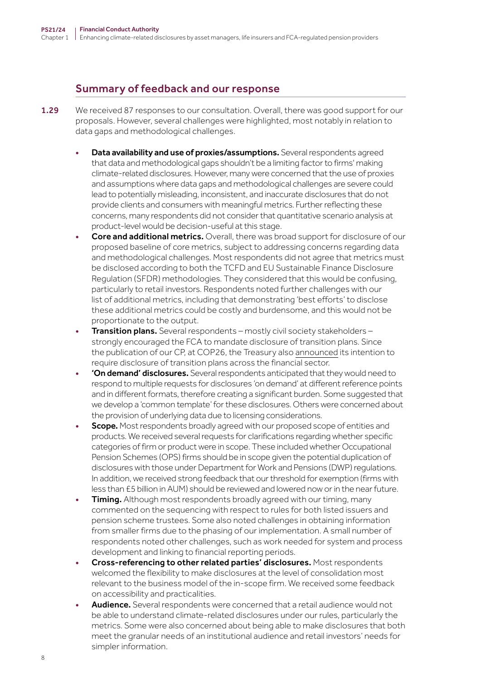# Summary of feedback and our response

- 1.29 We received 87 responses to our consultation. Overall, there was good support for our proposals. However, several challenges were highlighted, most notably in relation to data gaps and methodological challenges.
	- Data availability and use of proxies/assumptions. Several respondents agreed that data and methodological gaps shouldn't be a limiting factor to firms' making climate-related disclosures. However, many were concerned that the use of proxies and assumptions where data gaps and methodological challenges are severe could lead to potentially misleading, inconsistent, and inaccurate disclosures that do not provide clients and consumers with meaningful metrics. Further reflecting these concerns, many respondents did not consider that quantitative scenario analysis at product-level would be decision-useful at this stage.
	- Core and additional metrics. Overall, there was broad support for disclosure of our proposed baseline of core metrics, subject to addressing concerns regarding data and methodological challenges. Most respondents did not agree that metrics must be disclosed according to both the TCFD and EU Sustainable Finance Disclosure Regulation (SFDR) methodologies. They considered that this would be confusing, particularly to retail investors. Respondents noted further challenges with our list of additional metrics, including that demonstrating 'best efforts' to disclose these additional metrics could be costly and burdensome, and this would not be proportionate to the output.
	- Transition plans. Several respondents mostly civil society stakeholders strongly encouraged the FCA to mandate disclosure of transition plans. Since the publication of our CP, at COP26, the Treasury also [announced](https://www.gov.uk/government/publications/fact-sheet-net-zero-aligned-financial-centre/fact-sheet-net-zero-aligned-financial-centre) its intention to require disclosure of transition plans across the financial sector.
	- 'On demand' disclosures. Several respondents anticipated that they would need to respond to multiple requests for disclosures 'on demand' at different reference points and in different formats, therefore creating a significant burden. Some suggested that we develop a 'common template' for these disclosures. Others were concerned about the provision of underlying data due to licensing considerations.
	- **Scope.** Most respondents broadly agreed with our proposed scope of entities and products. We received several requests for clarifications regarding whether specific categories of firm or product were in scope. These included whether Occupational Pension Schemes (OPS) firms should be in scope given the potential duplication of disclosures with those under Department for Work and Pensions (DWP) regulations. In addition, we received strong feedback that our threshold for exemption (firms with less than £5 billion in AUM) should be reviewed and lowered now or in the near future.
	- **Timing.** Although most respondents broadly agreed with our timing, many commented on the sequencing with respect to rules for both listed issuers and pension scheme trustees. Some also noted challenges in obtaining information from smaller firms due to the phasing of our implementation. A small number of respondents noted other challenges, such as work needed for system and process development and linking to financial reporting periods.
	- Cross-referencing to other related parties' disclosures. Most respondents welcomed the flexibility to make disclosures at the level of consolidation most relevant to the business model of the in-scope firm. We received some feedback on accessibility and practicalities.
	- Audience. Several respondents were concerned that a retail audience would not be able to understand climate-related disclosures under our rules, particularly the metrics. Some were also concerned about being able to make disclosures that both meet the granular needs of an institutional audience and retail investors' needs for simpler information.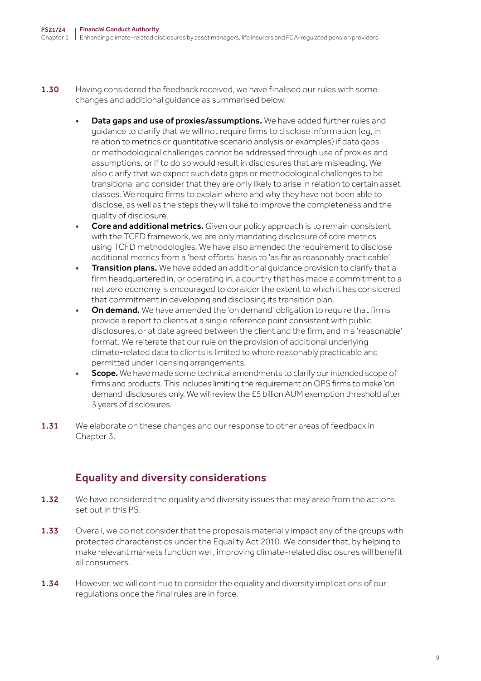- 1.30 Having considered the feedback received, we have finalised our rules with some changes and additional guidance as summarised below.
	- Data gaps and use of proxies/assumptions. We have added further rules and guidance to clarify that we will not require firms to disclose information (eg, in relation to metrics or quantitative scenario analysis or examples) if data gaps or methodological challenges cannot be addressed through use of proxies and assumptions, or if to do so would result in disclosures that are misleading. We also clarify that we expect such data gaps or methodological challenges to be transitional and consider that they are only likely to arise in relation to certain asset classes. We require firms to explain where and why they have not been able to disclose, as well as the steps they will take to improve the completeness and the quality of disclosure.
	- Core and additional metrics. Given our policy approach is to remain consistent with the TCFD framework, we are only mandating disclosure of core metrics using TCFD methodologies. We have also amended the requirement to disclose additional metrics from a 'best efforts' basis to 'as far as reasonably practicable'.
	- **Transition plans.** We have added an additional quidance provision to clarify that a firm headquartered in, or operating in, a country that has made a commitment to a net zero economy is encouraged to consider the extent to which it has considered that commitment in developing and disclosing its transition plan.
	- On demand. We have amended the 'on demand' obligation to require that firms provide a report to clients at a single reference point consistent with public disclosures, or at date agreed between the client and the firm, and in a 'reasonable' format. We reiterate that our rule on the provision of additional underlying climate-related data to clients is limited to where reasonably practicable and permitted under licensing arrangements.
	- **Scope.** We have made some technical amendments to clarify our intended scope of firms and products. This includes limiting the requirement on OPS firms to make 'on demand' disclosures only. We will review the £5 billion AUM exemption threshold after 3 years of disclosures.
- 1.31 We elaborate on these changes and our response to other areas of feedback in Chapter 3.

# Equality and diversity considerations

- 1.32 We have considered the equality and diversity issues that may arise from the actions set out in this PS.
- 1.33 Overall, we do not consider that the proposals materially impact any of the groups with protected characteristics under the Equality Act 2010. We consider that, by helping to make relevant markets function well, improving climate-related disclosures will benefit all consumers.
- 1.34 However, we will continue to consider the equality and diversity implications of our regulations once the final rules are in force.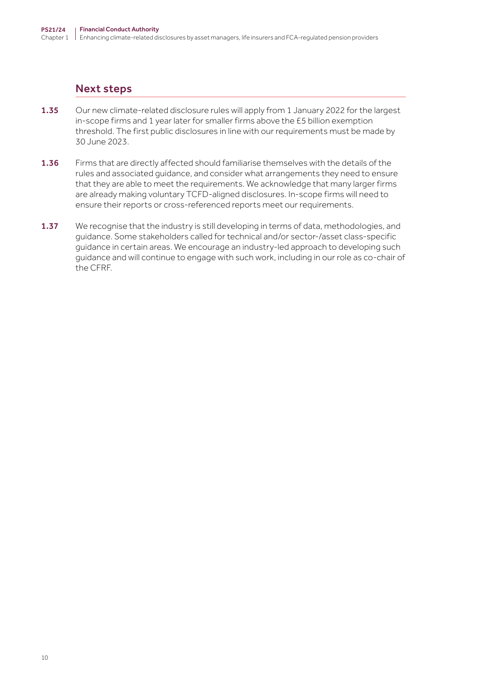# Next steps

- 1.35 Our new climate-related disclosure rules will apply from 1 January 2022 for the largest in-scope firms and 1 year later for smaller firms above the £5 billion exemption threshold. The first public disclosures in line with our requirements must be made by 30 June 2023.
- 1.36 Firms that are directly affected should familiarise themselves with the details of the rules and associated guidance, and consider what arrangements they need to ensure that they are able to meet the requirements. We acknowledge that many larger firms are already making voluntary TCFD-aligned disclosures. In-scope firms will need to ensure their reports or cross-referenced reports meet our requirements.
- 1.37 We recognise that the industry is still developing in terms of data, methodologies, and guidance. Some stakeholders called for technical and/or sector-/asset class-specific guidance in certain areas. We encourage an industry-led approach to developing such guidance and will continue to engage with such work, including in our role as co-chair of the CFRF.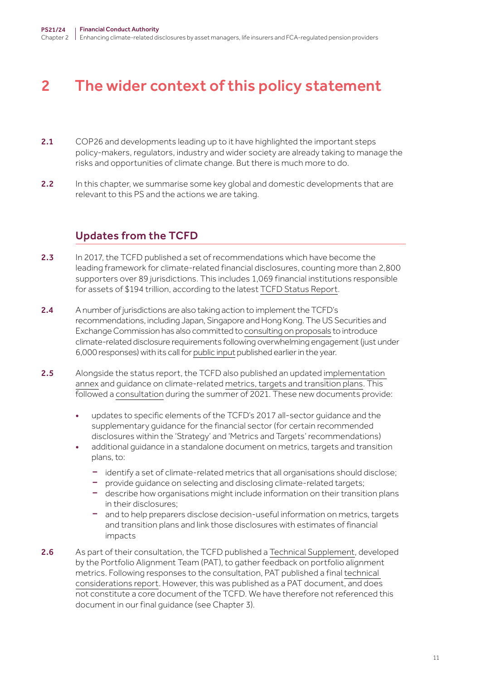# <span id="page-10-0"></span>2 The wider context of this policy statement

- 2.1 COP26 and developments leading up to it have highlighted the important steps policy-makers, regulators, industry and wider society are already taking to manage the risks and opportunities of climate change. But there is much more to do.
- 2.2 In this chapter, we summarise some key global and domestic developments that are relevant to this PS and the actions we are taking.

# Updates from the TCFD

- 2.3 In 2017, the TCFD published a set of recommendations which have become the leading framework for climate-related financial disclosures, counting more than 2,800 supporters over 89 jurisdictions. This includes 1,069 financial institutions responsible for assets of \$194 trillion, according to the latest [TCFD Status Report](https://www.fsb.org/wp-content/uploads/P141021-1.pdf).
- 2.4 A number of jurisdictions are also taking action to implement the TCFD's recommendations, including Japan, Singapore and Hong Kong. The US Securities and Exchange Commission has also committed to [consulting on proposals](https://www.sec.gov/news/testimony/gensler-2021-09-14) to introduce climate-related disclosure requirements following overwhelming engagement (just under 6,000 responses) with its call for [public input](https://www.sec.gov/news/public-statement/lee-climate-change-disclosures) published earlier in the year.
- 2.5 Alongside the status report, the TCFD also published an updated implementation [annex](https://assets.bbhub.io/company/sites/60/2021/07/2021-TCFD-Implementing_Guidance.pdf) and guidance on climate-related [metrics, targets and transition plans](https://assets.bbhub.io/company/sites/60/2021/07/2021-Metrics_Targets_Guidance-1.pdf). This followed a [consultation](https://assets.bbhub.io/company/sites/60/2021/05/2021-TCFD-Metrics_Targets_Guidance.pdf) during the summer of 2021. These new documents provide:
	- updates to specific elements of the TCFD's 2017 all-sector guidance and the supplementary guidance for the financial sector (for certain recommended disclosures within the 'Strategy' and 'Metrics and Targets' recommendations)
	- additional guidance in a standalone document on metrics, targets and transition plans, to:
		- identify a set of climate-related metrics that all organisations should disclose;
		- provide guidance on selecting and disclosing climate-related targets;
		- describe how organisations might include information on their transition plans in their disclosures;
		- and to help preparers disclose decision-useful information on metrics, targets and transition plans and link those disclosures with estimates of financial impacts
- 2.6 As part of their consultation, the TCFD published a [Technical Supplement](https://assets.bbhub.io/company/sites/60/2021/05/2021-TCFD-Portfolio_Alignment_Technical_Supplement.pdf), developed by the Portfolio Alignment Team (PAT), to gather feedback on portfolio alignment metrics. Following responses to the consultation, PAT published a final [technical](https://www.tcfdhub.org/wp-content/uploads/2021/10/PAT_Measuring_Portfolio_Alignment_Technical_Considerations.pdf)  [considerations report](https://www.tcfdhub.org/wp-content/uploads/2021/10/PAT_Measuring_Portfolio_Alignment_Technical_Considerations.pdf). However, this was published as a PAT document, and does not constitute a core document of the TCFD. We have therefore not referenced this document in our final guidance (see Chapter 3).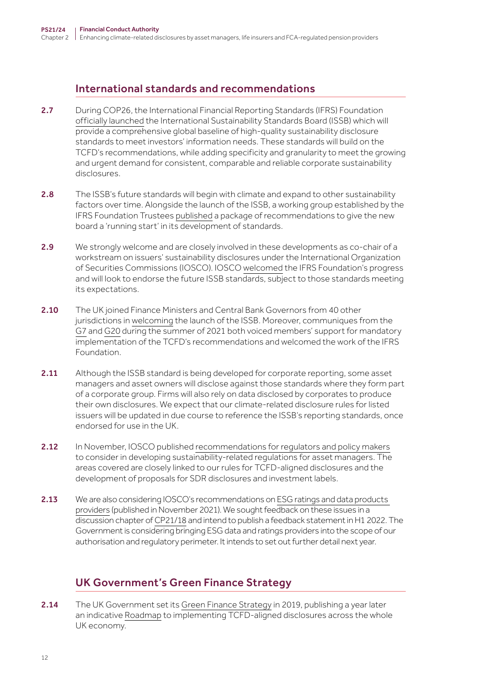# International standards and recommendations

- 2.7 During COP26, the International Financial Reporting Standards (IFRS) Foundation [officially launched](https://www.ifrs.org/news-and-events/news/2021/11/ifrs-foundation-announces-issb-consolidation-with-cdsb-vrf-publication-of-prototypes/) the International Sustainability Standards Board (ISSB) which will provide a comprehensive global baseline of high-quality sustainability disclosure standards to meet investors' information needs. These standards will build on the TCFD's recommendations, while adding specificity and granularity to meet the growing and urgent demand for consistent, comparable and reliable corporate sustainability disclosures.
- 2.8 The ISSB's future standards will begin with climate and expand to other sustainability factors over time. Alongside the launch of the ISSB, a working group established by the IFRS Foundation Trustees [published](https://www.ifrs.org/groups/technical-readiness-working-group/#resources) a package of recommendations to give the new board a 'running start' in its development of standards.
- 2.9 We strongly welcome and are closely involved in these developments as co-chair of a workstream on issuers' sustainability disclosures under the International Organization of Securities Commissions (IOSCO). IOSCO [welcomed](https://www.iosco.org/news/pdf/IOSCONEWS625.pdf) the IFRS Foundation's progress and will look to endorse the future ISSB standards, subject to those standards meeting its expectations.
- 2.10 The UK joined Finance Ministers and Central Bank Governors from 40 other jurisdictions in [welcoming](https://www.gov.uk/government/news/uk-welcomes-work-to-develop-global-sustainability-reporting-standards-alongside-36-international-partners) the launch of the ISSB. Moreover, communiques from the [G7](https://www.g7uk.org/g7-finance-ministers-and-central-bank-governors-communique/) and [G20](https://www.g20.org/wp-content/uploads/2021/07/Communique-Third-G20-FMCBG-meeting-9-10-July-2021.pdf) during the summer of 2021 both voiced members' support for mandatory implementation of the TCFD's recommendations and welcomed the work of the IFRS Foundation.
- 2.11 Although the ISSB standard is being developed for corporate reporting, some asset managers and asset owners will disclose against those standards where they form part of a corporate group. Firms will also rely on data disclosed by corporates to produce their own disclosures. We expect that our climate-related disclosure rules for listed issuers will be updated in due course to reference the ISSB's reporting standards, once endorsed for use in the UK.
- 2.12 In November, IOSCO published [recommendations for regulators and policy makers](https://www.iosco.org/library/pubdocs/pdf/IOSCOPD688.pdf) to consider in developing sustainability-related regulations for asset managers. The areas covered are closely linked to our rules for TCFD-aligned disclosures and the development of proposals for SDR disclosures and investment labels.
- 2.13 We are also considering IOSCO's recommendations on ESG ratings and data products [providers](https://www.iosco.org/library/pubdocs/pdf/IOSCOPD690.pdf) (published in November 2021). We sought feedback on these issues in a discussion chapter of [CP21/18](https://www.fca.org.uk/publication/consultation/cp21-18.pdf) and intend to publish a feedback statement in H1 2022. The Government is considering bringing ESG data and ratings providers into the scope of our authorisation and regulatory perimeter. It intends to set out further detail next year.

# UK Government's Green Finance Strategy

2.14 The UK Government set its [Green Finance Strategy](https://assets.publishing.service.gov.uk/government/uploads/system/uploads/attachment_data/file/820284/190716_BEIS_Green_Finance_Strategy_Accessible_Final.pdf) in 2019, publishing a year later an indicative [Roadmap](https://assets.publishing.service.gov.uk/government/uploads/system/uploads/attachment_data/file/933783/FINAL_TCFD_ROADMAP.pdf) to implementing TCFD-aligned disclosures across the whole UK economy.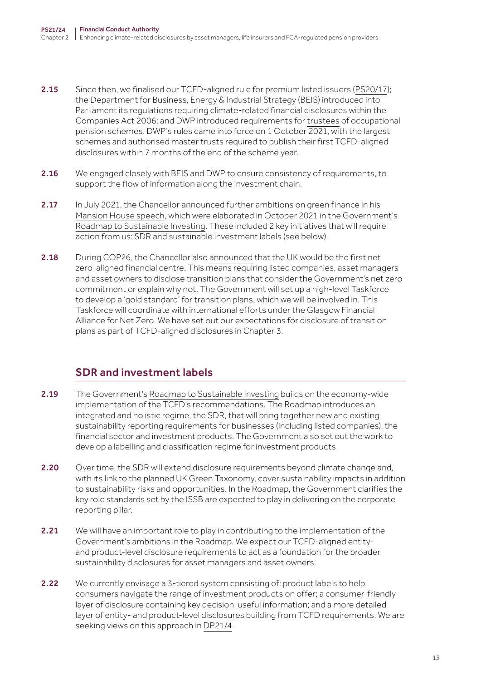- 2.15 Since then, we finalised our TCFD-aligned rule for premium listed issuers ([PS20/17](https://www.fca.org.uk/publication/policy/ps20-17.pdf)); the Department for Business, Energy & Industrial Strategy (BEIS) introduced into Parliament its [regulations](https://www.legislation.gov.uk/ukdsi/2021/9780348228519/contents) requiring climate-related financial disclosures within the Companies Act 2006; and DWP introduced requirements for [trustees](https://www.legislation.gov.uk/uksi/2021/839/contents/made) of occupational pension schemes. DWP's rules came into force on 1 October 2021, with the largest schemes and authorised master trusts required to publish their first TCFD-aligned disclosures within 7 months of the end of the scheme year.
- 2.16 We engaged closely with BEIS and DWP to ensure consistency of requirements, to support the flow of information along the investment chain.
- 2.17 In July 2021, the Chancellor announced further ambitions on green finance in his [Mansion House speech,](https://www.gov.uk/government/speeches/mansion-house-speech-2021-rishi-sunak) which were elaborated in October 2021 in the Government's [Roadmap to Sustainable Investing](https://assets.publishing.service.gov.uk/government/uploads/system/uploads/attachment_data/file/1026224/CCS0821102722-006_Green_Finance_Paper_2021_v5_Bookmarked_48PP.pdf). These included 2 key initiatives that will require action from us: SDR and sustainable investment labels (see below).
- 2.18 During COP26, the Chancellor also [announced](https://www.gov.uk/government/news/chancellor-uk-will-be-the-worlds-first-net-zero-financial-centre) that the UK would be the first net zero-aligned financial centre. This means requiring listed companies, asset managers and asset owners to disclose transition plans that consider the Government's net zero commitment or explain why not. The Government will set up a high-level Taskforce to develop a 'gold standard' for transition plans, which we will be involved in. This Taskforce will coordinate with international efforts under the Glasgow Financial Alliance for Net Zero. We have set out our expectations for disclosure of transition plans as part of TCFD-aligned disclosures in Chapter 3.

# SDR and investment labels

- 2.19 The Government's [Roadmap to Sustainable Investing](https://assets.publishing.service.gov.uk/government/uploads/system/uploads/attachment_data/file/1026224/CCS0821102722-006_Green_Finance_Paper_2021_v5_Bookmarked_48PP.pdf) builds on the economy-wide implementation of the TCFD's recommendations. The Roadmap introduces an integrated and holistic regime, the SDR, that will bring together new and existing sustainability reporting requirements for businesses (including listed companies), the financial sector and investment products. The Government also set out the work to develop a labelling and classification regime for investment products.
- 2.20 Over time, the SDR will extend disclosure requirements beyond climate change and, with its link to the planned UK Green Taxonomy, cover sustainability impacts in addition to sustainability risks and opportunities. In the Roadmap, the Government clarifies the key role standards set by the ISSB are expected to play in delivering on the corporate reporting pillar.
- 2.21 We will have an important role to play in contributing to the implementation of the Government's ambitions in the Roadmap. We expect our TCFD-aligned entityand product-level disclosure requirements to act as a foundation for the broader sustainability disclosures for asset managers and asset owners.
- 2.22 We currently envisage a 3-tiered system consisting of: product labels to help consumers navigate the range of investment products on offer; a consumer-friendly layer of disclosure containing key decision-useful information; and a more detailed layer of entity- and product-level disclosures building from TCFD requirements. We are seeking views on this approach in [DP21/4](https://www.fca.org.uk/publication/discussion/dp21-4.pdf).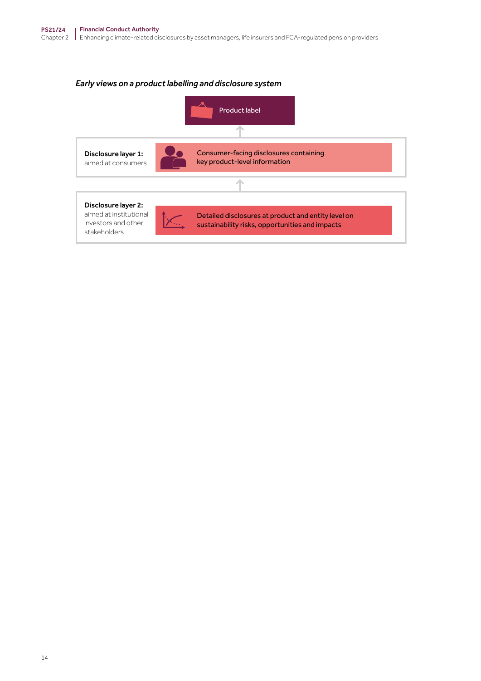### *Early views on a product labelling and disclosure system*

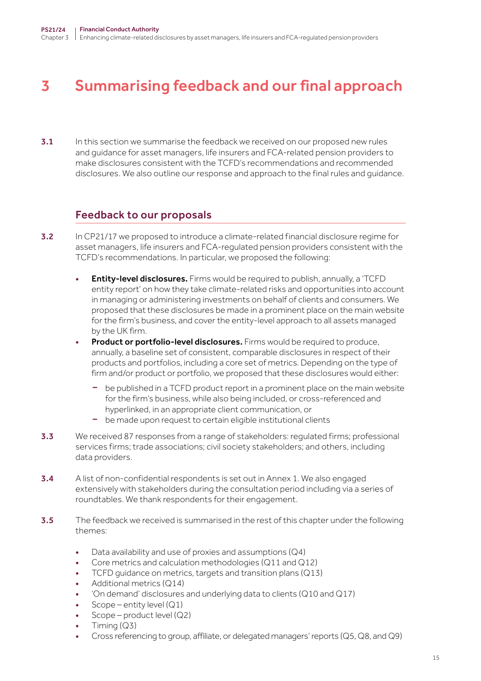# <span id="page-14-0"></span>3 Summarising feedback and our final approach

3.1 In this section we summarise the feedback we received on our proposed new rules and guidance for asset managers, life insurers and FCA-related pension providers to make disclosures consistent with the TCFD's recommendations and recommended disclosures. We also outline our response and approach to the final rules and guidance.

# Feedback to our proposals

- 3.2 In CP21/17 we proposed to introduce a climate-related financial disclosure regime for asset managers, life insurers and FCA-regulated pension providers consistent with the TCFD's recommendations. In particular, we proposed the following:
	- Entity-level disclosures. Firms would be required to publish, annually, a 'TCFD entity report' on how they take climate-related risks and opportunities into account in managing or administering investments on behalf of clients and consumers. We proposed that these disclosures be made in a prominent place on the main website for the firm's business, and cover the entity-level approach to all assets managed by the UK firm.
	- **Product or portfolio-level disclosures.** Firms would be required to produce, annually, a baseline set of consistent, comparable disclosures in respect of their products and portfolios, including a core set of metrics. Depending on the type of firm and/or product or portfolio, we proposed that these disclosures would either:
		- be published in a TCFD product report in a prominent place on the main website for the firm's business, while also being included, or cross-referenced and hyperlinked, in an appropriate client communication, or
		- be made upon request to certain eligible institutional clients
- 3.3 We received 87 responses from a range of stakeholders: regulated firms; professional services firms; trade associations; civil society stakeholders; and others, including data providers.
- 3.4 A list of non-confidential respondents is set out in Annex 1. We also engaged extensively with stakeholders during the consultation period including via a series of roundtables. We thank respondents for their engagement.
- **3.5** The feedback we received is summarised in the rest of this chapter under the following themes:
	- Data availability and use of proxies and assumptions (Q4)
	- Core metrics and calculation methodologies (Q11 and Q12)
	- TCFD guidance on metrics, targets and transition plans (Q13)
	- Additional metrics (Q14)
	- 'On demand' disclosures and underlying data to clients ( $Q10$  and  $Q17$ )
	- Scope entity level  $(Q1)$
	- $Scope$  product level  $(Q2)$
	- Timing (Q3)
	- Cross referencing to group, affiliate, or delegated managers' reports (Q5, Q8, and Q9)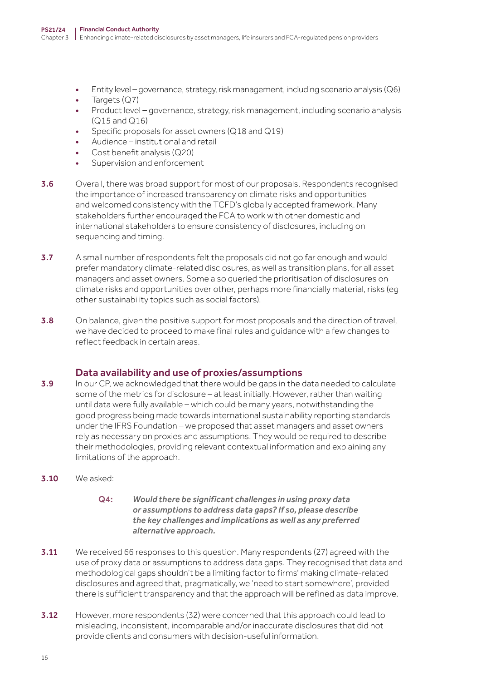- Entity level governance, strategy, risk management, including scenario analysis (Q6)
- Targets (Q7)
- Product level governance, strategy, risk management, including scenario analysis (Q15 and Q16)
- Specific proposals for asset owners (Q18 and Q19)
- Audience institutional and retail
- Cost benefit analysis (Q20)
- Supervision and enforcement
- 3.6 Overall, there was broad support for most of our proposals. Respondents recognised the importance of increased transparency on climate risks and opportunities and welcomed consistency with the TCFD's globally accepted framework. Many stakeholders further encouraged the FCA to work with other domestic and international stakeholders to ensure consistency of disclosures, including on sequencing and timing.
- **3.7** A small number of respondents felt the proposals did not go far enough and would prefer mandatory climate-related disclosures, as well as transition plans, for all asset managers and asset owners. Some also queried the prioritisation of disclosures on climate risks and opportunities over other, perhaps more financially material, risks (eg other sustainability topics such as social factors).
- **3.8** On balance, given the positive support for most proposals and the direction of travel, we have decided to proceed to make final rules and guidance with a few changes to reflect feedback in certain areas.

## Data availability and use of proxies/assumptions

- **3.9** In our CP, we acknowledged that there would be gaps in the data needed to calculate some of the metrics for disclosure – at least initially. However, rather than waiting until data were fully available – which could be many years, notwithstanding the good progress being made towards international sustainability reporting standards under the IFRS Foundation – we proposed that asset managers and asset owners rely as necessary on proxies and assumptions. They would be required to describe their methodologies, providing relevant contextual information and explaining any limitations of the approach.
- 3.10 We asked:
	- Q4: *Would there be significant challenges in using proxy data or assumptions to address data gaps? If so, please describe the key challenges and implications as well as any preferred alternative approach.*
- 3.11 We received 66 responses to this question. Many respondents (27) agreed with the use of proxy data or assumptions to address data gaps. They recognised that data and methodological gaps shouldn't be a limiting factor to firms' making climate-related disclosures and agreed that, pragmatically, we 'need to start somewhere', provided there is sufficient transparency and that the approach will be refined as data improve.
- **3.12** However, more respondents (32) were concerned that this approach could lead to misleading, inconsistent, incomparable and/or inaccurate disclosures that did not provide clients and consumers with decision-useful information.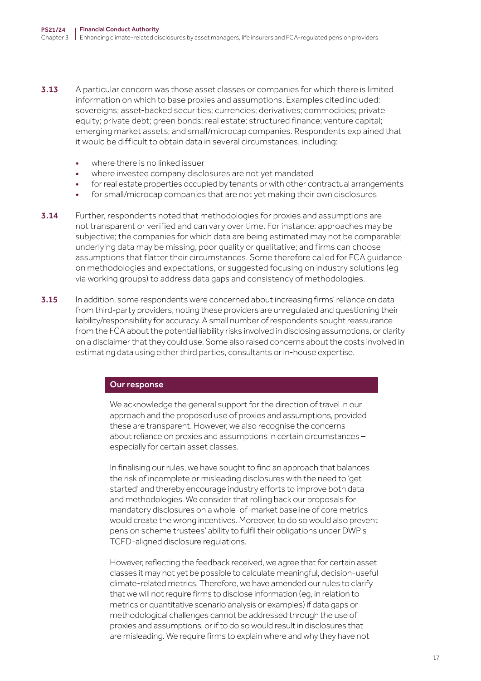- **3.13** A particular concern was those asset classes or companies for which there is limited information on which to base proxies and assumptions. Examples cited included: sovereigns; asset-backed securities; currencies; derivatives; commodities; private equity; private debt; green bonds; real estate; structured finance; venture capital; emerging market assets; and small/microcap companies. Respondents explained that it would be difficult to obtain data in several circumstances, including:
	- where there is no linked issuer
	- where investee company disclosures are not yet mandated
	- for real estate properties occupied by tenants or with other contractual arrangements
	- for small/microcap companies that are not yet making their own disclosures
- **3.14** Further, respondents noted that methodologies for proxies and assumptions are not transparent or verified and can vary over time. For instance: approaches may be subjective; the companies for which data are being estimated may not be comparable; underlying data may be missing, poor quality or qualitative; and firms can choose assumptions that flatter their circumstances. Some therefore called for FCA guidance on methodologies and expectations, or suggested focusing on industry solutions (eg via working groups) to address data gaps and consistency of methodologies.
- **3.15** In addition, some respondents were concerned about increasing firms' reliance on data from third-party providers, noting these providers are unregulated and questioning their liability/responsibility for accuracy. A small number of respondents sought reassurance from the FCA about the potential liability risks involved in disclosing assumptions, or clarity on a disclaimer that they could use. Some also raised concerns about the costs involved in estimating data using either third parties, consultants or in-house expertise.

#### Our response

We acknowledge the general support for the direction of travel in our approach and the proposed use of proxies and assumptions, provided these are transparent. However, we also recognise the concerns about reliance on proxies and assumptions in certain circumstances – especially for certain asset classes.

In finalising our rules, we have sought to find an approach that balances the risk of incomplete or misleading disclosures with the need to 'get started' and thereby encourage industry efforts to improve both data and methodologies. We consider that rolling back our proposals for mandatory disclosures on a whole-of-market baseline of core metrics would create the wrong incentives. Moreover, to do so would also prevent pension scheme trustees' ability to fulfil their obligations under DWP's TCFD-aligned disclosure regulations.

However, reflecting the feedback received, we agree that for certain asset classes it may not yet be possible to calculate meaningful, decision-useful climate-related metrics. Therefore, we have amended our rules to clarify that we will not require firms to disclose information (eg, in relation to metrics or quantitative scenario analysis or examples) if data gaps or methodological challenges cannot be addressed through the use of proxies and assumptions, or if to do so would result in disclosures that are misleading. We require firms to explain where and why they have not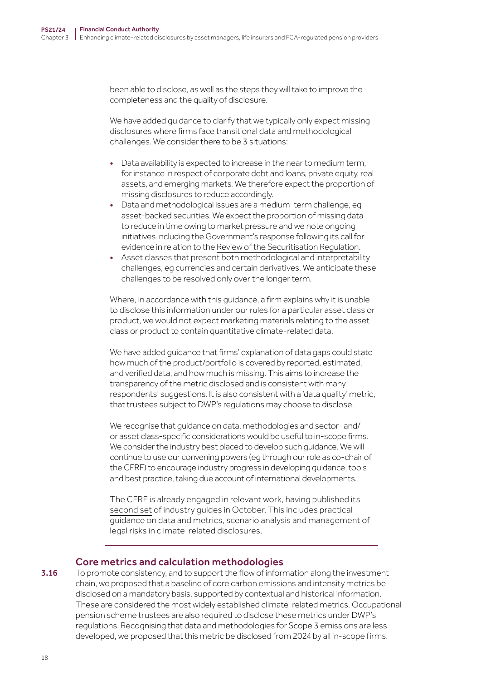been able to disclose, as well as the steps they will take to improve the completeness and the quality of disclosure.

We have added guidance to clarify that we typically only expect missing disclosures where firms face transitional data and methodological challenges. We consider there to be 3 situations:

- Data availability is expected to increase in the near to medium term, for instance in respect of corporate debt and loans, private equity, real assets, and emerging markets. We therefore expect the proportion of missing disclosures to reduce accordingly.
- Data and methodological issues are a medium-term challenge, eg asset-backed securities. We expect the proportion of missing data to reduce in time owing to market pressure and we note ongoing initiatives including the Government's response following its call for evidence in relation to the [Review of the Securitisation Regulation](https://assets.publishing.service.gov.uk/government/uploads/system/uploads/attachment_data/file/1040038/Securitisation_Regulation_Review.pdf).
- Asset classes that present both methodological and interpretability challenges, eg currencies and certain derivatives. We anticipate these challenges to be resolved only over the longer term.

Where, in accordance with this guidance, a firm explains why it is unable to disclose this information under our rules for a particular asset class or product, we would not expect marketing materials relating to the asset class or product to contain quantitative climate-related data.

We have added guidance that firms' explanation of data gaps could state how much of the product/portfolio is covered by reported, estimated, and verified data, and how much is missing. This aims to increase the transparency of the metric disclosed and is consistent with many respondents' suggestions. It is also consistent with a 'data quality' metric, that trustees subject to DWP's regulations may choose to disclose.

We recognise that guidance on data, methodologies and sector- and/ or asset class-specific considerations would be useful to in-scope firms. We consider the industry best placed to develop such guidance. We will continue to use our convening powers (eg through our role as co-chair of the CFRF) to encourage industry progress in developing guidance, tools and best practice, taking due account of international developments.

The CFRF is already engaged in relevant work, having published its [second set](https://www.fca.org.uk/transparency/climate-financial-risk-forum) of industry guides in October. This includes practical guidance on data and metrics, scenario analysis and management of legal risks in climate-related disclosures.

## Core metrics and calculation methodologies

### 3.16 To promote consistency, and to support the flow of information along the investment chain, we proposed that a baseline of core carbon emissions and intensity metrics be disclosed on a mandatory basis, supported by contextual and historical information. These are considered the most widely established climate-related metrics. Occupational pension scheme trustees are also required to disclose these metrics under DWP's regulations. Recognising that data and methodologies for Scope 3 emissions are less developed, we proposed that this metric be disclosed from 2024 by all in-scope firms.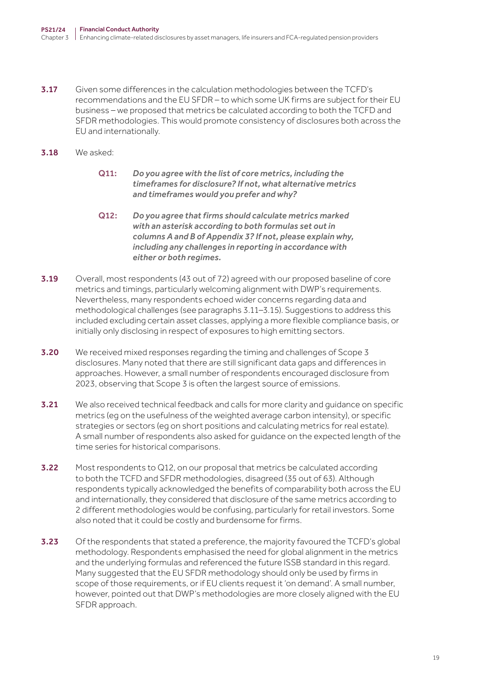- 3.17 Given some differences in the calculation methodologies between the TCFD's recommendations and the EU SFDR – to which some UK firms are subject for their EU business – we proposed that metrics be calculated according to both the TCFD and SFDR methodologies. This would promote consistency of disclosures both across the EU and internationally.
- 3.18 We asked:
	- Q11: *Do you agree with the list of core metrics, including the timeframes for disclosure? If not, what alternative metrics and timeframes would you prefer and why?*
	- Q12: *Do you agree that firms should calculate metrics marked with an asterisk according to both formulas set out in columns A and B of Appendix 3? If not, please explain why, including any challenges in reporting in accordance with either or both regimes.*
- 3.19 Overall, most respondents (43 out of 72) agreed with our proposed baseline of core metrics and timings, particularly welcoming alignment with DWP's requirements. Nevertheless, many respondents echoed wider concerns regarding data and methodological challenges (see paragraphs 3.11–3.15). Suggestions to address this included excluding certain asset classes, applying a more flexible compliance basis, or initially only disclosing in respect of exposures to high emitting sectors.
- 3.20 We received mixed responses regarding the timing and challenges of Scope 3 disclosures. Many noted that there are still significant data gaps and differences in approaches. However, a small number of respondents encouraged disclosure from 2023, observing that Scope 3 is often the largest source of emissions.
- 3.21 We also received technical feedback and calls for more clarity and quidance on specific metrics (eg on the usefulness of the weighted average carbon intensity), or specific strategies or sectors (eg on short positions and calculating metrics for real estate). A small number of respondents also asked for guidance on the expected length of the time series for historical comparisons.
- **3.22** Most respondents to Q12, on our proposal that metrics be calculated according to both the TCFD and SFDR methodologies, disagreed (35 out of 63). Although respondents typically acknowledged the benefits of comparability both across the EU and internationally, they considered that disclosure of the same metrics according to 2 different methodologies would be confusing, particularly for retail investors. Some also noted that it could be costly and burdensome for firms.
- **3.23** Of the respondents that stated a preference, the majority favoured the TCFD's global methodology. Respondents emphasised the need for global alignment in the metrics and the underlying formulas and referenced the future ISSB standard in this regard. Many suggested that the EU SFDR methodology should only be used by firms in scope of those requirements, or if EU clients request it 'on demand'. A small number, however, pointed out that DWP's methodologies are more closely aligned with the EU SFDR approach.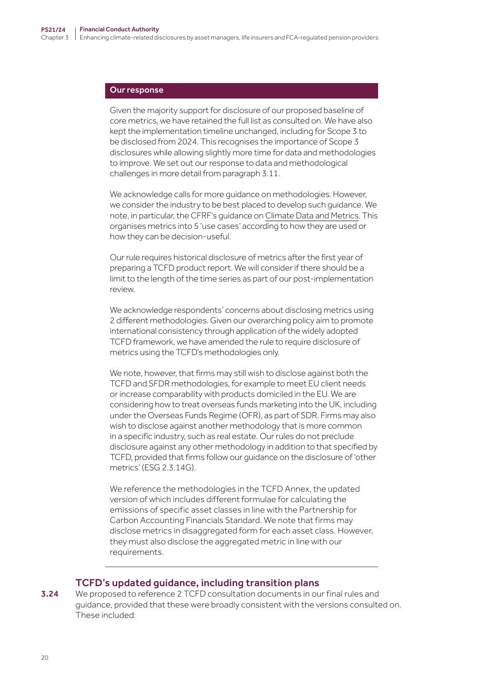#### Our response

Given the majority support for disclosure of our proposed baseline of core metrics, we have retained the full list as consulted on. We have also kept the implementation timeline unchanged, including for Scope 3 to be disclosed from 2024. This recognises the importance of Scope 3 disclosures while allowing slightly more time for data and methodologies to improve. We set out our response to data and methodological challenges in more detail from paragraph 3.11.

We acknowledge calls for more guidance on methodologies. However, we consider the industry to be best placed to develop such guidance. We note, in particular, the CFRF's guidance on [Climate Data and Metrics.](https://www.fca.org.uk/publication/corporate/climate-financial-risk-forum-guide-2021-data-metrics.pdf) This organises metrics into 5 'use cases' according to how they are used or how they can be decision-useful.

Our rule requires historical disclosure of metrics after the first year of preparing a TCFD product report. We will consider if there should be a limit to the length of the time series as part of our post-implementation review.

We acknowledge respondents' concerns about disclosing metrics using 2 different methodologies. Given our overarching policy aim to promote international consistency through application of the widely adopted TCFD framework, we have amended the rule to require disclosure of metrics using the TCFD's methodologies only.

We note, however, that firms may still wish to disclose against both the TCFD and SFDR methodologies, for example to meet EU client needs or increase comparability with products domiciled in the EU. We are considering how to treat overseas funds marketing into the UK, including under the Overseas Funds Regime (OFR), as part of SDR. Firms may also wish to disclose against another methodology that is more common in a specific industry, such as real estate. Our rules do not preclude disclosure against any other methodology in addition to that specified by TCFD, provided that firms follow our guidance on the disclosure of 'other metrics' (ESG 2.3.14G).

We reference the methodologies in the TCFD Annex, the updated version of which includes different formulae for calculating the emissions of specific asset classes in line with the Partnership for Carbon Accounting Financials Standard. We note that firms may disclose metrics in disaggregated form for each asset class. However, they must also disclose the aggregated metric in line with our requirements.

#### TCFD's updated guidance, including transition plans

3.24 We proposed to reference 2 TCFD consultation documents in our final rules and guidance, provided that these were broadly consistent with the versions consulted on. These included: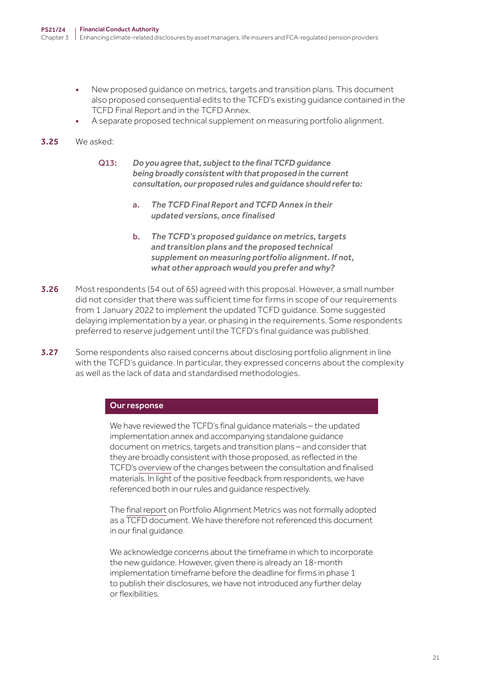- New proposed guidance on metrics, targets and transition plans. This document also proposed consequential edits to the TCFD's existing guidance contained in the TCFD Final Report and in the TCFD Annex.
- A separate proposed technical supplement on measuring portfolio alignment.

#### 3.25 We asked:

- Q13: *Do you agree that, subject to the final TCFD guidance being broadly consistent with that proposed in the current consultation, our proposed rules and guidance should refer to:*
	- a. *The TCFD Final Report and TCFD Annex in their updated versions, once finalised*
	- b. *The TCFD's proposed guidance on metrics, targets and transition plans and the proposed technical supplement on measuring portfolio alignment. If not, what other approach would you prefer and why?*
- 3.26 Most respondents (54 out of 65) agreed with this proposal. However, a small number did not consider that there was sufficient time for firms in scope of our requirements from 1 January 2022 to implement the updated TCFD guidance. Some suggested delaying implementation by a year, or phasing in the requirements. Some respondents preferred to reserve judgement until the TCFD's final guidance was published.
- 3.27 Some respondents also raised concerns about disclosing portfolio alignment in line with the TCFD's guidance. In particular, they expressed concerns about the complexity as well as the lack of data and standardised methodologies.

#### Our response

We have reviewed the TCFD's final guidance materials – the updated implementation annex and accompanying standalone guidance document on metrics, targets and transition plans – and consider that they are broadly consistent with those proposed, as reflected in the TCFD's [overview](https://assets.bbhub.io/company/sites/60/2021/10/October_2021_Metrics_Targets_and_Transition_Plans_Consultation_Summary_of_Responses.pdf) of the changes between the consultation and finalised materials. In light of the positive feedback from respondents, we have referenced both in our rules and guidance respectively.

The [final report](https://www.tcfdhub.org/wp-content/uploads/2021/10/PAT_Measuring_Portfolio_Alignment_Technical_Considerations.pdf) on Portfolio Alignment Metrics was not formally adopted as a TCFD document. We have therefore not referenced this document in our final guidance.

We acknowledge concerns about the timeframe in which to incorporate the new guidance. However, given there is already an 18-month implementation timeframe before the deadline for firms in phase 1 to publish their disclosures, we have not introduced any further delay or flexibilities.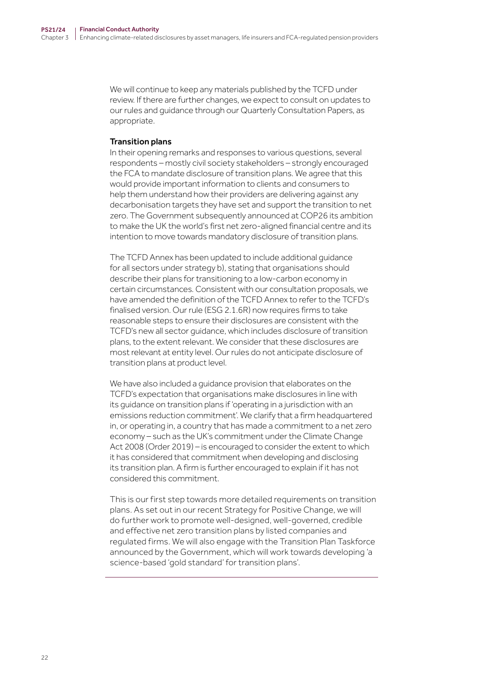We will continue to keep any materials published by the TCFD under review. If there are further changes, we expect to consult on updates to our rules and guidance through our Quarterly Consultation Papers, as appropriate.

#### Transition plans

In their opening remarks and responses to various questions, several respondents – mostly civil society stakeholders – strongly encouraged the FCA to mandate disclosure of transition plans. We agree that this would provide important information to clients and consumers to help them understand how their providers are delivering against any decarbonisation targets they have set and support the transition to net zero. The Government subsequently announced at COP26 its ambition to make the UK the world's first net zero-aligned financial centre and its intention to move towards mandatory disclosure of transition plans.

The TCFD Annex has been updated to include additional guidance for all sectors under strategy b), stating that organisations should describe their plans for transitioning to a low-carbon economy in certain circumstances. Consistent with our consultation proposals, we have amended the definition of the TCFD Annex to refer to the TCFD's finalised version. Our rule (ESG 2.1.6R) now requires firms to take reasonable steps to ensure their disclosures are consistent with the TCFD's new all sector guidance, which includes disclosure of transition plans, to the extent relevant. We consider that these disclosures are most relevant at entity level. Our rules do not anticipate disclosure of transition plans at product level.

We have also included a guidance provision that elaborates on the TCFD's expectation that organisations make disclosures in line with its guidance on transition plans if 'operating in a jurisdiction with an emissions reduction commitment'. We clarify that a firm headquartered in, or operating in, a country that has made a commitment to a net zero economy – such as the UK's commitment under the Climate Change Act 2008 (Order 2019) – is encouraged to consider the extent to which it has considered that commitment when developing and disclosing its transition plan. A firm is further encouraged to explain if it has not considered this commitment.

This is our first step towards more detailed requirements on transition plans. As set out in our recent Strategy for Positive Change, we will do further work to promote well-designed, well-governed, credible and effective net zero transition plans by listed companies and regulated firms. We will also engage with the Transition Plan Taskforce announced by the Government, which will work towards developing 'a science-based 'gold standard' for transition plans'.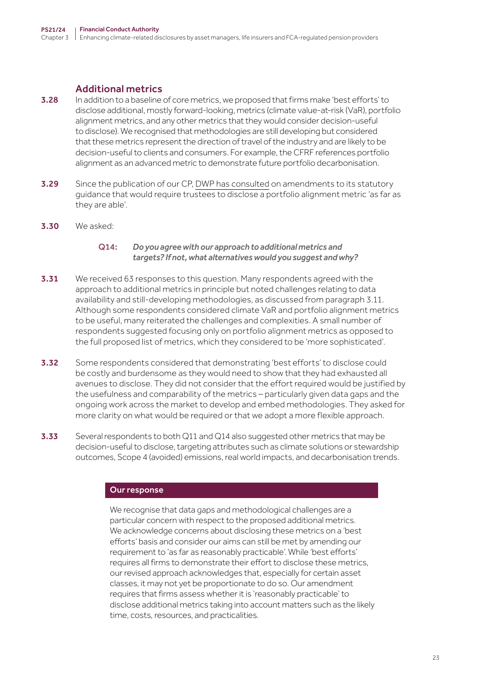## Additional metrics

- 3.28 In addition to a baseline of core metrics, we proposed that firms make 'best efforts' to disclose additional, mostly forward-looking, metrics (climate value-at-risk (VaR), portfolio alignment metrics, and any other metrics that they would consider decision-useful to disclose). We recognised that methodologies are still developing but considered that these metrics represent the direction of travel of the industry and are likely to be decision-useful to clients and consumers. For example, the CFRF references portfolio alignment as an advanced metric to demonstrate future portfolio decarbonisation.
- **3.29** Since the publication of our CP, [DWP has consulted](https://www.gov.uk/government/consultations/climate-and-investment-reporting-setting-expectations-and-empowering-savers/proposed-amendments-to-the-statutory-guidance-governance-and-reporting-of-climate-change-risk-guidance-for-trustees-of-occupational-schemes) on amendments to its statutory guidance that would require trustees to disclose a portfolio alignment metric 'as far as they are able'.
- 3.30 We asked:

### Q14: *Do you agree with our approach to additional metrics and targets? If not, what alternatives would you suggest and why?*

- **3.31** We received 63 responses to this question. Many respondents agreed with the approach to additional metrics in principle but noted challenges relating to data availability and still-developing methodologies, as discussed from paragraph 3.11. Although some respondents considered climate VaR and portfolio alignment metrics to be useful, many reiterated the challenges and complexities. A small number of respondents suggested focusing only on portfolio alignment metrics as opposed to the full proposed list of metrics, which they considered to be 'more sophisticated'.
- **3.32** Some respondents considered that demonstrating 'best efforts' to disclose could be costly and burdensome as they would need to show that they had exhausted all avenues to disclose. They did not consider that the effort required would be justified by the usefulness and comparability of the metrics – particularly given data gaps and the ongoing work across the market to develop and embed methodologies. They asked for more clarity on what would be required or that we adopt a more flexible approach.
- 3.33 Several respondents to both Q11 and Q14 also suggested other metrics that may be decision-useful to disclose, targeting attributes such as climate solutions or stewardship outcomes, Scope 4 (avoided) emissions, real world impacts, and decarbonisation trends.

#### Our response

We recognise that data gaps and methodological challenges are a particular concern with respect to the proposed additional metrics. We acknowledge concerns about disclosing these metrics on a 'best efforts' basis and consider our aims can still be met by amending our requirement to 'as far as reasonably practicable'. While 'best efforts' requires all firms to demonstrate their effort to disclose these metrics, our revised approach acknowledges that, especially for certain asset classes, it may not yet be proportionate to do so. Our amendment requires that firms assess whether it is 'reasonably practicable' to disclose additional metrics taking into account matters such as the likely time, costs, resources, and practicalities.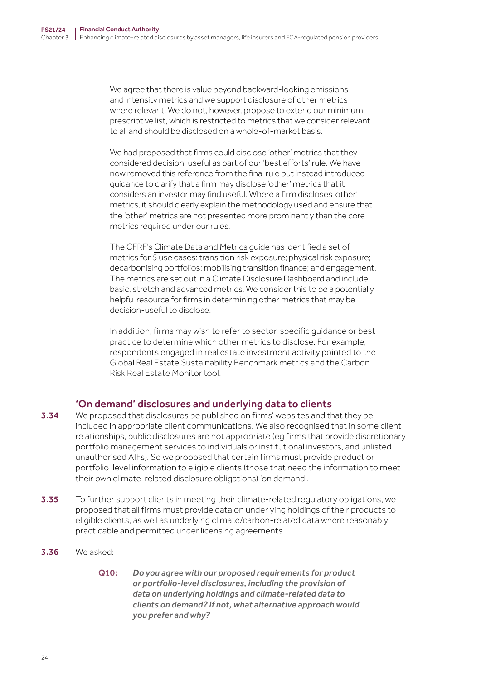We agree that there is value beyond backward-looking emissions and intensity metrics and we support disclosure of other metrics where relevant. We do not, however, propose to extend our minimum prescriptive list, which is restricted to metrics that we consider relevant to all and should be disclosed on a whole-of-market basis.

We had proposed that firms could disclose 'other' metrics that they considered decision-useful as part of our 'best efforts' rule. We have now removed this reference from the final rule but instead introduced guidance to clarify that a firm may disclose 'other' metrics that it considers an investor may find useful. Where a firm discloses 'other' metrics, it should clearly explain the methodology used and ensure that the 'other' metrics are not presented more prominently than the core metrics required under our rules.

The CFRF's [Climate Data and Metrics](https://www.fca.org.uk/publication/corporate/climate-financial-risk-forum-guide-2021-data-metrics.pdf) guide has identified a set of metrics for 5 use cases: transition risk exposure; physical risk exposure; decarbonising portfolios; mobilising transition finance; and engagement. The metrics are set out in a Climate Disclosure Dashboard and include basic, stretch and advanced metrics. We consider this to be a potentially helpful resource for firms in determining other metrics that may be decision-useful to disclose.

In addition, firms may wish to refer to sector-specific guidance or best practice to determine which other metrics to disclose. For example, respondents engaged in real estate investment activity pointed to the Global Real Estate Sustainability Benchmark metrics and the Carbon Risk Real Estate Monitor tool.

## 'On demand' disclosures and underlying data to clients

- **3.34** We proposed that disclosures be published on firms' websites and that they be included in appropriate client communications. We also recognised that in some client relationships, public disclosures are not appropriate (eg firms that provide discretionary portfolio management services to individuals or institutional investors, and unlisted unauthorised AIFs). So we proposed that certain firms must provide product or portfolio-level information to eligible clients (those that need the information to meet their own climate-related disclosure obligations) 'on demand'.
- 3.35 To further support clients in meeting their climate-related regulatory obligations, we proposed that all firms must provide data on underlying holdings of their products to eligible clients, as well as underlying climate/carbon-related data where reasonably practicable and permitted under licensing agreements.
- 3.36 We asked:
	- Q10: *Do you agree with our proposed requirements for product or portfolio‑level disclosures, including the provision of data on underlying holdings and climate‑related data to clients on demand? If not, what alternative approach would you prefer and why?*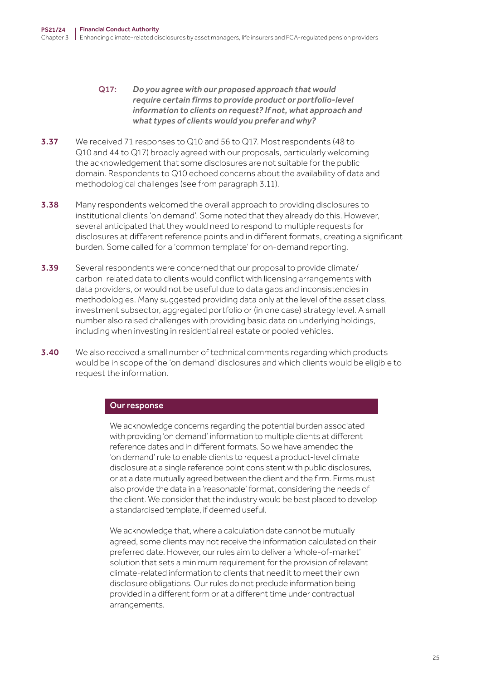- Q17: *Do you agree with our proposed approach that would require certain firms to provide product or portfolio‑level information to clients on request? If not, what approach and what types of clients would you prefer and why?*
- **3.37** We received 71 responses to Q10 and 56 to Q17. Most respondents (48 to Q10 and 44 to Q17) broadly agreed with our proposals, particularly welcoming the acknowledgement that some disclosures are not suitable for the public domain. Respondents to Q10 echoed concerns about the availability of data and methodological challenges (see from paragraph 3.11).
- **3.38** Many respondents welcomed the overall approach to providing disclosures to institutional clients 'on demand'. Some noted that they already do this. However, several anticipated that they would need to respond to multiple requests for disclosures at different reference points and in different formats, creating a significant burden. Some called for a 'common template' for on-demand reporting.
- **3.39** Several respondents were concerned that our proposal to provide climate/ carbon-related data to clients would conflict with licensing arrangements with data providers, or would not be useful due to data gaps and inconsistencies in methodologies. Many suggested providing data only at the level of the asset class, investment subsector, aggregated portfolio or (in one case) strategy level. A small number also raised challenges with providing basic data on underlying holdings, including when investing in residential real estate or pooled vehicles.
- 3.40 We also received a small number of technical comments regarding which products would be in scope of the 'on demand' disclosures and which clients would be eligible to request the information.

#### Our response

We acknowledge concerns regarding the potential burden associated with providing 'on demand' information to multiple clients at different reference dates and in different formats. So we have amended the 'on demand' rule to enable clients to request a product-level climate disclosure at a single reference point consistent with public disclosures, or at a date mutually agreed between the client and the firm. Firms must also provide the data in a 'reasonable' format, considering the needs of the client. We consider that the industry would be best placed to develop a standardised template, if deemed useful.

We acknowledge that, where a calculation date cannot be mutually agreed, some clients may not receive the information calculated on their preferred date. However, our rules aim to deliver a 'whole-of-market' solution that sets a minimum requirement for the provision of relevant climate-related information to clients that need it to meet their own disclosure obligations. Our rules do not preclude information being provided in a different form or at a different time under contractual arrangements.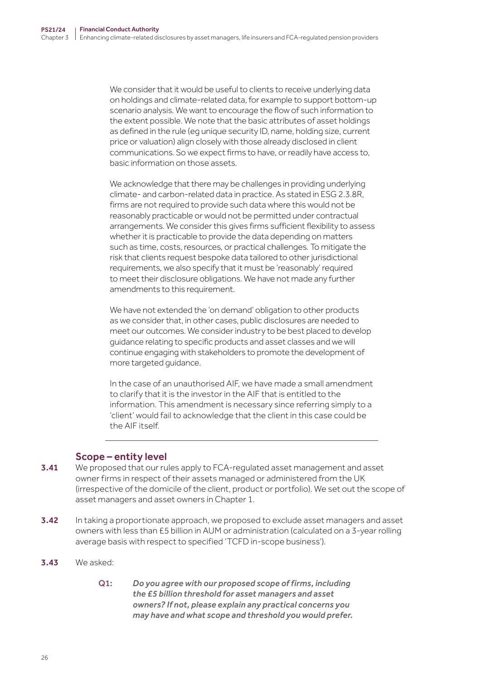We consider that it would be useful to clients to receive underlying data on holdings and climate-related data, for example to support bottom-up scenario analysis. We want to encourage the flow of such information to the extent possible. We note that the basic attributes of asset holdings as defined in the rule (eg unique security ID, name, holding size, current price or valuation) align closely with those already disclosed in client communications. So we expect firms to have, or readily have access to, basic information on those assets.

We acknowledge that there may be challenges in providing underlying climate- and carbon-related data in practice. As stated in ESG 2.3.8R, firms are not required to provide such data where this would not be reasonably practicable or would not be permitted under contractual arrangements. We consider this gives firms sufficient flexibility to assess whether it is practicable to provide the data depending on matters such as time, costs, resources, or practical challenges. To mitigate the risk that clients request bespoke data tailored to other jurisdictional requirements, we also specify that it must be 'reasonably' required to meet their disclosure obligations. We have not made any further amendments to this requirement.

We have not extended the 'on demand' obligation to other products as we consider that, in other cases, public disclosures are needed to meet our outcomes. We consider industry to be best placed to develop guidance relating to specific products and asset classes and we will continue engaging with stakeholders to promote the development of more targeted guidance.

In the case of an unauthorised AIF, we have made a small amendment to clarify that it is the investor in the AIF that is entitled to the information. This amendment is necessary since referring simply to a 'client' would fail to acknowledge that the client in this case could be the AIF itself.

## Scope – entity level

- **3.41** We proposed that our rules apply to FCA-regulated asset management and asset owner firms in respect of their assets managed or administered from the UK (irrespective of the domicile of the client, product or portfolio). We set out the scope of asset managers and asset owners in Chapter 1.
- **3.42** In taking a proportionate approach, we proposed to exclude asset managers and asset owners with less than £5 billion in AUM or administration (calculated on a 3‑year rolling average basis with respect to specified 'TCFD in-scope business').
- 3.43 We asked:
	- Q1: *Do you agree with our proposed scope of firms, including the £5 billion threshold for asset managers and asset owners? If not, please explain any practical concerns you may have and what scope and threshold you would prefer.*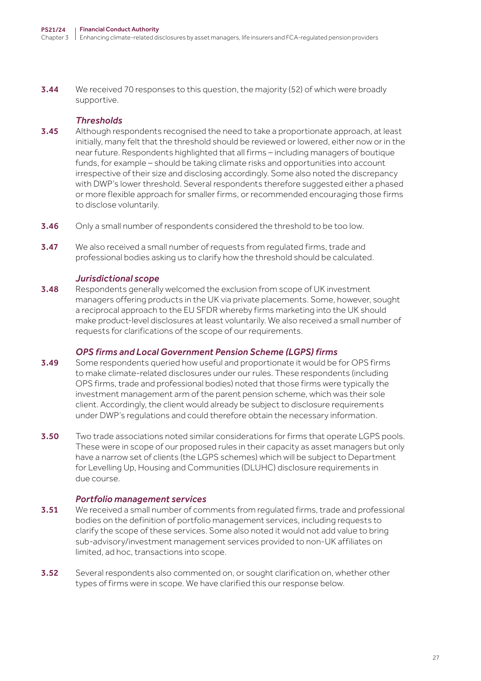**3.44** We received 70 responses to this question, the majority (52) of which were broadly supportive.

## *Thresholds*

- **3.45** Although respondents recognised the need to take a proportionate approach, at least initially, many felt that the threshold should be reviewed or lowered, either now or in the near future. Respondents highlighted that all firms – including managers of boutique funds, for example – should be taking climate risks and opportunities into account irrespective of their size and disclosing accordingly. Some also noted the discrepancy with DWP's lower threshold. Several respondents therefore suggested either a phased or more flexible approach for smaller firms, or recommended encouraging those firms to disclose voluntarily.
- **3.46** Only a small number of respondents considered the threshold to be too low.
- **3.47** We also received a small number of requests from regulated firms, trade and professional bodies asking us to clarify how the threshold should be calculated.

## *Jurisdictional scope*

3.48 Respondents generally welcomed the exclusion from scope of UK investment managers offering products in the UK via private placements. Some, however, sought a reciprocal approach to the EU SFDR whereby firms marketing into the UK should make product-level disclosures at least voluntarily. We also received a small number of requests for clarifications of the scope of our requirements.

## *OPS firms and Local Government Pension Scheme (LGPS) firms*

- 3.49 Some respondents queried how useful and proportionate it would be for OPS firms to make climate-related disclosures under our rules. These respondents (including OPS firms, trade and professional bodies) noted that those firms were typically the investment management arm of the parent pension scheme, which was their sole client. Accordingly, the client would already be subject to disclosure requirements under DWP's regulations and could therefore obtain the necessary information.
- **3.50** Two trade associations noted similar considerations for firms that operate LGPS pools. These were in scope of our proposed rules in their capacity as asset managers but only have a narrow set of clients (the LGPS schemes) which will be subject to Department for Levelling Up, Housing and Communities (DLUHC) disclosure requirements in due course.

## *Portfolio management services*

- **3.51** We received a small number of comments from regulated firms, trade and professional bodies on the definition of portfolio management services, including requests to clarify the scope of these services. Some also noted it would not add value to bring sub-advisory/investment management services provided to non-UK affiliates on limited, ad hoc, transactions into scope.
- 3.52 Several respondents also commented on, or sought clarification on, whether other types of firms were in scope. We have clarified this our response below.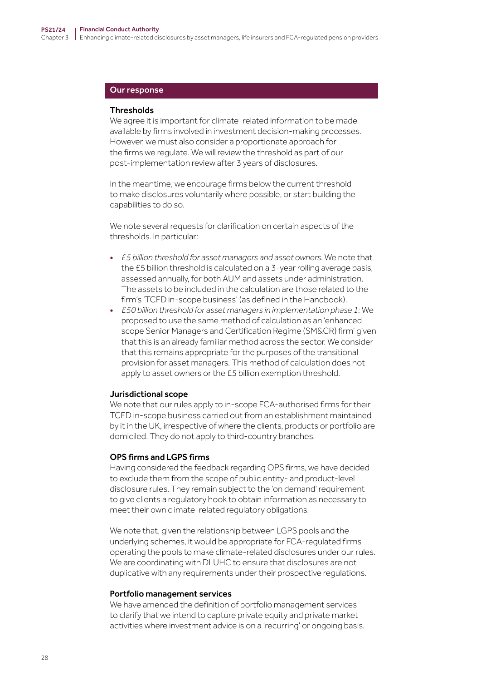#### Our response

#### **Thresholds**

We agree it is important for climate-related information to be made available by firms involved in investment decision-making processes. However, we must also consider a proportionate approach for the firms we regulate. We will review the threshold as part of our post-implementation review after 3 years of disclosures.

In the meantime, we encourage firms below the current threshold to make disclosures voluntarily where possible, or start building the capabilities to do so.

We note several requests for clarification on certain aspects of the thresholds. In particular:

- *£5 billion threshold for asset managers and asset owners.* We note that the £5 billion threshold is calculated on a 3‑year rolling average basis, assessed annually, for both AUM and assets under administration. The assets to be included in the calculation are those related to the firm's 'TCFD in-scope business' (as defined in the Handbook).
- *£50 billion threshold for asset managers in implementation phase 1:* We proposed to use the same method of calculation as an 'enhanced scope Senior Managers and Certification Regime (SM&CR) firm' given that this is an already familiar method across the sector. We consider that this remains appropriate for the purposes of the transitional provision for asset managers. This method of calculation does not apply to asset owners or the £5 billion exemption threshold.

#### Jurisdictional scope

We note that our rules apply to in-scope FCA-authorised firms for their TCFD in-scope business carried out from an establishment maintained by it in the UK, irrespective of where the clients, products or portfolio are domiciled. They do not apply to third-country branches.

#### OPS firms and LGPS firms

Having considered the feedback regarding OPS firms, we have decided to exclude them from the scope of public entity- and product-level disclosure rules. They remain subject to the 'on demand' requirement to give clients a regulatory hook to obtain information as necessary to meet their own climate-related regulatory obligations.

We note that, given the relationship between LGPS pools and the underlying schemes, it would be appropriate for FCA-regulated firms operating the pools to make climate-related disclosures under our rules. We are coordinating with DLUHC to ensure that disclosures are not duplicative with any requirements under their prospective regulations.

#### Portfolio management services

We have amended the definition of portfolio management services to clarify that we intend to capture private equity and private market activities where investment advice is on a 'recurring' or ongoing basis.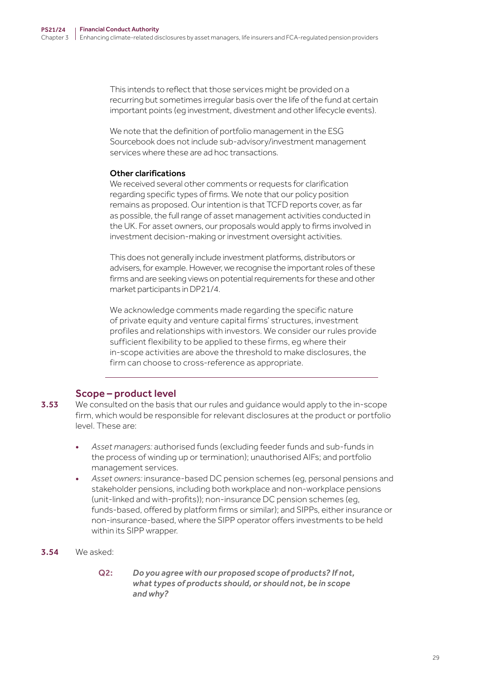This intends to reflect that those services might be provided on a recurring but sometimes irregular basis over the life of the fund at certain important points (eg investment, divestment and other lifecycle events).

We note that the definition of portfolio management in the ESG Sourcebook does not include sub-advisory/investment management services where these are ad hoc transactions.

#### Other clarifications

We received several other comments or requests for clarification regarding specific types of firms. We note that our policy position remains as proposed. Our intention is that TCFD reports cover, as far as possible, the full range of asset management activities conducted in the UK. For asset owners, our proposals would apply to firms involved in investment decision-making or investment oversight activities.

This does not generally include investment platforms, distributors or advisers, for example. However, we recognise the important roles of these firms and are seeking views on potential requirements for these and other market participants in DP21/4.

We acknowledge comments made regarding the specific nature of private equity and venture capital firms' structures, investment profiles and relationships with investors. We consider our rules provide sufficient flexibility to be applied to these firms, eg where their in-scope activities are above the threshold to make disclosures, the firm can choose to cross-reference as appropriate.

## Scope – product level

- 3.53 We consulted on the basis that our rules and quidance would apply to the in-scope firm, which would be responsible for relevant disclosures at the product or portfolio level. These are:
	- *Asset managers:* authorised funds (excluding feeder funds and sub-funds in the process of winding up or termination); unauthorised AIFs; and portfolio management services.
	- *Asset owners:* insurance-based DC pension schemes (eg, personal pensions and stakeholder pensions, including both workplace and non-workplace pensions (unit-linked and with-profits)); non-insurance DC pension schemes (eg, funds-based, offered by platform firms or similar); and SIPPs, either insurance or non-insurance-based, where the SIPP operator offers investments to be held within its SIPP wrapper.
- 3.54 We asked:
	- Q2: *Do you agree with our proposed scope of products? If not, what types of products should, or should not, be in scope and why?*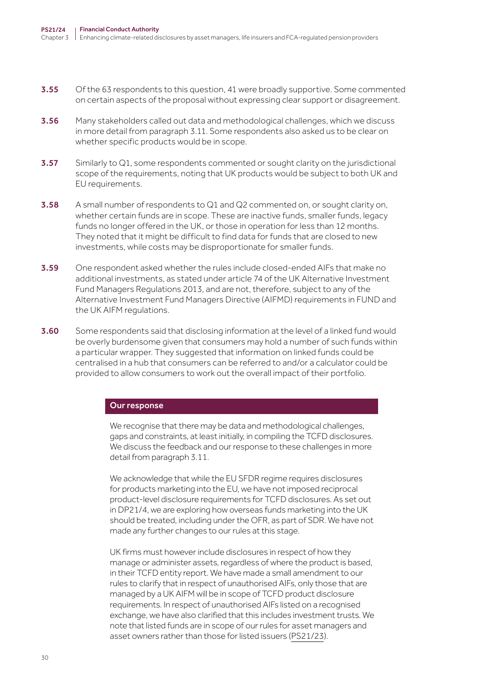- **3.55** Of the 63 respondents to this question, 41 were broadly supportive. Some commented on certain aspects of the proposal without expressing clear support or disagreement.
- 3.56 Many stakeholders called out data and methodological challenges, which we discuss in more detail from paragraph 3.11. Some respondents also asked us to be clear on whether specific products would be in scope.
- **3.57** Similarly to  $Q1$ , some respondents commented or sought clarity on the jurisdictional scope of the requirements, noting that UK products would be subject to both UK and EU requirements.
- **3.58** A small number of respondents to Q1 and Q2 commented on, or sought clarity on, whether certain funds are in scope. These are inactive funds, smaller funds, legacy funds no longer offered in the UK, or those in operation for less than 12 months. They noted that it might be difficult to find data for funds that are closed to new investments, while costs may be disproportionate for smaller funds.
- **3.59** One respondent asked whether the rules include closed-ended AIFs that make no additional investments, as stated under article 74 of the UK Alternative Investment Fund Managers Regulations 2013, and are not, therefore, subject to any of the Alternative Investment Fund Managers Directive (AIFMD) requirements in FUND and the UK AIFM regulations.
- 3.60 Some respondents said that disclosing information at the level of a linked fund would be overly burdensome given that consumers may hold a number of such funds within a particular wrapper. They suggested that information on linked funds could be centralised in a hub that consumers can be referred to and/or a calculator could be provided to allow consumers to work out the overall impact of their portfolio.

#### Our response

We recognise that there may be data and methodological challenges, gaps and constraints, at least initially, in compiling the TCFD disclosures. We discuss the feedback and our response to these challenges in more detail from paragraph 3.11.

We acknowledge that while the EU SFDR regime requires disclosures for products marketing into the EU, we have not imposed reciprocal product-level disclosure requirements for TCFD disclosures. As set out in DP21/4, we are exploring how overseas funds marketing into the UK should be treated, including under the OFR, as part of SDR. We have not made any further changes to our rules at this stage.

UK firms must however include disclosures in respect of how they manage or administer assets, regardless of where the product is based, in their TCFD entity report. We have made a small amendment to our rules to clarify that in respect of unauthorised AIFs, only those that are managed by a UK AIFM will be in scope of TCFD product disclosure requirements. In respect of unauthorised AIFs listed on a recognised exchange, we have also clarified that this includes investment trusts. We note that listed funds are in scope of our rules for asset managers and asset owners rather than those for listed issuers ([PS21/23](https://www.fca.org.uk/publication/policy/ps21-23.pdf)).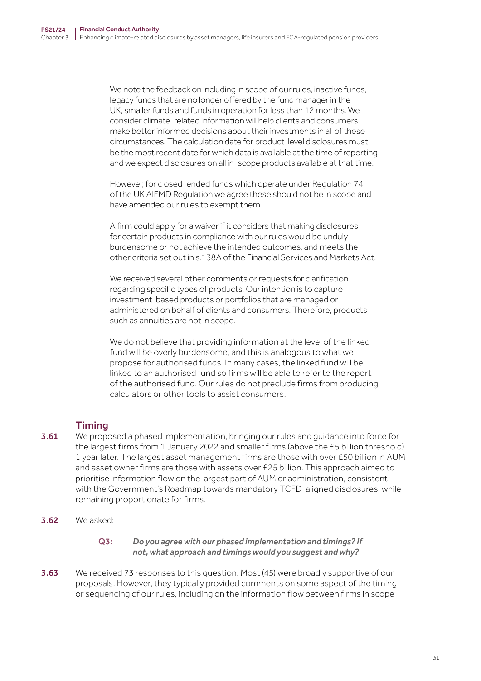We note the feedback on including in scope of our rules, inactive funds, legacy funds that are no longer offered by the fund manager in the UK, smaller funds and funds in operation for less than 12 months. We consider climate-related information will help clients and consumers make better informed decisions about their investments in all of these circumstances. The calculation date for product-level disclosures must be the most recent date for which data is available at the time of reporting and we expect disclosures on all in-scope products available at that time.

However, for closed-ended funds which operate under Regulation 74 of the UK AIFMD Regulation we agree these should not be in scope and have amended our rules to exempt them.

A firm could apply for a waiver if it considers that making disclosures for certain products in compliance with our rules would be unduly burdensome or not achieve the intended outcomes, and meets the other criteria set out in s.138A of the Financial Services and Markets Act.

We received several other comments or requests for clarification regarding specific types of products. Our intention is to capture investment-based products or portfolios that are managed or administered on behalf of clients and consumers. Therefore, products such as annuities are not in scope.

We do not believe that providing information at the level of the linked fund will be overly burdensome, and this is analogous to what we propose for authorised funds. In many cases, the linked fund will be linked to an authorised fund so firms will be able to refer to the report of the authorised fund. Our rules do not preclude firms from producing calculators or other tools to assist consumers.

# **Timing**

- **3.61** We proposed a phased implementation, bringing our rules and quidance into force for the largest firms from 1 January 2022 and smaller firms (above the £5 billion threshold) 1 year later. The largest asset management firms are those with over £50 billion in AUM and asset owner firms are those with assets over £25 billion. This approach aimed to prioritise information flow on the largest part of AUM or administration, consistent with the Government's Roadmap towards mandatory TCFD-aligned disclosures, while remaining proportionate for firms.
- 3.62 We asked:

### Q3: *Do you agree with our phased implementation and timings? If not, what approach and timings would you suggest and why?*

**3.63** We received 73 responses to this question. Most (45) were broadly supportive of our proposals. However, they typically provided comments on some aspect of the timing or sequencing of our rules, including on the information flow between firms in scope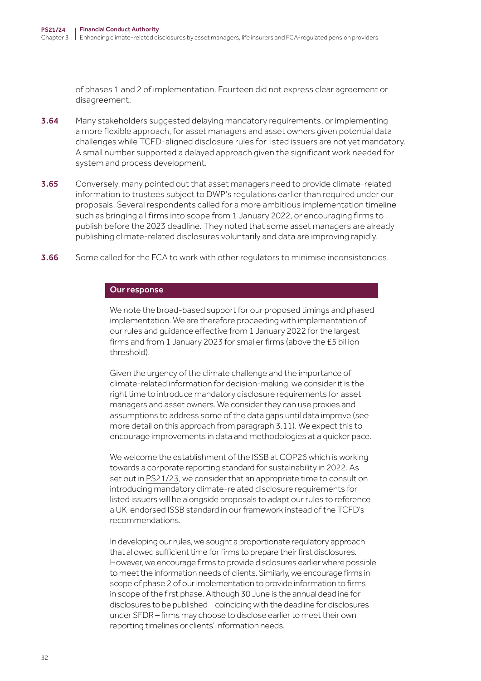of phases 1 and 2 of implementation. Fourteen did not express clear agreement or disagreement.

- **3.64** Many stakeholders suggested delaying mandatory requirements, or implementing a more flexible approach, for asset managers and asset owners given potential data challenges while TCFD-aligned disclosure rules for listed issuers are not yet mandatory. A small number supported a delayed approach given the significant work needed for system and process development.
- 3.65 Conversely, many pointed out that asset managers need to provide climate-related information to trustees subject to DWP's regulations earlier than required under our proposals. Several respondents called for a more ambitious implementation timeline such as bringing all firms into scope from 1 January 2022, or encouraging firms to publish before the 2023 deadline. They noted that some asset managers are already publishing climate-related disclosures voluntarily and data are improving rapidly.
- **3.66** Some called for the FCA to work with other regulators to minimise inconsistencies.

#### Our response

We note the broad-based support for our proposed timings and phased implementation. We are therefore proceeding with implementation of our rules and guidance effective from 1 January 2022 for the largest firms and from 1 January 2023 for smaller firms (above the £5 billion threshold).

Given the urgency of the climate challenge and the importance of climate-related information for decision-making, we consider it is the right time to introduce mandatory disclosure requirements for asset managers and asset owners. We consider they can use proxies and assumptions to address some of the data gaps until data improve (see more detail on this approach from paragraph 3.11). We expect this to encourage improvements in data and methodologies at a quicker pace.

We welcome the establishment of the ISSB at COP26 which is working towards a corporate reporting standard for sustainability in 2022. As set out in [PS21/](https://www.fca.org.uk/publication/policy/ps21-23.pdf)23, we consider that an appropriate time to consult on introducing mandatory climate-related disclosure requirements for listed issuers will be alongside proposals to adapt our rules to reference a UK-endorsed ISSB standard in our framework instead of the TCFD's recommendations.

In developing our rules, we sought a proportionate regulatory approach that allowed sufficient time for firms to prepare their first disclosures. However, we encourage firms to provide disclosures earlier where possible to meet the information needs of clients. Similarly, we encourage firms in scope of phase 2 of our implementation to provide information to firms in scope of the first phase. Although 30 June is the annual deadline for disclosures to be published – coinciding with the deadline for disclosures under SFDR – firms may choose to disclose earlier to meet their own reporting timelines or clients' information needs.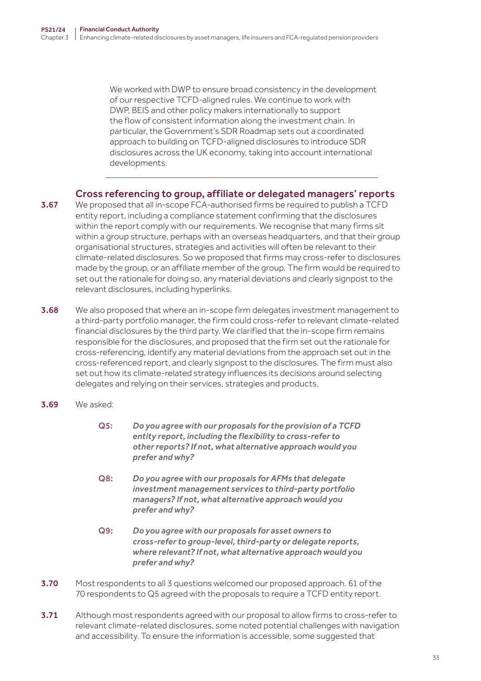We worked with DWP to ensure broad consistency in the development of our respective TCFD-aligned rules. We continue to work with DWP, BEIS and other policy makers internationally to support the flow of consistent information along the investment chain. In particular, the Government's SDR Roadmap sets out a coordinated approach to building on TCFD-aligned disclosures to introduce SDR disclosures across the UK economy, taking into account international developments.

## Cross referencing to group, affiliate or delegated managers' reports

- **3.67** We proposed that all in-scope FCA-authorised firms be required to publish a TCFD entity report, including a compliance statement confirming that the disclosures within the report comply with our requirements. We recognise that many firms sit within a group structure, perhaps with an overseas headquarters, and that their group organisational structures, strategies and activities will often be relevant to their climate-related disclosures. So we proposed that firms may cross-refer to disclosures made by the group, or an affiliate member of the group. The firm would be required to set out the rationale for doing so, any material deviations and clearly signpost to the relevant disclosures, including hyperlinks.
- 3.68 We also proposed that where an in-scope firm delegates investment management to a third-party portfolio manager, the firm could cross-refer to relevant climate-related financial disclosures by the third party. We clarified that the in-scope firm remains responsible for the disclosures, and proposed that the firm set out the rationale for cross-referencing, identify any material deviations from the approach set out in the cross-referenced report, and clearly signpost to the disclosures. The firm must also set out how its climate-related strategy influences its decisions around selecting delegates and relying on their services, strategies and products.
- 3.69 We asked:
	- Q5: *Do you agree with our proposals for the provision of a TCFD entity report, including the flexibility to cross‑refer to other reports? If not, what alternative approach would you prefer and why?*
	- Q8: *Do you agree with our proposals for AFMs that delegate investment management services to third‑party portfolio managers? If not, what alternative approach would you prefer and why?*
	- Q9: *Do you agree with our proposals for asset owners to cross‑refer to group‑level, third‑party or delegate reports, where relevant? If not, what alternative approach would you prefer and why?*
- 3.70 Most respondents to all 3 questions welcomed our proposed approach. 61 of the 70 respondents to Q5 agreed with the proposals to require a TCFD entity report.
- **3.71** Although most respondents agreed with our proposal to allow firms to cross-refer to relevant climate-related disclosures, some noted potential challenges with navigation and accessibility. To ensure the information is accessible, some suggested that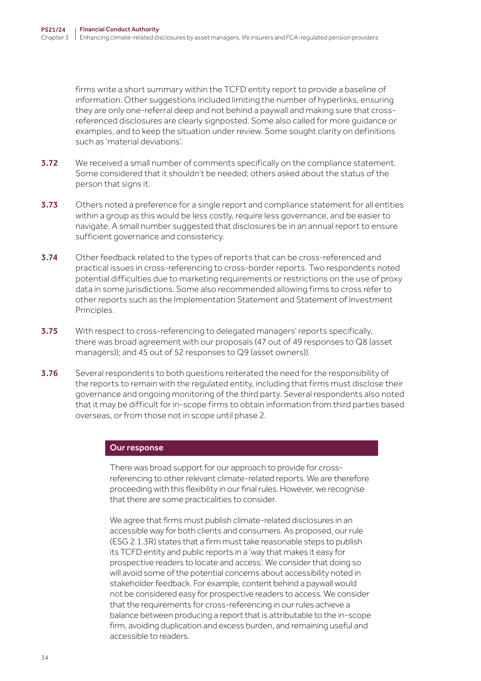firms write a short summary within the TCFD entity report to provide a baseline of information. Other suggestions included limiting the number of hyperlinks, ensuring they are only one-referral deep and not behind a paywall and making sure that crossreferenced disclosures are clearly signposted. Some also called for more guidance or examples, and to keep the situation under review. Some sought clarity on definitions such as 'material deviations'.

- **3.72** We received a small number of comments specifically on the compliance statement. Some considered that it shouldn't be needed; others asked about the status of the person that signs it.
- **3.73** Others noted a preference for a single report and compliance statement for all entities within a group as this would be less costly, require less governance, and be easier to navigate. A small number suggested that disclosures be in an annual report to ensure sufficient governance and consistency.
- 3.74 Other feedback related to the types of reports that can be cross-referenced and practical issues in cross-referencing to cross-border reports. Two respondents noted potential difficulties due to marketing requirements or restrictions on the use of proxy data in some jurisdictions. Some also recommended allowing firms to cross refer to other reports such as the Implementation Statement and Statement of Investment Principles.
- 3.75 With respect to cross-referencing to delegated managers' reports specifically, there was broad agreement with our proposals (47 out of 49 responses to Q8 (asset managers)); and 45 out of 52 responses to Q9 (asset owners)).
- 3.76 Several respondents to both questions reiterated the need for the responsibility of the reports to remain with the regulated entity, including that firms must disclose their governance and ongoing monitoring of the third party. Several respondents also noted that it may be difficult for in-scope firms to obtain information from third parties based overseas, or from those not in scope until phase 2.

#### Our response

There was broad support for our approach to provide for crossreferencing to other relevant climate-related reports. We are therefore proceeding with this flexibility in our final rules. However, we recognise that there are some practicalities to consider.

We agree that firms must publish climate-related disclosures in an accessible way for both clients and consumers. As proposed, our rule (ESG 2.1.3R) states that a firm must take reasonable steps to publish its TCFD entity and public reports in a 'way that makes it easy for prospective readers to locate and access'. We consider that doing so will avoid some of the potential concerns about accessibility noted in stakeholder feedback. For example, content behind a paywall would not be considered easy for prospective readers to access. We consider that the requirements for cross-referencing in our rules achieve a balance between producing a report that is attributable to the in-scope firm, avoiding duplication and excess burden, and remaining useful and accessible to readers.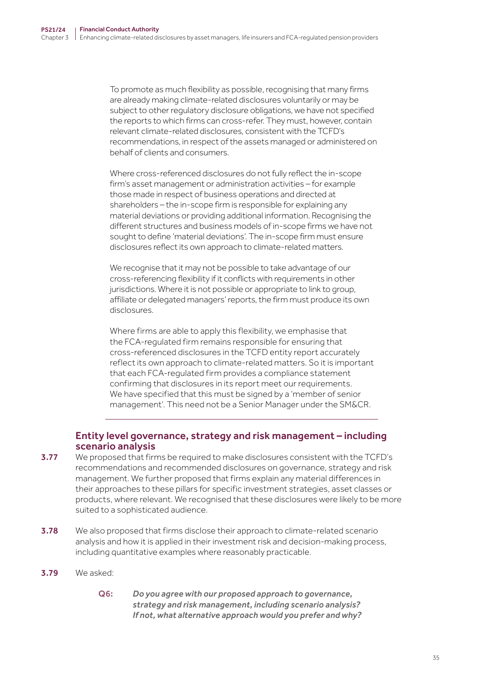To promote as much flexibility as possible, recognising that many firms are already making climate-related disclosures voluntarily or may be subject to other regulatory disclosure obligations, we have not specified the reports to which firms can cross-refer. They must, however, contain relevant climate-related disclosures, consistent with the TCFD's recommendations, in respect of the assets managed or administered on behalf of clients and consumers.

Where cross-referenced disclosures do not fully reflect the in-scope firm's asset management or administration activities – for example those made in respect of business operations and directed at shareholders – the in-scope firm is responsible for explaining any material deviations or providing additional information. Recognising the different structures and business models of in-scope firms we have not sought to define 'material deviations'. The in-scope firm must ensure disclosures reflect its own approach to climate-related matters.

We recognise that it may not be possible to take advantage of our cross-referencing flexibility if it conflicts with requirements in other jurisdictions. Where it is not possible or appropriate to link to group, affiliate or delegated managers' reports, the firm must produce its own disclosures.

Where firms are able to apply this flexibility, we emphasise that the FCA-regulated firm remains responsible for ensuring that cross-referenced disclosures in the TCFD entity report accurately reflect its own approach to climate-related matters. So it is important that each FCA-regulated firm provides a compliance statement confirming that disclosures in its report meet our requirements. We have specified that this must be signed by a 'member of senior management'. This need not be a Senior Manager under the SM&CR.

## Entity level governance, strategy and risk management – including scenario analysis

- 3.77 We proposed that firms be required to make disclosures consistent with the TCFD's recommendations and recommended disclosures on governance, strategy and risk management. We further proposed that firms explain any material differences in their approaches to these pillars for specific investment strategies, asset classes or products, where relevant. We recognised that these disclosures were likely to be more suited to a sophisticated audience.
- **3.78** We also proposed that firms disclose their approach to climate-related scenario analysis and how it is applied in their investment risk and decision-making process, including quantitative examples where reasonably practicable.
- 3.79 We asked:
	- Q6: *Do you agree with our proposed approach to governance, strategy and risk management, including scenario analysis? If not, what alternative approach would you prefer and why?*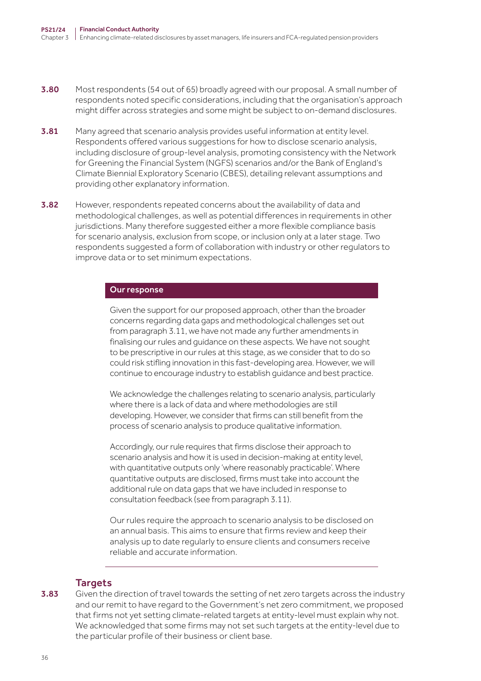- **3.80** Most respondents (54 out of 65) broadly agreed with our proposal. A small number of respondents noted specific considerations, including that the organisation's approach might differ across strategies and some might be subject to on-demand disclosures.
- **3.81** Many agreed that scenario analysis provides useful information at entity level. Respondents offered various suggestions for how to disclose scenario analysis, including disclosure of group-level analysis, promoting consistency with the Network for Greening the Financial System (NGFS) scenarios and/or the Bank of England's Climate Biennial Exploratory Scenario (CBES), detailing relevant assumptions and providing other explanatory information.
- 3.82 However, respondents repeated concerns about the availability of data and methodological challenges, as well as potential differences in requirements in other jurisdictions. Many therefore suggested either a more flexible compliance basis for scenario analysis, exclusion from scope, or inclusion only at a later stage. Two respondents suggested a form of collaboration with industry or other regulators to improve data or to set minimum expectations.

#### Our response

Given the support for our proposed approach, other than the broader concerns regarding data gaps and methodological challenges set out from paragraph 3.11, we have not made any further amendments in finalising our rules and guidance on these aspects. We have not sought to be prescriptive in our rules at this stage, as we consider that to do so could risk stifling innovation in this fast-developing area. However, we will continue to encourage industry to establish guidance and best practice.

We acknowledge the challenges relating to scenario analysis, particularly where there is a lack of data and where methodologies are still developing. However, we consider that firms can still benefit from the process of scenario analysis to produce qualitative information.

Accordingly, our rule requires that firms disclose their approach to scenario analysis and how it is used in decision-making at entity level, with quantitative outputs only 'where reasonably practicable'. Where quantitative outputs are disclosed, firms must take into account the additional rule on data gaps that we have included in response to consultation feedback (see from paragraph 3.11).

Our rules require the approach to scenario analysis to be disclosed on an annual basis. This aims to ensure that firms review and keep their analysis up to date regularly to ensure clients and consumers receive reliable and accurate information.

#### **Targets**

**3.83** Given the direction of travel towards the setting of net zero targets across the industry and our remit to have regard to the Government's net zero commitment, we proposed that firms not yet setting climate-related targets at entity-level must explain why not. We acknowledged that some firms may not set such targets at the entity-level due to the particular profile of their business or client base.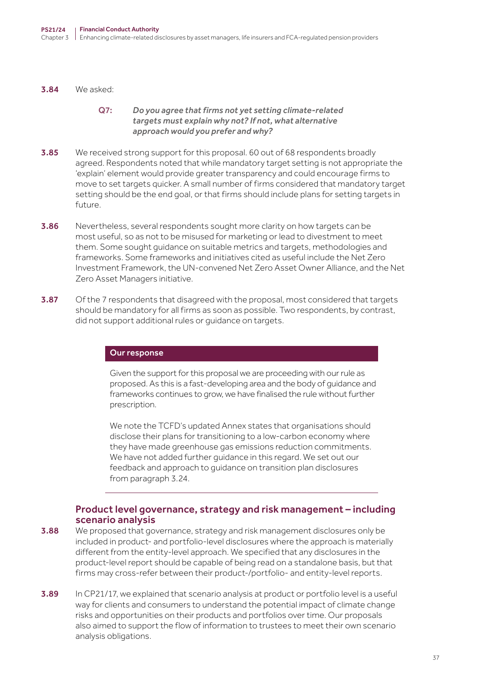3.84 We asked:

#### Q7: *Do you agree that firms not yet setting climate‑related targets must explain why not? If not, what alternative approach would you prefer and why?*

- **3.85** We received strong support for this proposal. 60 out of 68 respondents broadly agreed. Respondents noted that while mandatory target setting is not appropriate the 'explain' element would provide greater transparency and could encourage firms to move to set targets quicker. A small number of firms considered that mandatory target setting should be the end goal, or that firms should include plans for setting targets in future.
- 3.86 Nevertheless, several respondents sought more clarity on how targets can be most useful, so as not to be misused for marketing or lead to divestment to meet them. Some sought guidance on suitable metrics and targets, methodologies and frameworks. Some frameworks and initiatives cited as useful include the Net Zero Investment Framework, the UN-convened Net Zero Asset Owner Alliance, and the Net Zero Asset Managers initiative.
- **3.87** Of the 7 respondents that disagreed with the proposal, most considered that targets should be mandatory for all firms as soon as possible. Two respondents, by contrast, did not support additional rules or guidance on targets.

#### Our response

Given the support for this proposal we are proceeding with our rule as proposed. As this is a fast-developing area and the body of guidance and frameworks continues to grow, we have finalised the rule without further prescription.

We note the TCFD's updated Annex states that organisations should disclose their plans for transitioning to a low-carbon economy where they have made greenhouse gas emissions reduction commitments. We have not added further guidance in this regard. We set out our feedback and approach to guidance on transition plan disclosures from paragraph 3.24.

## Product level governance, strategy and risk management – including scenario analysis

- **3.88** We proposed that governance, strategy and risk management disclosures only be included in product- and portfolio-level disclosures where the approach is materially different from the entity-level approach. We specified that any disclosures in the product-level report should be capable of being read on a standalone basis, but that firms may cross-refer between their product-/portfolio- and entity-level reports.
- **3.89** In CP21/17, we explained that scenario analysis at product or portfolio level is a useful way for clients and consumers to understand the potential impact of climate change risks and opportunities on their products and portfolios over time. Our proposals also aimed to support the flow of information to trustees to meet their own scenario analysis obligations.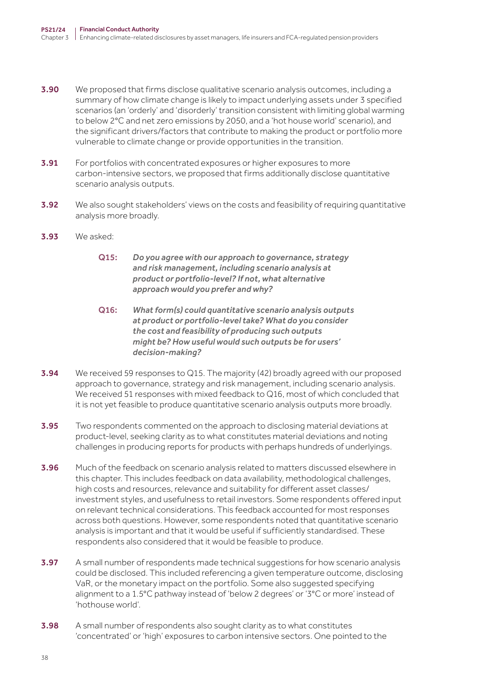- **3.90** We proposed that firms disclose qualitative scenario analysis outcomes, including a summary of how climate change is likely to impact underlying assets under 3 specified scenarios (an 'orderly' and 'disorderly' transition consistent with limiting global warming to below 2°C and net zero emissions by 2050, and a 'hot house world' scenario), and the significant drivers/factors that contribute to making the product or portfolio more vulnerable to climate change or provide opportunities in the transition.
- **3.91** For portfolios with concentrated exposures or higher exposures to more carbon-intensive sectors, we proposed that firms additionally disclose quantitative scenario analysis outputs.
- **3.92** We also sought stakeholders' views on the costs and feasibility of requiring quantitative analysis more broadly.
- 3.93 We asked:
	- Q15: *Do you agree with our approach to governance, strategy and risk management, including scenario analysis at product or portfolio‑level? If not, what alternative approach would you prefer and why?*
	- Q16: *What form(s) could quantitative scenario analysis outputs at product or portfolio‑level take? What do you consider the cost and feasibility of producing such outputs might be? How useful would such outputs be for users' decision‑making?*
- **3.94** We received 59 responses to Q15. The majority (42) broadly agreed with our proposed approach to governance, strategy and risk management, including scenario analysis. We received 51 responses with mixed feedback to Q16, most of which concluded that it is not yet feasible to produce quantitative scenario analysis outputs more broadly.
- 3.95 Two respondents commented on the approach to disclosing material deviations at product-level, seeking clarity as to what constitutes material deviations and noting challenges in producing reports for products with perhaps hundreds of underlyings.
- **3.96** Much of the feedback on scenario analysis related to matters discussed elsewhere in this chapter. This includes feedback on data availability, methodological challenges, high costs and resources, relevance and suitability for different asset classes/ investment styles, and usefulness to retail investors. Some respondents offered input on relevant technical considerations. This feedback accounted for most responses across both questions. However, some respondents noted that quantitative scenario analysis is important and that it would be useful if sufficiently standardised. These respondents also considered that it would be feasible to produce.
- **3.97** A small number of respondents made technical suggestions for how scenario analysis could be disclosed. This included referencing a given temperature outcome, disclosing VaR, or the monetary impact on the portfolio. Some also suggested specifying alignment to a 1.5°C pathway instead of 'below 2 degrees' or '3°C or more' instead of 'hothouse world'.
- 3.98 A small number of respondents also sought clarity as to what constitutes 'concentrated' or 'high' exposures to carbon intensive sectors. One pointed to the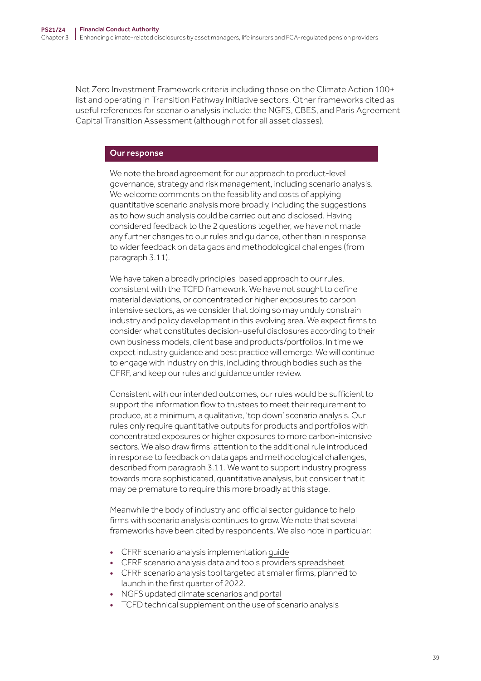Net Zero Investment Framework criteria including those on the Climate Action 100+ list and operating in Transition Pathway Initiative sectors. Other frameworks cited as useful references for scenario analysis include: the NGFS, CBES, and Paris Agreement Capital Transition Assessment (although not for all asset classes).

#### Our response

We note the broad agreement for our approach to product-level governance, strategy and risk management, including scenario analysis. We welcome comments on the feasibility and costs of applying quantitative scenario analysis more broadly, including the suggestions as to how such analysis could be carried out and disclosed. Having considered feedback to the 2 questions together, we have not made any further changes to our rules and guidance, other than in response to wider feedback on data gaps and methodological challenges (from paragraph 3.11).

We have taken a broadly principles-based approach to our rules, consistent with the TCFD framework. We have not sought to define material deviations, or concentrated or higher exposures to carbon intensive sectors, as we consider that doing so may unduly constrain industry and policy development in this evolving area. We expect firms to consider what constitutes decision-useful disclosures according to their own business models, client base and products/portfolios. In time we expect industry guidance and best practice will emerge. We will continue to engage with industry on this, including through bodies such as the CFRF, and keep our rules and guidance under review.

Consistent with our intended outcomes, our rules would be sufficient to support the information flow to trustees to meet their requirement to produce, at a minimum, a qualitative, 'top down' scenario analysis. Our rules only require quantitative outputs for products and portfolios with concentrated exposures or higher exposures to more carbon-intensive sectors. We also draw firms' attention to the additional rule introduced in response to feedback on data gaps and methodological challenges, described from paragraph 3.11. We want to support industry progress towards more sophisticated, quantitative analysis, but consider that it may be premature to require this more broadly at this stage.

Meanwhile the body of industry and official sector guidance to help firms with scenario analysis continues to grow. We note that several frameworks have been cited by respondents. We also note in particular:

- CFRF scenario analysis implementation [guide](https://www.fca.org.uk/publication/corporate/climate-financial-risk-forum-guide-2021-scenario-analysis.pdf)
- CFRF scenario analysis data and tools providers [spreadsheet](https://www.fca.org.uk/publication/corporate/climate-financial-risk-forum-climate-risk-product-providers-2021.xlsx)
- CFRF scenario analysis tool targeted at smaller firms, planned to launch in the first quarter of 2022.
- NGFS updated [climate scenarios](https://www.ngfs.net/sites/default/files/media/2021/08/27/ngfs_climate_scenarios_phase2_june2021.pdf) and [portal](https://www.ngfs.net/ngfs-scenarios-portal/)
- TCFD [technical supplement](https://assets.bbhub.io/company/sites/60/2020/10/FINAL-TCFD-Technical-Supplement-062917.pdf) on the use of scenario analysis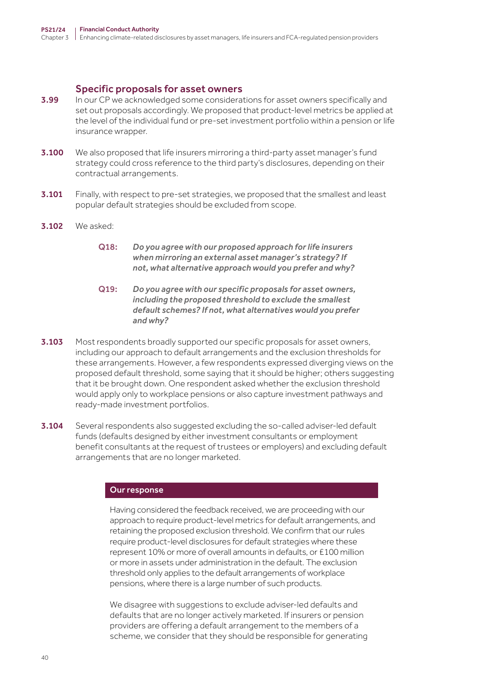#### Specific proposals for asset owners

- **3.99** In our CP we acknowledged some considerations for asset owners specifically and set out proposals accordingly. We proposed that product-level metrics be applied at the level of the individual fund or pre-set investment portfolio within a pension or life insurance wrapper.
- **3.100** We also proposed that life insurers mirroring a third-party asset manager's fund strategy could cross reference to the third party's disclosures, depending on their contractual arrangements.
- **3.101** Finally, with respect to pre-set strategies, we proposed that the smallest and least popular default strategies should be excluded from scope.
- 3.102 We asked:
	- Q18: *Do you agree with our proposed approach for life insurers when mirroring an external asset manager's strategy? If not, what alternative approach would you prefer and why?*
	- Q19: *Do you agree with our specific proposals for asset owners, including the proposed threshold to exclude the smallest default schemes? If not, what alternatives would you prefer and why?*
- **3.103** Most respondents broadly supported our specific proposals for asset owners, including our approach to default arrangements and the exclusion thresholds for these arrangements. However, a few respondents expressed diverging views on the proposed default threshold, some saying that it should be higher; others suggesting that it be brought down. One respondent asked whether the exclusion threshold would apply only to workplace pensions or also capture investment pathways and ready-made investment portfolios.
- 3.104 Several respondents also suggested excluding the so-called adviser-led default funds (defaults designed by either investment consultants or employment benefit consultants at the request of trustees or employers) and excluding default arrangements that are no longer marketed.

#### Our response

Having considered the feedback received, we are proceeding with our approach to require product-level metrics for default arrangements, and retaining the proposed exclusion threshold. We confirm that our rules require product-level disclosures for default strategies where these represent 10% or more of overall amounts in defaults, or £100 million or more in assets under administration in the default. The exclusion threshold only applies to the default arrangements of workplace pensions, where there is a large number of such products.

We disagree with suggestions to exclude adviser-led defaults and defaults that are no longer actively marketed. If insurers or pension providers are offering a default arrangement to the members of a scheme, we consider that they should be responsible for generating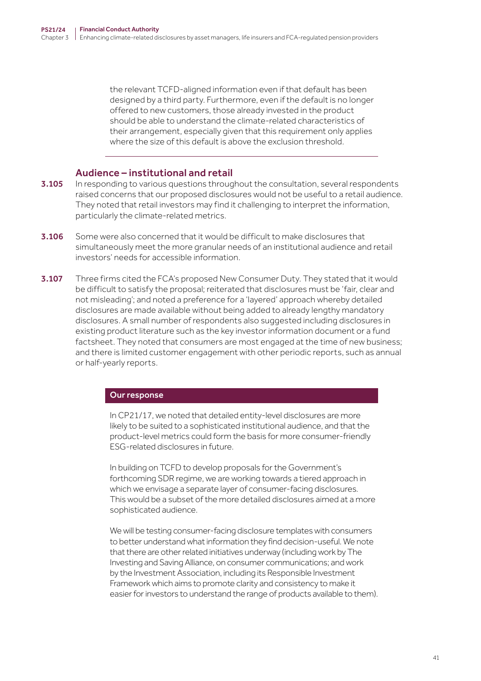the relevant TCFD-aligned information even if that default has been designed by a third party. Furthermore, even if the default is no longer offered to new customers, those already invested in the product should be able to understand the climate-related characteristics of their arrangement, especially given that this requirement only applies where the size of this default is above the exclusion threshold.

## Audience – institutional and retail

- 3.105 In responding to various questions throughout the consultation, several respondents raised concerns that our proposed disclosures would not be useful to a retail audience. They noted that retail investors may find it challenging to interpret the information, particularly the climate-related metrics.
- 3.106 Some were also concerned that it would be difficult to make disclosures that simultaneously meet the more granular needs of an institutional audience and retail investors' needs for accessible information.
- **3.107** Three firms cited the FCA's proposed New Consumer Duty. They stated that it would be difficult to satisfy the proposal; reiterated that disclosures must be 'fair, clear and not misleading'; and noted a preference for a 'layered' approach whereby detailed disclosures are made available without being added to already lengthy mandatory disclosures. A small number of respondents also suggested including disclosures in existing product literature such as the key investor information document or a fund factsheet. They noted that consumers are most engaged at the time of new business; and there is limited customer engagement with other periodic reports, such as annual or half-yearly reports.

#### Our response

In CP21/17, we noted that detailed entity-level disclosures are more likely to be suited to a sophisticated institutional audience, and that the product-level metrics could form the basis for more consumer-friendly ESG-related disclosures in future.

In building on TCFD to develop proposals for the Government's forthcoming SDR regime, we are working towards a tiered approach in which we envisage a separate layer of consumer-facing disclosures. This would be a subset of the more detailed disclosures aimed at a more sophisticated audience.

We will be testing consumer-facing disclosure templates with consumers to better understand what information they find decision-useful. We note that there are other related initiatives underway (including work by The Investing and Saving Alliance, on consumer communications; and work by the Investment Association, including its Responsible Investment Framework which aims to promote clarity and consistency to make it easier for investors to understand the range of products available to them).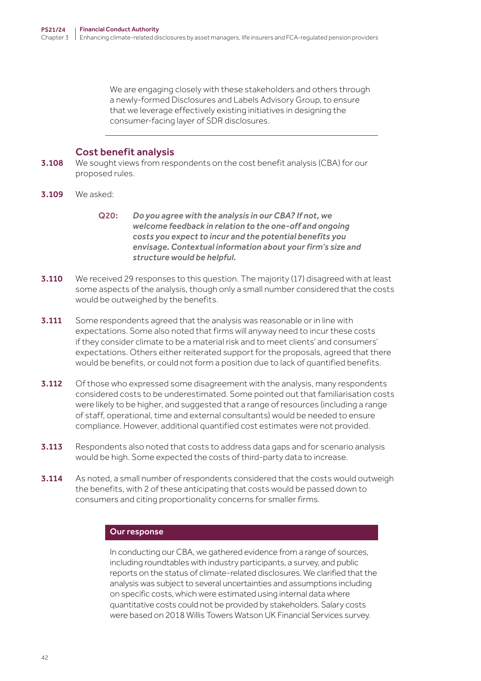We are engaging closely with these stakeholders and others through a newly-formed Disclosures and Labels Advisory Group, to ensure that we leverage effectively existing initiatives in designing the consumer-facing layer of SDR disclosures.

## Cost benefit analysis

- **3.108** We sought views from respondents on the cost benefit analysis (CBA) for our proposed rules.
- 3.109 We asked:
	- Q20: *Do you agree with the analysis in our CBA? If not, we welcome feedback in relation to the one‑off and ongoing costs you expect to incur and the potential benefits you envisage. Contextual information about your firm's size and structure would be helpful.*
- **3.110** We received 29 responses to this question. The majority (17) disagreed with at least some aspects of the analysis, though only a small number considered that the costs would be outweighed by the benefits.
- **3.111** Some respondents agreed that the analysis was reasonable or in line with expectations. Some also noted that firms will anyway need to incur these costs if they consider climate to be a material risk and to meet clients' and consumers' expectations. Others either reiterated support for the proposals, agreed that there would be benefits, or could not form a position due to lack of quantified benefits.
- **3.112** Of those who expressed some disagreement with the analysis, many respondents considered costs to be underestimated. Some pointed out that familiarisation costs were likely to be higher, and suggested that a range of resources (including a range of staff, operational, time and external consultants) would be needed to ensure compliance. However, additional quantified cost estimates were not provided.
- **3.113** Respondents also noted that costs to address data gaps and for scenario analysis would be high. Some expected the costs of third-party data to increase.
- **3.114** As noted, a small number of respondents considered that the costs would outweigh the benefits, with 2 of these anticipating that costs would be passed down to consumers and citing proportionality concerns for smaller firms.

#### Our response

In conducting our CBA, we gathered evidence from a range of sources, including roundtables with industry participants, a survey, and public reports on the status of climate-related disclosures. We clarified that the analysis was subject to several uncertainties and assumptions including on specific costs, which were estimated using internal data where quantitative costs could not be provided by stakeholders. Salary costs were based on 2018 Willis Towers Watson UK Financial Services survey.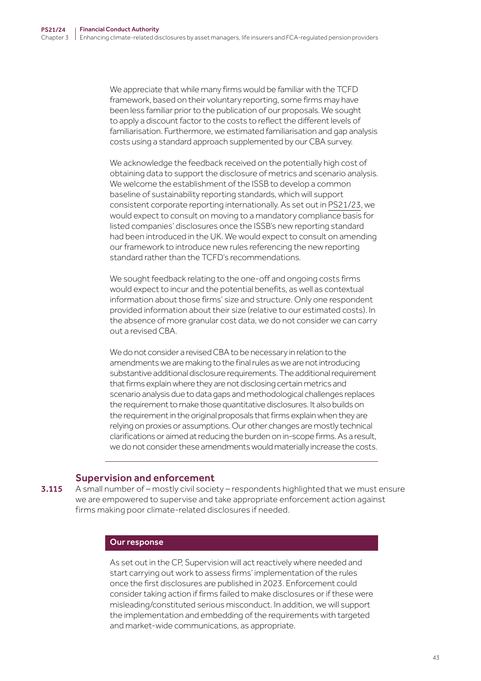We appreciate that while many firms would be familiar with the TCFD framework, based on their voluntary reporting, some firms may have been less familiar prior to the publication of our proposals. We sought to apply a discount factor to the costs to reflect the different levels of familiarisation. Furthermore, we estimated familiarisation and gap analysis costs using a standard approach supplemented by our CBA survey.

We acknowledge the feedback received on the potentially high cost of obtaining data to support the disclosure of metrics and scenario analysis. We welcome the establishment of the ISSB to develop a common baseline of sustainability reporting standards, which will support consistent corporate reporting internationally. As set out in [PS21/23,](https://www.fca.org.uk/publication/policy/ps21-23.pdf) we would expect to consult on moving to a mandatory compliance basis for listed companies' disclosures once the ISSB's new reporting standard had been introduced in the UK. We would expect to consult on amending our framework to introduce new rules referencing the new reporting standard rather than the TCFD's recommendations.

We sought feedback relating to the one-off and ongoing costs firms would expect to incur and the potential benefits, as well as contextual information about those firms' size and structure. Only one respondent provided information about their size (relative to our estimated costs). In the absence of more granular cost data, we do not consider we can carry out a revised CBA.

We do not consider a revised CBA to be necessary in relation to the amendments we are making to the final rules as we are not introducing substantive additional disclosure requirements. The additional requirement that firms explain where they are not disclosing certain metrics and scenario analysis due to data gaps and methodological challenges replaces the requirement to make those quantitative disclosures. It also builds on the requirement in the original proposals that firms explain when they are relying on proxies or assumptions. Our other changes are mostly technical clarifications or aimed at reducing the burden on in-scope firms. As a result, we do not consider these amendments would materially increase the costs.

## Supervision and enforcement

3.115 A small number of – mostly civil society – respondents highlighted that we must ensure we are empowered to supervise and take appropriate enforcement action against firms making poor climate-related disclosures if needed.

#### Our response

As set out in the CP, Supervision will act reactively where needed and start carrying out work to assess firms' implementation of the rules once the first disclosures are published in 2023. Enforcement could consider taking action if firms failed to make disclosures or if these were misleading/constituted serious misconduct. In addition, we will support the implementation and embedding of the requirements with targeted and market-wide communications, as appropriate.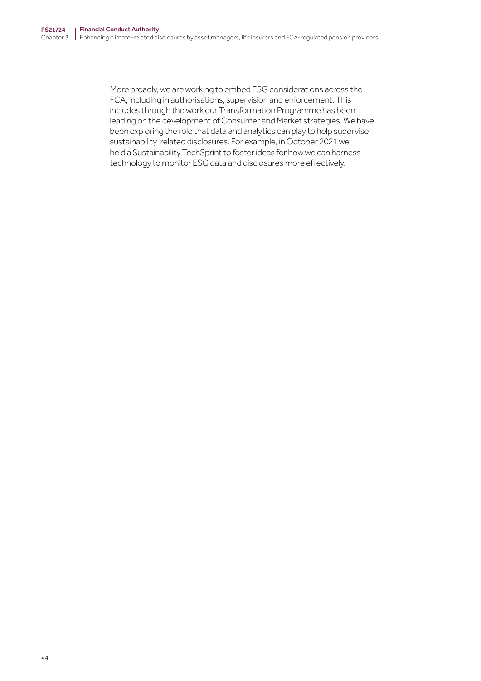More broadly, we are working to embed ESG considerations across the FCA, including in authorisations, supervision and enforcement. This includes through the work our Transformation Programme has been leading on the development of Consumer and Market strategies. We have been exploring the role that data and analytics can play to help supervise sustainability-related disclosures. For example, in October 2021 we held a [Sustainability TechSprint](https://www.fca.org.uk/firms/innovation/regtech/techsprints) to foster ideas for how we can harness technology to monitor ESG data and disclosures more effectively.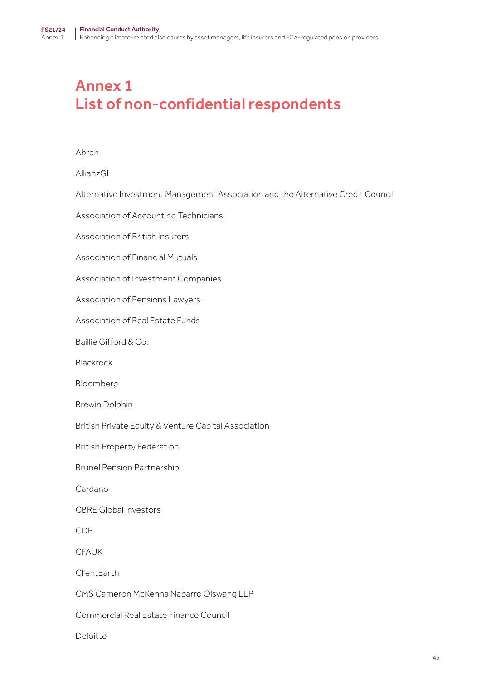## Annex 1 List of non-confidential respondents

#### Abrdn

AllianzGI

Alternative Investment Management Association and the Alternative Credit Council

Association of Accounting Technicians

Association of British Insurers

Association of Financial Mutuals

Association of Investment Companies

Association of Pensions Lawyers

Association of Real Estate Funds

Baillie Gifford & Co.

Blackrock

Bloomberg

Brewin Dolphin

British Private Equity & Venture Capital Association

British Property Federation

Brunel Pension Partnership

Cardano

CBRE Global Investors

CDP

CFAUK

ClientEarth

CMS Cameron McKenna Nabarro Olswang LLP

Commercial Real Estate Finance Council

Deloitte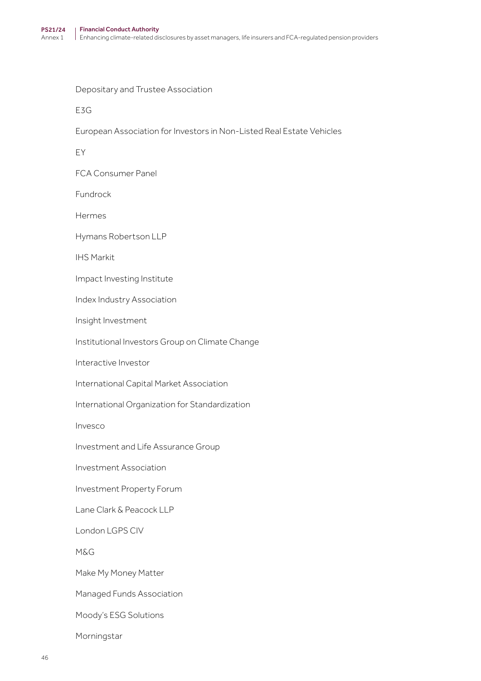Depositary and Trustee Association

E3G

European Association for Investors in Non-Listed Real Estate Vehicles

EY

FCA Consumer Panel

Fundrock

Hermes

Hymans Robertson LLP

IHS Markit

Impact Investing Institute

Index Industry Association

Insight Investment

Institutional Investors Group on Climate Change

Interactive Investor

International Capital Market Association

International Organization for Standardization

Invesco

Investment and Life Assurance Group

Investment Association

Investment Property Forum

Lane Clark & Peacock LLP

London LGPS CIV

M&G

Make My Money Matter

Managed Funds Association

Moody's ESG Solutions

Morningstar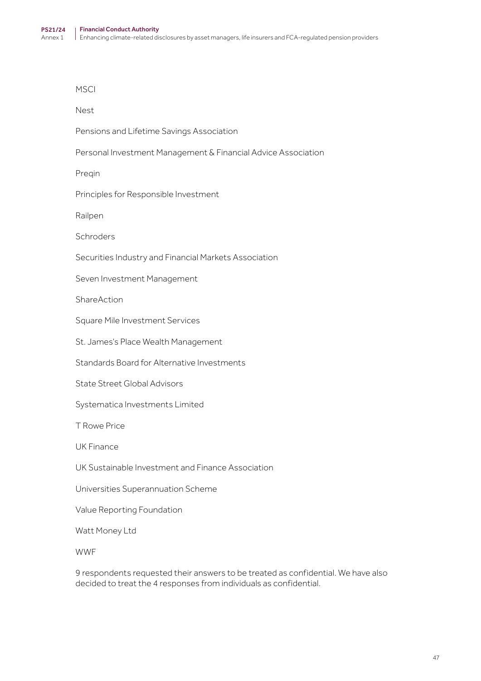**MSCI** 

Nest

Pensions and Lifetime Savings Association

Personal Investment Management & Financial Advice Association

Preqin

Principles for Responsible Investment

Railpen

Schroders

Securities Industry and Financial Markets Association

Seven Investment Management

ShareAction

Square Mile Investment Services

St. James's Place Wealth Management

Standards Board for Alternative Investments

State Street Global Advisors

Systematica Investments Limited

T Rowe Price

UK Finance

UK Sustainable Investment and Finance Association

Universities Superannuation Scheme

Value Reporting Foundation

Watt Money Ltd

WWF

9 respondents requested their answers to be treated as confidential. We have also decided to treat the 4 responses from individuals as confidential.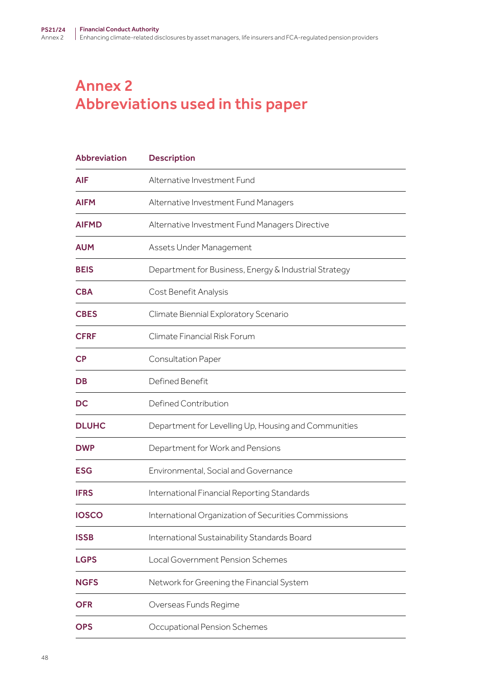## Annex 2 Abbreviations used in this paper

| <b>Abbreviation</b>    | <b>Description</b>                                    |
|------------------------|-------------------------------------------------------|
| <b>AIF</b>             | Alternative Investment Fund                           |
| <b>AIFM</b>            | Alternative Investment Fund Managers                  |
| <b>AIFMD</b>           | Alternative Investment Fund Managers Directive        |
| <b>AUM</b>             | Assets Under Management                               |
| <b>BEIS</b>            | Department for Business, Energy & Industrial Strategy |
| <b>CBA</b>             | Cost Benefit Analysis                                 |
| <b>CBES</b>            | Climate Biennial Exploratory Scenario                 |
| <b>CFRF</b>            | Climate Financial Risk Forum                          |
| $\mathsf{C}\mathsf{P}$ | <b>Consultation Paper</b>                             |
| <b>DB</b>              | Defined Benefit                                       |
| <b>DC</b>              | Defined Contribution                                  |
| <b>DLUHC</b>           | Department for Levelling Up, Housing and Communities  |
| <b>DWP</b>             | Department for Work and Pensions                      |
| <b>ESG</b>             | Environmental, Social and Governance                  |
| <b>IFRS</b>            | International Financial Reporting Standards           |
| <b>IOSCO</b>           | International Organization of Securities Commissions  |
| <b>ISSB</b>            | International Sustainability Standards Board          |
| <b>LGPS</b>            | Local Government Pension Schemes                      |
| <b>NGFS</b>            | Network for Greening the Financial System             |
| <b>OFR</b>             | Overseas Funds Regime                                 |
| <b>OPS</b>             | Occupational Pension Schemes                          |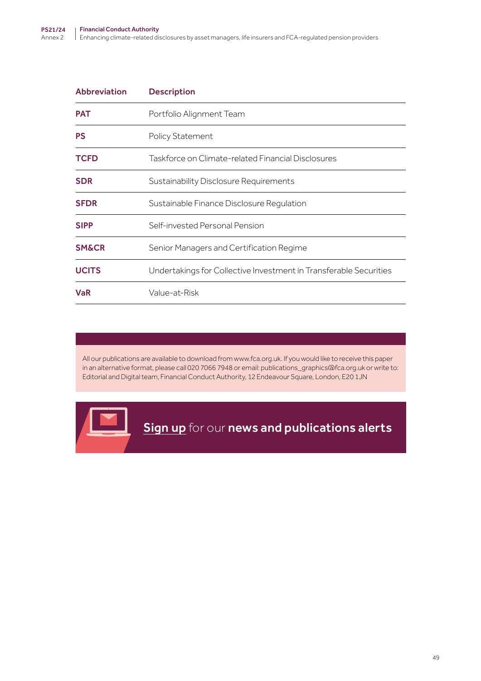| <b>PAT</b><br>Portfolio Alignment Team<br><b>PS</b><br><b>Policy Statement</b><br><b>TCFD</b><br>Taskforce on Climate-related Financial Disclosures<br><b>SDR</b><br>Sustainability Disclosure Requirements<br><b>SFDR</b><br>Sustainable Finance Disclosure Regulation<br><b>SIPP</b><br>Self-invested Personal Pension<br><b>SM&amp;CR</b><br>Senior Managers and Certification Regime<br><b>UCITS</b><br>Undertakings for Collective Investment in Transferable Securities<br><b>VaR</b><br>Value-at-Risk | <b>Abbreviation</b> | <b>Description</b> |
|--------------------------------------------------------------------------------------------------------------------------------------------------------------------------------------------------------------------------------------------------------------------------------------------------------------------------------------------------------------------------------------------------------------------------------------------------------------------------------------------------------------|---------------------|--------------------|
|                                                                                                                                                                                                                                                                                                                                                                                                                                                                                                              |                     |                    |
|                                                                                                                                                                                                                                                                                                                                                                                                                                                                                                              |                     |                    |
|                                                                                                                                                                                                                                                                                                                                                                                                                                                                                                              |                     |                    |
|                                                                                                                                                                                                                                                                                                                                                                                                                                                                                                              |                     |                    |
|                                                                                                                                                                                                                                                                                                                                                                                                                                                                                                              |                     |                    |
|                                                                                                                                                                                                                                                                                                                                                                                                                                                                                                              |                     |                    |
|                                                                                                                                                                                                                                                                                                                                                                                                                                                                                                              |                     |                    |
|                                                                                                                                                                                                                                                                                                                                                                                                                                                                                                              |                     |                    |
|                                                                                                                                                                                                                                                                                                                                                                                                                                                                                                              |                     |                    |

All our publications are available to download from www.fca.org.uk. If you would like to receive this paper in an alternative format, please call 020 7066 7948 or email: publications\_graphics@fca.org.uk or write to: Editorial and Digital team, Financial Conduct Authority, 12 Endeavour Square, London, E20 1JN

**[Sign up](https://www.fca.org.uk/news-and-publications-email-alerts?doc=#utm_source=signup&utm_medium=document&utm_campaign=newsandpubs)** for our news and publications alerts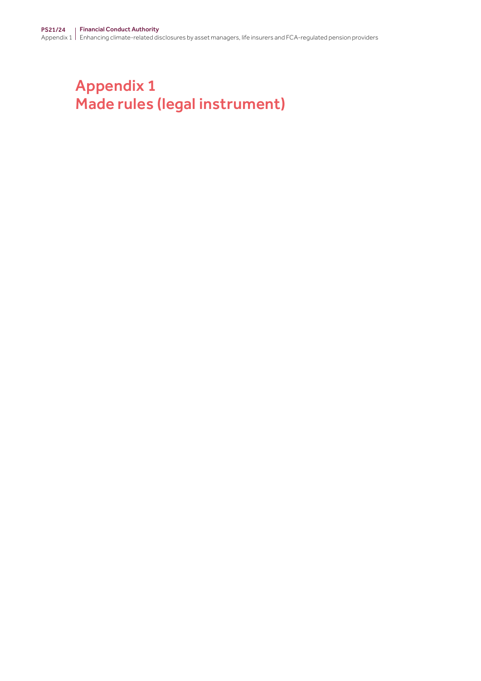# Appendix 1 Made rules (legal instrument)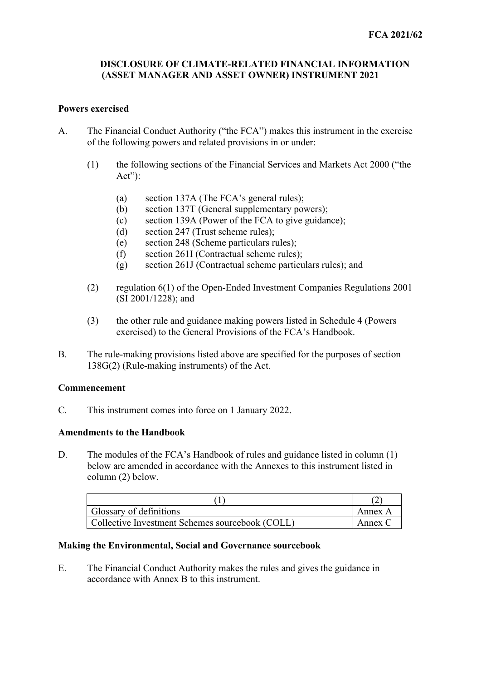## **DISCLOSURE OF CLIMATE-RELATED FINANCIAL INFORMATION (ASSET MANAGER AND ASSET OWNER) INSTRUMENT 2021**

## **Powers exercised**

- A. The Financial Conduct Authority ("the FCA") makes this instrument in the exercise of the following powers and related provisions in or under:
	- (1) the following sections of the Financial Services and Markets Act 2000 ("the Act"):
		- (a) section 137A (The FCA's general rules);
		- (b) section 137T (General supplementary powers);
		- (c) section 139A (Power of the FCA to give guidance);
		- (d) section 247 (Trust scheme rules);
		- (e) section 248 (Scheme particulars rules);
		- (f) section 261I (Contractual scheme rules);
		- (g) section 261J (Contractual scheme particulars rules); and
	- (2) regulation 6(1) of the Open-Ended Investment Companies Regulations 2001 (SI 2001/1228); and
	- (3) the other rule and guidance making powers listed in Schedule 4 (Powers exercised) to the General Provisions of the FCA's Handbook.
- B. The rule-making provisions listed above are specified for the purposes of section 138G(2) (Rule-making instruments) of the Act.

## **Commencement**

C. This instrument comes into force on 1 January 2022.

### **Amendments to the Handbook**

D. The modules of the FCA's Handbook of rules and guidance listed in column (1) below are amended in accordance with the Annexes to this instrument listed in column (2) below.

| Glossary of definitions                         | Annex A |
|-------------------------------------------------|---------|
| Collective Investment Schemes sourcebook (COLL) | Annex C |

## **Making the Environmental, Social and Governance sourcebook**

E. The Financial Conduct Authority makes the rules and gives the guidance in accordance with Annex B to this instrument.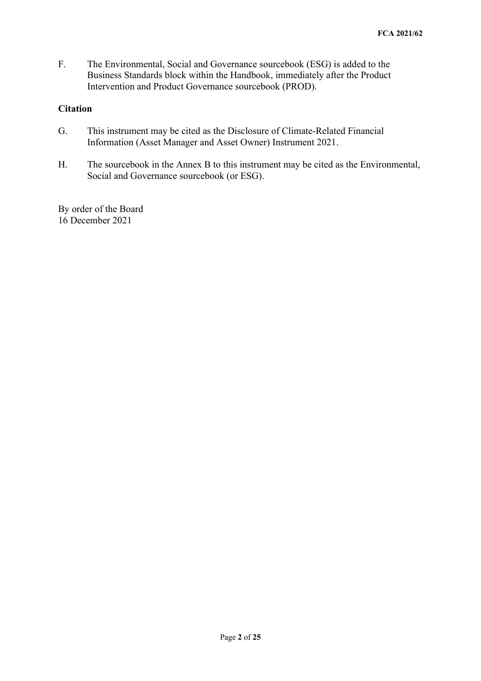F. The Environmental, Social and Governance sourcebook (ESG) is added to the Business Standards block within the Handbook, immediately after the Product Intervention and Product Governance sourcebook (PROD).

## **Citation**

- G. This instrument may be cited as the Disclosure of Climate-Related Financial Information (Asset Manager and Asset Owner) Instrument 2021.
- H. The sourcebook in the Annex B to this instrument may be cited as the Environmental, Social and Governance sourcebook (or ESG).

By order of the Board 16 December 2021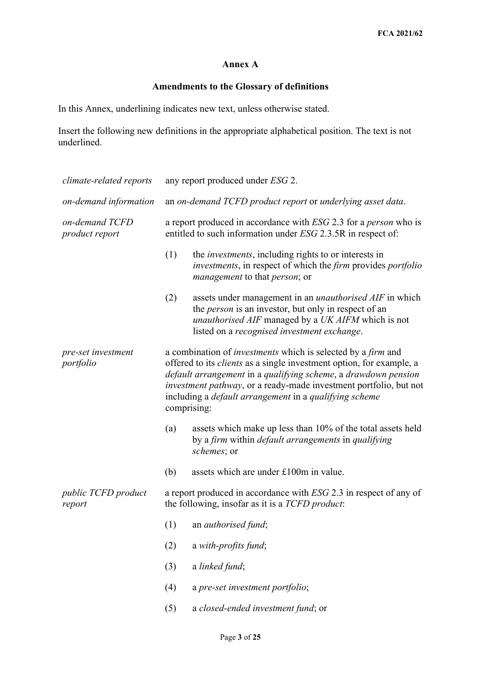## **Annex A**

## **Amendments to the Glossary of definitions**

In this Annex, underlining indicates new text, unless otherwise stated.

Insert the following new definitions in the appropriate alphabetical position. The text is not underlined.

| climate-related reports          | any report produced under ESG 2.                                                                                                                                                                                                                                                                                                                                                        |                                                                                                                                                                                                                                    |  |  |
|----------------------------------|-----------------------------------------------------------------------------------------------------------------------------------------------------------------------------------------------------------------------------------------------------------------------------------------------------------------------------------------------------------------------------------------|------------------------------------------------------------------------------------------------------------------------------------------------------------------------------------------------------------------------------------|--|--|
| on-demand information            | an on-demand TCFD product report or underlying asset data.                                                                                                                                                                                                                                                                                                                              |                                                                                                                                                                                                                                    |  |  |
| on-demand TCFD<br>product report | a report produced in accordance with ESG 2.3 for a <i>person</i> who is<br>entitled to such information under ESG 2.3.5R in respect of:                                                                                                                                                                                                                                                 |                                                                                                                                                                                                                                    |  |  |
|                                  | (1)                                                                                                                                                                                                                                                                                                                                                                                     | the <i>investments</i> , including rights to or interests in<br><i>investments</i> , in respect of which the <i>firm</i> provides <i>portfolio</i><br><i>management</i> to that <i>person</i> ; or                                 |  |  |
|                                  | (2)                                                                                                                                                                                                                                                                                                                                                                                     | assets under management in an <i>unauthorised AIF</i> in which<br>the <i>person</i> is an investor, but only in respect of an<br>unauthorised AIF managed by a UK AIFM which is not<br>listed on a recognised investment exchange. |  |  |
| pre-set investment<br>portfolio  | a combination of <i>investments</i> which is selected by a <i>firm</i> and<br>offered to its <i>clients</i> as a single investment option, for example, a<br>default arrangement in a qualifying scheme, a drawdown pension<br>investment pathway, or a ready-made investment portfolio, but not<br>including a <i>default arrangement</i> in a <i>qualifying scheme</i><br>comprising: |                                                                                                                                                                                                                                    |  |  |
|                                  | (a)                                                                                                                                                                                                                                                                                                                                                                                     | assets which make up less than 10% of the total assets held<br>by a firm within <i>default arrangements</i> in <i>qualifying</i><br><i>schemes</i> ; or                                                                            |  |  |
|                                  | (b)                                                                                                                                                                                                                                                                                                                                                                                     | assets which are under £100m in value.                                                                                                                                                                                             |  |  |
| public TCFD product<br>report    |                                                                                                                                                                                                                                                                                                                                                                                         | a report produced in accordance with ESG 2.3 in respect of any of<br>the following, insofar as it is a <i>TCFD product</i> :                                                                                                       |  |  |
|                                  | (1)                                                                                                                                                                                                                                                                                                                                                                                     | an <i>authorised</i> fund;                                                                                                                                                                                                         |  |  |
|                                  | (2)                                                                                                                                                                                                                                                                                                                                                                                     | a with-profits fund;                                                                                                                                                                                                               |  |  |
|                                  | (3)                                                                                                                                                                                                                                                                                                                                                                                     | a linked fund;                                                                                                                                                                                                                     |  |  |
|                                  | (4)                                                                                                                                                                                                                                                                                                                                                                                     | a pre-set investment portfolio;                                                                                                                                                                                                    |  |  |
|                                  | (5)                                                                                                                                                                                                                                                                                                                                                                                     | a closed-ended investment fund; or                                                                                                                                                                                                 |  |  |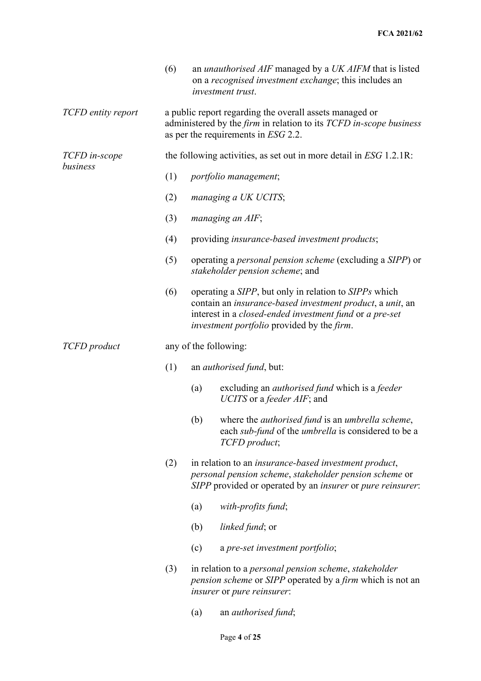|                           | (6) |                                                                                                                                                                                                                                            | an <i>unauthorised AIF</i> managed by a <i>UK AIFM</i> that is listed<br>on a recognised investment exchange; this includes an<br>investment trust.                                   |  |  |
|---------------------------|-----|--------------------------------------------------------------------------------------------------------------------------------------------------------------------------------------------------------------------------------------------|---------------------------------------------------------------------------------------------------------------------------------------------------------------------------------------|--|--|
| <b>TCFD</b> entity report |     | a public report regarding the overall assets managed or<br>administered by the firm in relation to its TCFD in-scope business<br>as per the requirements in ESG 2.2.                                                                       |                                                                                                                                                                                       |  |  |
| TCFD in-scope             |     |                                                                                                                                                                                                                                            | the following activities, as set out in more detail in $ESG$ 1.2.1R:                                                                                                                  |  |  |
| business                  | (1) |                                                                                                                                                                                                                                            | portfolio management;                                                                                                                                                                 |  |  |
|                           | (2) |                                                                                                                                                                                                                                            | managing a UK UCITS;                                                                                                                                                                  |  |  |
|                           | (3) |                                                                                                                                                                                                                                            | managing an AIF;                                                                                                                                                                      |  |  |
|                           | (4) |                                                                                                                                                                                                                                            | providing insurance-based investment products;                                                                                                                                        |  |  |
|                           | (5) |                                                                                                                                                                                                                                            | operating a <i>personal pension scheme</i> (excluding a <i>SIPP</i> ) or<br>stakeholder pension scheme; and                                                                           |  |  |
|                           | (6) | operating a SIPP, but only in relation to SIPPs which<br>contain an insurance-based investment product, a unit, an<br>interest in a closed-ended investment fund or a pre-set<br><i>investment portfolio</i> provided by the <i>firm</i> . |                                                                                                                                                                                       |  |  |
| TCFD product              |     |                                                                                                                                                                                                                                            | any of the following:                                                                                                                                                                 |  |  |
|                           | (1) |                                                                                                                                                                                                                                            | an <i>authorised fund</i> , but:                                                                                                                                                      |  |  |
|                           |     | (a)                                                                                                                                                                                                                                        | excluding an <i>authorised fund</i> which is a <i>feeder</i><br>UCITS or a <i>feeder AIF</i> ; and                                                                                    |  |  |
|                           |     | (b)                                                                                                                                                                                                                                        | where the <i>authorised fund</i> is an <i>umbrella scheme</i> ,<br>each sub-fund of the umbrella is considered to be a<br>TCFD product;                                               |  |  |
|                           | (2) |                                                                                                                                                                                                                                            | in relation to an <i>insurance-based investment product</i> ,<br>personal pension scheme, stakeholder pension scheme or<br>SIPP provided or operated by an insurer or pure reinsurer: |  |  |
|                           |     | (a)                                                                                                                                                                                                                                        | with-profits fund;                                                                                                                                                                    |  |  |
|                           |     | (b)                                                                                                                                                                                                                                        | <i>linked fund</i> ; or                                                                                                                                                               |  |  |
|                           |     | (c)                                                                                                                                                                                                                                        | a pre-set investment portfolio;                                                                                                                                                       |  |  |
|                           | (3) |                                                                                                                                                                                                                                            | in relation to a <i>personal pension scheme</i> , <i>stakeholder</i><br><i>pension scheme</i> or <i>SIPP</i> operated by a <i>firm</i> which is not an<br>insurer or pure reinsurer:  |  |  |
|                           |     | (a)                                                                                                                                                                                                                                        | an <i>authorised</i> fund;                                                                                                                                                            |  |  |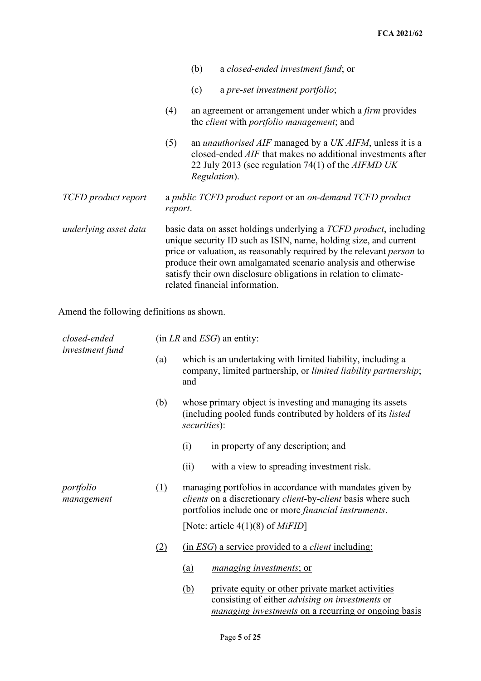|                       |                                                                                                                                                                                                                                                                                                                                                                                             | (b) | a closed-ended investment fund; or                                                                                                                                                                                         |
|-----------------------|---------------------------------------------------------------------------------------------------------------------------------------------------------------------------------------------------------------------------------------------------------------------------------------------------------------------------------------------------------------------------------------------|-----|----------------------------------------------------------------------------------------------------------------------------------------------------------------------------------------------------------------------------|
|                       |                                                                                                                                                                                                                                                                                                                                                                                             | (c) | a pre-set investment portfolio;                                                                                                                                                                                            |
|                       | (4)                                                                                                                                                                                                                                                                                                                                                                                         |     | an agreement or arrangement under which a <i>firm</i> provides<br>the <i>client</i> with <i>portfolio management</i> ; and                                                                                                 |
|                       | (5)                                                                                                                                                                                                                                                                                                                                                                                         |     | an <i>unauthorised AIF</i> managed by a <i>UK AIFM</i> , unless it is a<br>closed-ended <i>AIF</i> that makes no additional investments after<br>22 July 2013 (see regulation 74(1) of the <i>AIFMD UK</i><br>Regulation). |
| TCFD product report   | report.                                                                                                                                                                                                                                                                                                                                                                                     |     | a public TCFD product report or an on-demand TCFD product                                                                                                                                                                  |
| underlying asset data | basic data on asset holdings underlying a TCFD product, including<br>unique security ID such as ISIN, name, holding size, and current<br>price or valuation, as reasonably required by the relevant <i>person</i> to<br>produce their own amalgamated scenario analysis and otherwise<br>satisfy their own disclosure obligations in relation to climate-<br>related financial information. |     |                                                                                                                                                                                                                            |

Amend the following definitions as shown.

| closed-ended            |     | $(in LR and ESG)$ an entity:                                                                                                                                                      |
|-------------------------|-----|-----------------------------------------------------------------------------------------------------------------------------------------------------------------------------------|
| investment fund         | (a) | which is an undertaking with limited liability, including a<br>company, limited partnership, or limited liability partnership;<br>and                                             |
|                         | (b) | whose primary object is investing and managing its assets<br>(including pooled funds contributed by holders of its listed<br>securities):                                         |
|                         |     | in property of any description; and<br>(i)                                                                                                                                        |
|                         |     | with a view to spreading investment risk.<br>(ii)                                                                                                                                 |
| portfolio<br>management | (1) | managing portfolios in accordance with mandates given by<br>clients on a discretionary client-by-client basis where such<br>portfolios include one or more financial instruments. |
|                         |     | [Note: article $4(1)(8)$ of <i>MiFID</i> ]                                                                                                                                        |
|                         | (2) | (in <i>ESG</i> ) a service provided to a <i>client</i> including:                                                                                                                 |
|                         |     | <u>(a)</u><br><i>managing investments; or</i>                                                                                                                                     |
|                         |     | private equity or other private market activities<br>(b)<br>consisting of either <i>advising on investments</i> or<br><i>managing investments</i> on a recurring or ongoing basis |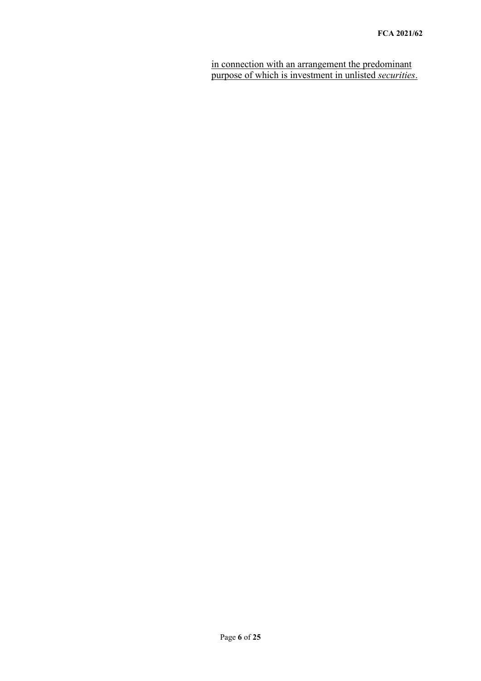in connection with an arrangement the predominant purpose of which is investment in unlisted *securities*.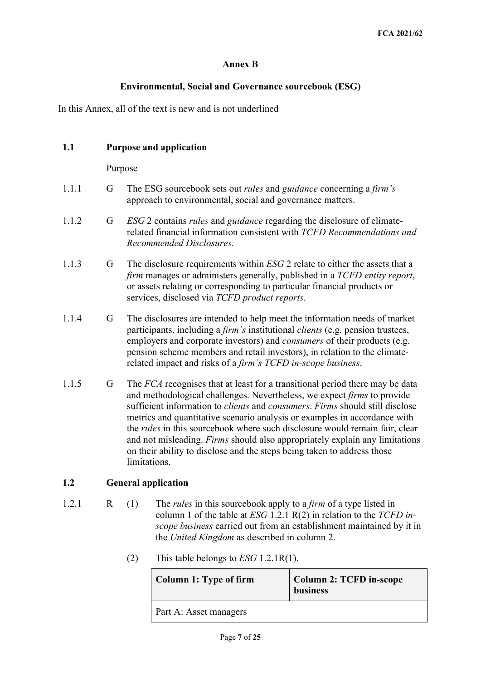## **Annex B**

## **Environmental, Social and Governance sourcebook (ESG)**

In this Annex, all of the text is new and is not underlined

## **1.1 Purpose and application**

Purpose

- 1.1.1 G The ESG sourcebook sets out *rules* and *guidance* concerning a *firm's* approach to environmental, social and governance matters.
- 1.1.2 G *ESG* 2 contains *rules* and *guidance* regarding the disclosure of climaterelated financial information consistent with *TCFD Recommendations and Recommended Disclosures*.
- 1.1.3 G The disclosure requirements within *ESG* 2 relate to either the assets that a *firm* manages or administers generally, published in a *TCFD entity report*, or assets relating or corresponding to particular financial products or services, disclosed via *TCFD product reports*.
- 1.1.4 G The disclosures are intended to help meet the information needs of market participants, including a *firm's* institutional *clients* (e.g. pension trustees, employers and corporate investors) and *consumers* of their products (e.g. pension scheme members and retail investors), in relation to the climaterelated impact and risks of a *firm's TCFD in-scope business*.
- 1.1.5 G The *FCA* recognises that at least for a transitional period there may be data and methodological challenges. Nevertheless, we expect *firms* to provide sufficient information to *clients* and *consumers*. *Firms* should still disclose metrics and quantitative scenario analysis or examples in accordance with the *rules* in this sourcebook where such disclosure would remain fair, clear and not misleading. *Firms* should also appropriately explain any limitations on their ability to disclose and the steps being taken to address those limitations.

## **1.2 General application**

- 1.2.1 R (1) The *rules* in this sourcebook apply to a *firm* of a type listed in column 1 of the table at *ESG* 1.2.1 R(2) in relation to the *TCFD inscope business* carried out from an establishment maintained by it in the *United Kingdom* as described in column 2.
	- (2) This table belongs to *ESG* 1.2.1R(1).

| Column 1: Type of firm | Column 2: TCFD in-scope<br><b>business</b> |
|------------------------|--------------------------------------------|
| Part A: Asset managers |                                            |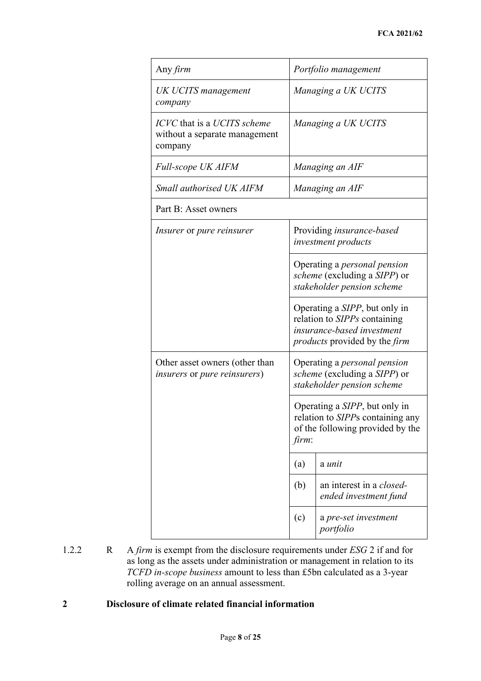| Any firm                                                                |       | Portfolio management                                                                                                                               |
|-------------------------------------------------------------------------|-------|----------------------------------------------------------------------------------------------------------------------------------------------------|
| <b>UK UCITS</b> management<br>company                                   |       | Managing a UK UCITS                                                                                                                                |
| ICVC that is a UCITS scheme<br>without a separate management<br>company |       | Managing a UK UCITS                                                                                                                                |
| <b>Full-scope UK AIFM</b>                                               |       | Managing an AIF                                                                                                                                    |
| Small authorised UK AIFM                                                |       | Managing an AIF                                                                                                                                    |
| Part B: Asset owners                                                    |       |                                                                                                                                                    |
| <i>Insurer</i> or <i>pure reinsurer</i>                                 |       | Providing insurance-based<br>investment products                                                                                                   |
|                                                                         |       | Operating a <i>personal pension</i><br>scheme (excluding a SIPP) or<br>stakeholder pension scheme                                                  |
|                                                                         |       | Operating a <i>SIPP</i> , but only in<br>relation to SIPPs containing<br>insurance-based investment<br><i>products</i> provided by the <i>firm</i> |
| Other asset owners (other than<br>insurers or pure reinsurers)          |       | Operating a <i>personal pension</i><br>scheme (excluding a SIPP) or<br>stakeholder pension scheme                                                  |
|                                                                         | firm: | Operating a <i>SIPP</i> , but only in<br>relation to <i>SIPP</i> s containing any<br>of the following provided by the                              |
|                                                                         | (a)   | a unit                                                                                                                                             |
|                                                                         | (b)   | an interest in a <i>closed</i> -<br>ended investment fund                                                                                          |
|                                                                         | (c)   | a pre-set investment<br>portfolio                                                                                                                  |

1.2.2 R A *firm* is exempt from the disclosure requirements under *ESG* 2 if and for as long as the assets under administration or management in relation to its *TCFD in-scope business* amount to less than £5bn calculated as a 3-year rolling average on an annual assessment.

## **2 Disclosure of climate related financial information**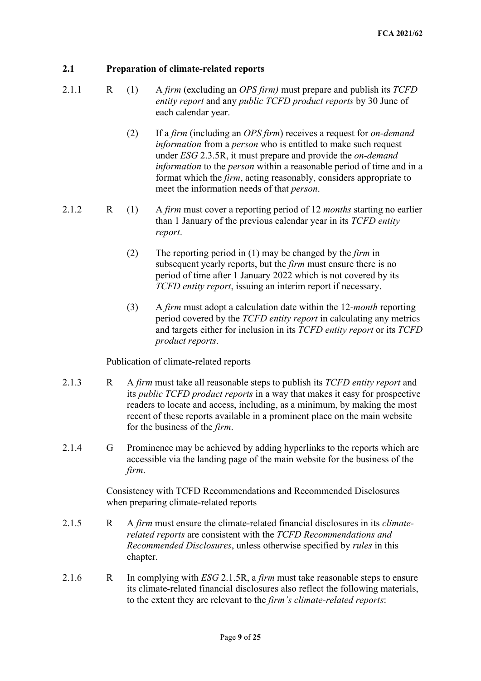## **2.1 Preparation of climate-related reports**

- 2.1.1 R (1) A *firm* (excluding an *OPS firm)* must prepare and publish its *TCFD entity report* and any *public TCFD product reports* by 30 June of each calendar year.
	- (2) If a *firm* (including an *OPS firm*) receives a request for *on-demand information* from a *person* who is entitled to make such request under *ESG* 2.3.5R, it must prepare and provide the *on-demand information* to the *person* within a reasonable period of time and in a format which the *firm*, acting reasonably, considers appropriate to meet the information needs of that *person*.
- 2.1.2 R (1) A *firm* must cover a reporting period of 12 *months* starting no earlier than 1 January of the previous calendar year in its *TCFD entity report*.
	- (2) The reporting period in (1) may be changed by the *firm* in subsequent yearly reports, but the *firm* must ensure there is no period of time after 1 January 2022 which is not covered by its *TCFD entity report*, issuing an interim report if necessary.
	- (3) A *firm* must adopt a calculation date within the 12-*month* reporting period covered by the *TCFD entity report* in calculating any metrics and targets either for inclusion in its *TCFD entity report* or its *TCFD product reports*.

Publication of climate-related reports

- 2.1.3 R A *firm* must take all reasonable steps to publish its *TCFD entity report* and its *public TCFD product reports* in a way that makes it easy for prospective readers to locate and access, including, as a minimum, by making the most recent of these reports available in a prominent place on the main website for the business of the *firm*.
- 2.1.4 G Prominence may be achieved by adding hyperlinks to the reports which are accessible via the landing page of the main website for the business of the *firm*.

Consistency with TCFD Recommendations and Recommended Disclosures when preparing climate-related reports

- 2.1.5 R A *firm* must ensure the climate-related financial disclosures in its *climaterelated reports* are consistent with the *TCFD Recommendations and Recommended Disclosures*, unless otherwise specified by *rules* in this chapter.
- 2.1.6 R In complying with *ESG* 2.1.5R, a *firm* must take reasonable steps to ensure its climate-related financial disclosures also reflect the following materials, to the extent they are relevant to the *firm's climate-related reports*: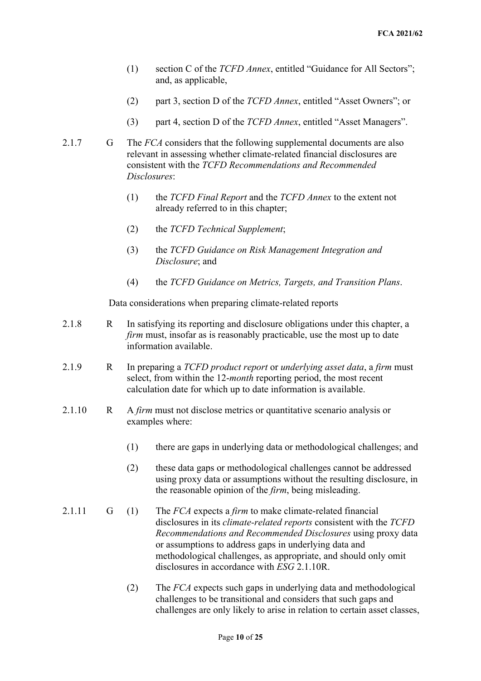- (1) section C of the *TCFD Annex*, entitled "Guidance for All Sectors"; and, as applicable,
- (2) part 3, section D of the *TCFD Annex*, entitled "Asset Owners"; or
- (3) part 4, section D of the *TCFD Annex*, entitled "Asset Managers".
- 2.1.7 G The *FCA* considers that the following supplemental documents are also relevant in assessing whether climate-related financial disclosures are consistent with the *TCFD Recommendations and Recommended Disclosures*:
	- (1) the *TCFD Final Report* and the *TCFD Annex* to the extent not already referred to in this chapter;
	- (2) the *TCFD Technical Supplement*;
	- (3) the *TCFD Guidance on Risk Management Integration and Disclosure*; and
	- (4) the *TCFD Guidance on Metrics, Targets, and Transition Plans*.

Data considerations when preparing climate-related reports

- 2.1.8 R In satisfying its reporting and disclosure obligations under this chapter, a *firm* must, insofar as is reasonably practicable, use the most up to date information available.
- 2.1.9 R In preparing a *TCFD product report* or *underlying asset data*, a *firm* must select, from within the 12-*month* reporting period, the most recent calculation date for which up to date information is available.
- 2.1.10 R A *firm* must not disclose metrics or quantitative scenario analysis or examples where:
	- (1) there are gaps in underlying data or methodological challenges; and
	- (2) these data gaps or methodological challenges cannot be addressed using proxy data or assumptions without the resulting disclosure, in the reasonable opinion of the *firm*, being misleading.
- 2.1.11 G (1) The *FCA* expects a *firm* to make climate-related financial disclosures in its *climate-related reports* consistent with the *TCFD Recommendations and Recommended Disclosures* using proxy data or assumptions to address gaps in underlying data and methodological challenges, as appropriate, and should only omit disclosures in accordance with *ESG* 2.1.10R.
	- (2) The *FCA* expects such gaps in underlying data and methodological challenges to be transitional and considers that such gaps and challenges are only likely to arise in relation to certain asset classes,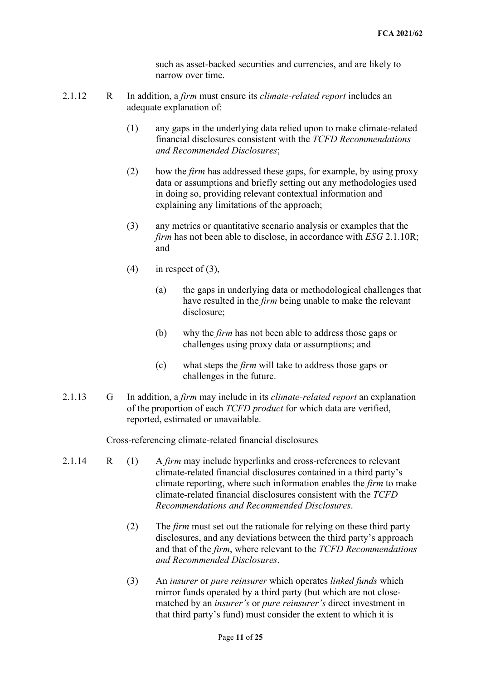such as asset-backed securities and currencies, and are likely to narrow over time.

- 2.1.12 R In addition, a *firm* must ensure its *climate-related report* includes an adequate explanation of:
	- (1) any gaps in the underlying data relied upon to make climate-related financial disclosures consistent with the *TCFD Recommendations and Recommended Disclosures*;
	- (2) how the *firm* has addressed these gaps, for example, by using proxy data or assumptions and briefly setting out any methodologies used in doing so, providing relevant contextual information and explaining any limitations of the approach;
	- (3) any metrics or quantitative scenario analysis or examples that the *firm* has not been able to disclose, in accordance with *ESG* 2.1.10R; and
	- $(4)$  in respect of  $(3)$ ,
		- (a) the gaps in underlying data or methodological challenges that have resulted in the *firm* being unable to make the relevant disclosure;
		- (b) why the *firm* has not been able to address those gaps or challenges using proxy data or assumptions; and
		- (c) what steps the *firm* will take to address those gaps or challenges in the future.
- 2.1.13 G In addition, a *firm* may include in its *climate-related report* an explanation of the proportion of each *TCFD product* for which data are verified, reported, estimated or unavailable.

Cross-referencing climate-related financial disclosures

- 2.1.14 R (1) A *firm* may include hyperlinks and cross-references to relevant climate-related financial disclosures contained in a third party's climate reporting, where such information enables the *firm* to make climate-related financial disclosures consistent with the *TCFD Recommendations and Recommended Disclosures*.
	- (2) The *firm* must set out the rationale for relying on these third party disclosures, and any deviations between the third party's approach and that of the *firm*, where relevant to the *TCFD Recommendations and Recommended Disclosures*.
	- (3) An *insurer* or *pure reinsurer* which operates *linked funds* which mirror funds operated by a third party (but which are not closematched by an *insurer's* or *pure reinsurer's* direct investment in that third party's fund) must consider the extent to which it is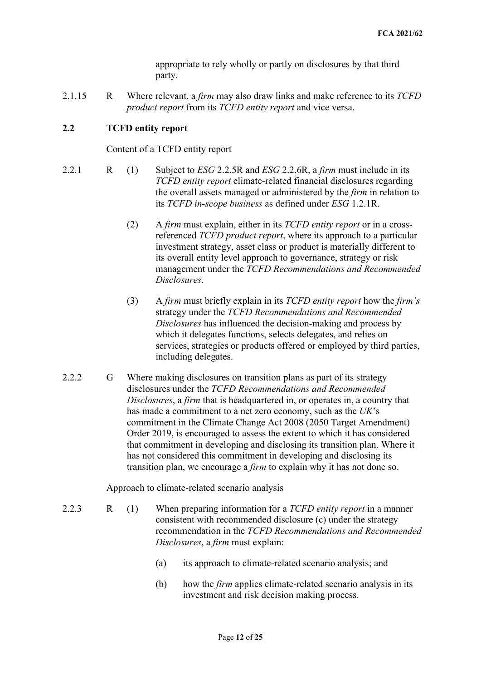appropriate to rely wholly or partly on disclosures by that third party.

2.1.15 R Where relevant, a *firm* may also draw links and make reference to its *TCFD product report* from its *TCFD entity report* and vice versa.

## **2.2 TCFD entity report**

Content of a TCFD entity report

- 2.2.1 R (1) Subject to *ESG* 2.2.5R and *ESG* 2.2.6R, a *firm* must include in its *TCFD entity report* climate-related financial disclosures regarding the overall assets managed or administered by the *firm* in relation to its *TCFD in-scope business* as defined under *ESG* 1.2.1R.
	- (2) A *firm* must explain, either in its *TCFD entity report* or in a crossreferenced *TCFD product report*, where its approach to a particular investment strategy, asset class or product is materially different to its overall entity level approach to governance, strategy or risk management under the *TCFD Recommendations and Recommended Disclosures*.
	- (3) A *firm* must briefly explain in its *TCFD entity report* how the *firm's* strategy under the *TCFD Recommendations and Recommended Disclosures* has influenced the decision-making and process by which it delegates functions, selects delegates, and relies on services, strategies or products offered or employed by third parties, including delegates.
- 2.2.2 G Where making disclosures on transition plans as part of its strategy disclosures under the *TCFD Recommendations and Recommended Disclosures*, a *firm* that is headquartered in, or operates in, a country that has made a commitment to a net zero economy, such as the *UK*'s commitment in the Climate Change Act 2008 (2050 Target Amendment) Order 2019, is encouraged to assess the extent to which it has considered that commitment in developing and disclosing its transition plan. Where it has not considered this commitment in developing and disclosing its transition plan, we encourage a *firm* to explain why it has not done so.

Approach to climate-related scenario analysis

- 2.2.3 R (1) When preparing information for a *TCFD entity report* in a manner consistent with recommended disclosure (c) under the strategy recommendation in the *TCFD Recommendations and Recommended Disclosures*, a *firm* must explain:
	- (a) its approach to climate-related scenario analysis; and
	- (b) how the *firm* applies climate-related scenario analysis in its investment and risk decision making process.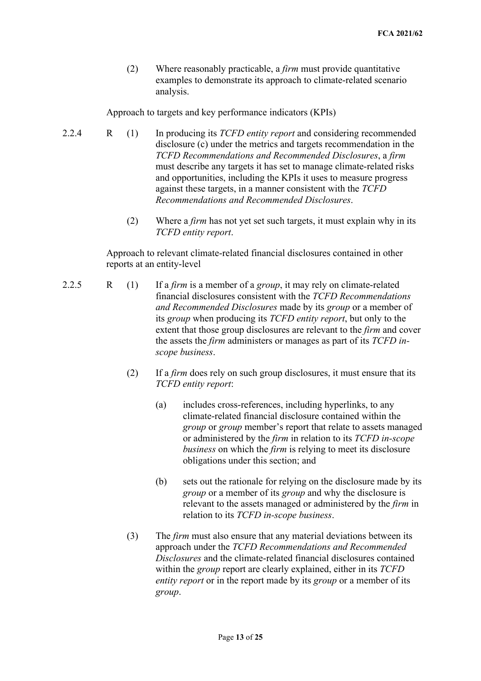(2) Where reasonably practicable, a *firm* must provide quantitative examples to demonstrate its approach to climate-related scenario analysis.

Approach to targets and key performance indicators (KPIs)

- 2.2.4 R (1) In producing its *TCFD entity report* and considering recommended disclosure (c) under the metrics and targets recommendation in the *TCFD Recommendations and Recommended Disclosures*, a *firm* must describe any targets it has set to manage climate-related risks and opportunities, including the KPIs it uses to measure progress against these targets, in a manner consistent with the *TCFD Recommendations and Recommended Disclosures*.
	- (2) Where a *firm* has not yet set such targets, it must explain why in its *TCFD entity report*.

Approach to relevant climate-related financial disclosures contained in other reports at an entity-level

- 2.2.5 R (1) If a *firm* is a member of a *group*, it may rely on climate-related financial disclosures consistent with the *TCFD Recommendations and Recommended Disclosures* made by its *group* or a member of its *group* when producing its *TCFD entity report*, but only to the extent that those group disclosures are relevant to the *firm* and cover the assets the *firm* administers or manages as part of its *TCFD inscope business*.
	- (2) If a *firm* does rely on such group disclosures, it must ensure that its *TCFD entity report*:
		- (a) includes cross-references, including hyperlinks, to any climate-related financial disclosure contained within the *group* or *group* member's report that relate to assets managed or administered by the *firm* in relation to its *TCFD in-scope business* on which the *firm* is relying to meet its disclosure obligations under this section; and
		- (b) sets out the rationale for relying on the disclosure made by its *group* or a member of its *group* and why the disclosure is relevant to the assets managed or administered by the *firm* in relation to its *TCFD in-scope business*.
	- (3) The *firm* must also ensure that any material deviations between its approach under the *TCFD Recommendations and Recommended Disclosures* and the climate-related financial disclosures contained within the *group* report are clearly explained, either in its *TCFD entity report* or in the report made by its *group* or a member of its *group*.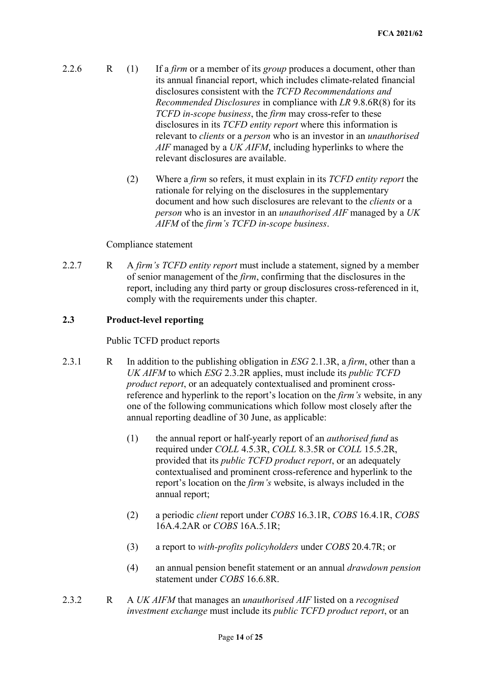- 2.2.6 R (1) If a *firm* or a member of its *group* produces a document, other than its annual financial report, which includes climate-related financial disclosures consistent with the *TCFD Recommendations and Recommended Disclosures* in compliance with *LR* 9.8.6R(8) for its *TCFD in-scope business*, the *firm* may cross-refer to these disclosures in its *TCFD entity report* where this information is relevant to *clients* or a *person* who is an investor in an *unauthorised AIF* managed by a *UK AIFM*, including hyperlinks to where the relevant disclosures are available.
	- (2) Where a *firm* so refers, it must explain in its *TCFD entity report* the rationale for relying on the disclosures in the supplementary document and how such disclosures are relevant to the *clients* or a *person* who is an investor in an *unauthorised AIF* managed by a *UK AIFM* of the *firm's TCFD in-scope business*.

#### Compliance statement

2.2.7 R A *firm's TCFD entity report* must include a statement, signed by a member of senior management of the *firm*, confirming that the disclosures in the report, including any third party or group disclosures cross-referenced in it, comply with the requirements under this chapter.

### **2.3 Product-level reporting**

#### Public TCFD product reports

- 2.3.1 R In addition to the publishing obligation in *ESG* 2.1.3R, a *firm*, other than a *UK AIFM* to which *ESG* 2.3.2R applies, must include its *public TCFD product report*, or an adequately contextualised and prominent crossreference and hyperlink to the report's location on the *firm's* website, in any one of the following communications which follow most closely after the annual reporting deadline of 30 June, as applicable:
	- (1) the annual report or half-yearly report of an *authorised fund* as required under *COLL* 4.5.3R, *COLL* 8.3.5R or *COLL* 15.5.2R, provided that its *public TCFD product report*, or an adequately contextualised and prominent cross-reference and hyperlink to the report's location on the *firm's* website, is always included in the annual report;
	- (2) a periodic *client* report under *COBS* 16.3.1R, *COBS* 16.4.1R, *COBS* 16A.4.2AR or *COBS* 16A.5.1R;
	- (3) a report to *with-profits policyholders* under *COBS* 20.4.7R; or
	- (4) an annual pension benefit statement or an annual *drawdown pension* statement under *COBS* 16.6.8R.
- 2.3.2 R A *UK AIFM* that manages an *unauthorised AIF* listed on a *recognised investment exchange* must include its *public TCFD product report*, or an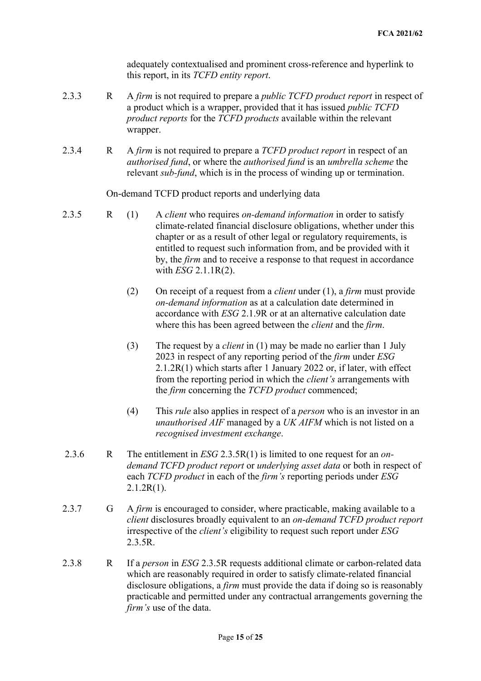adequately contextualised and prominent cross-reference and hyperlink to this report, in its *TCFD entity report*.

- 2.3.3 R A *firm* is not required to prepare a *public TCFD product report* in respect of a product which is a wrapper, provided that it has issued *public TCFD product reports* for the *TCFD products* available within the relevant wrapper.
- 2.3.4 R A *firm* is not required to prepare a *TCFD product report* in respect of an *authorised fund*, or where the *authorised fund* is an *umbrella scheme* the relevant *sub-fund*, which is in the process of winding up or termination.

On-demand TCFD product reports and underlying data

- 2.3.5 R (1) A *client* who requires *on-demand information* in order to satisfy climate-related financial disclosure obligations, whether under this chapter or as a result of other legal or regulatory requirements, is entitled to request such information from, and be provided with it by, the *firm* and to receive a response to that request in accordance with *ESG* 2.1.1R(2).
	- (2) On receipt of a request from a *client* under (1), a *firm* must provide *on-demand information* as at a calculation date determined in accordance with *ESG* 2.1.9R or at an alternative calculation date where this has been agreed between the *client* and the *firm*.
	- (3) The request by a *client* in (1) may be made no earlier than 1 July 2023 in respect of any reporting period of the *firm* under *ESG* 2.1.2R(1) which starts after 1 January 2022 or, if later, with effect from the reporting period in which the *client's* arrangements with the *firm* concerning the *TCFD product* commenced;
	- (4) This *rule* also applies in respect of a *person* who is an investor in an *unauthorised AIF* managed by a *UK AIFM* which is not listed on a *recognised investment exchange*.
- 2.3.6 R The entitlement in *ESG* 2.3.5R(1) is limited to one request for an *ondemand TCFD product report* or *underlying asset data* or both in respect of each *TCFD product* in each of the *firm's* reporting periods under *ESG*  $2.1.2R(1)$ .
- 2.3.7 G A *firm* is encouraged to consider, where practicable, making available to a *client* disclosures broadly equivalent to an *on-demand TCFD product report* irrespective of the *client's* eligibility to request such report under *ESG*  2.3.5R.
- 2.3.8 R If a *person* in *ESG* 2.3.5R requests additional climate or carbon-related data which are reasonably required in order to satisfy climate-related financial disclosure obligations, a *firm* must provide the data if doing so is reasonably practicable and permitted under any contractual arrangements governing the *firm's* use of the data.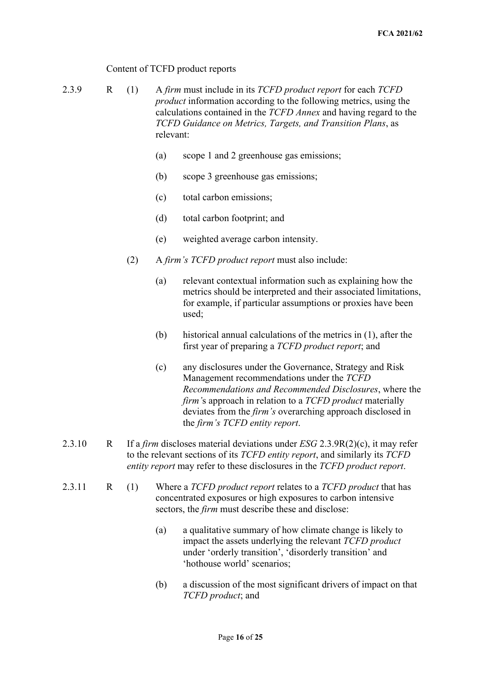## Content of TCFD product reports

2.3.9 R (1) A *firm* must include in its *TCFD product report* for each *TCFD product* information according to the following metrics, using the calculations contained in the *TCFD Annex* and having regard to the *TCFD Guidance on Metrics, Targets, and Transition Plans*, as relevant:

- (a) scope 1 and 2 greenhouse gas emissions;
- (b) scope 3 greenhouse gas emissions;
- (c) total carbon emissions;
- (d) total carbon footprint; and
- (e) weighted average carbon intensity.
- (2) A *firm's TCFD product report* must also include:
	- (a) relevant contextual information such as explaining how the metrics should be interpreted and their associated limitations, for example, if particular assumptions or proxies have been used;
	- (b) historical annual calculations of the metrics in (1), after the first year of preparing a *TCFD product report*; and
	- (c) any disclosures under the Governance, Strategy and Risk Management recommendations under the *TCFD Recommendations and Recommended Disclosures*, where the *firm'*s approach in relation to a *TCFD product* materially deviates from the *firm's* overarching approach disclosed in the *firm's TCFD entity report*.
- 2.3.10 R If a *firm* discloses material deviations under *ESG* 2.3.9R(2)(c), it may refer to the relevant sections of its *TCFD entity report*, and similarly its *TCFD entity report* may refer to these disclosures in the *TCFD product report*.
- 2.3.11 R (1) Where a *TCFD product report* relates to a *TCFD product* that has concentrated exposures or high exposures to carbon intensive sectors, the *firm* must describe these and disclose:
	- (a) a qualitative summary of how climate change is likely to impact the assets underlying the relevant *TCFD product* under 'orderly transition', 'disorderly transition' and 'hothouse world' scenarios;
	- (b) a discussion of the most significant drivers of impact on that *TCFD product*; and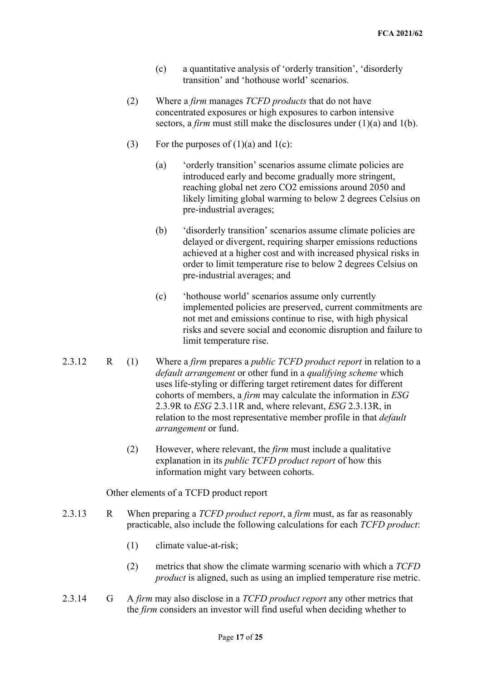- (c) a quantitative analysis of 'orderly transition', 'disorderly transition' and 'hothouse world' scenarios.
- (2) Where a *firm* manages *TCFD products* that do not have concentrated exposures or high exposures to carbon intensive sectors, a *firm* must still make the disclosures under (1)(a) and 1(b).
- (3) For the purposes of  $(1)(a)$  and  $1(c)$ :
	- (a) 'orderly transition' scenarios assume climate policies are introduced early and become gradually more stringent, reaching global net zero CO2 emissions around 2050 and likely limiting global warming to below 2 degrees Celsius on pre-industrial averages;
	- (b) 'disorderly transition' scenarios assume climate policies are delayed or divergent, requiring sharper emissions reductions achieved at a higher cost and with increased physical risks in order to limit temperature rise to below 2 degrees Celsius on pre-industrial averages; and
	- (c) 'hothouse world' scenarios assume only currently implemented policies are preserved, current commitments are not met and emissions continue to rise, with high physical risks and severe social and economic disruption and failure to limit temperature rise.
- 2.3.12 R (1) Where a *firm* prepares a *public TCFD product report* in relation to a *default arrangement* or other fund in a *qualifying scheme* which uses life-styling or differing target retirement dates for different cohorts of members, a *firm* may calculate the information in *ESG* 2.3.9R to *ESG* 2.3.11R and, where relevant, *ESG* 2.3.13R, in relation to the most representative member profile in that *default arrangement* or fund.
	- (2) However, where relevant, the *firm* must include a qualitative explanation in its *public TCFD product report* of how this information might vary between cohorts.

Other elements of a TCFD product report

- 2.3.13 R When preparing a *TCFD product report*, a *firm* must, as far as reasonably practicable, also include the following calculations for each *TCFD product*:
	- (1) climate value-at-risk;
	- (2) metrics that show the climate warming scenario with which a *TCFD product* is aligned, such as using an implied temperature rise metric.
- 2.3.14 G A *firm* may also disclose in a *TCFD product report* any other metrics that the *firm* considers an investor will find useful when deciding whether to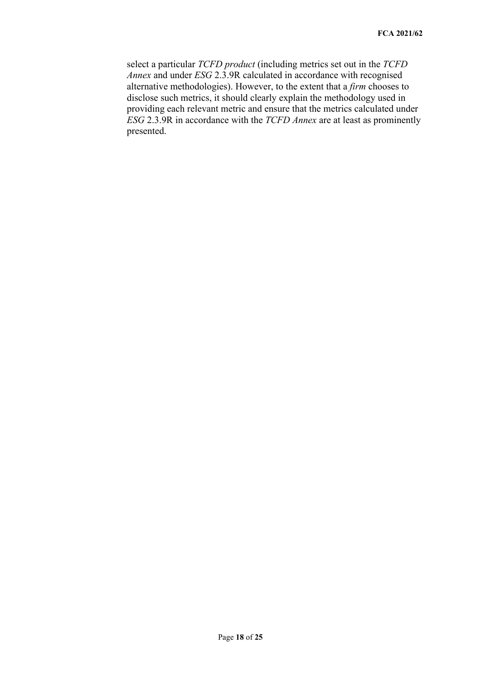select a particular *TCFD product* (including metrics set out in the *TCFD Annex* and under *ESG* 2.3.9R calculated in accordance with recognised alternative methodologies). However, to the extent that a *firm* chooses to disclose such metrics, it should clearly explain the methodology used in providing each relevant metric and ensure that the metrics calculated under *ESG* 2.3.9R in accordance with the *TCFD Annex* are at least as prominently presented.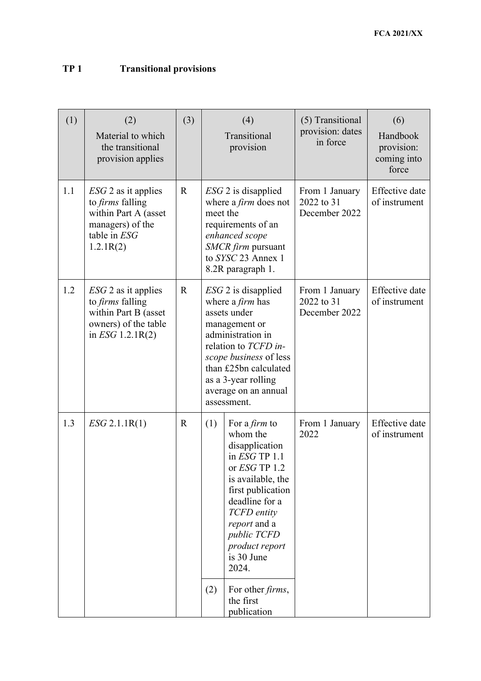## **TP 1 Transitional provisions**

| (1) | (2)<br>Material to which<br>the transitional<br>provision applies                                                         | (3)         | (4)<br>Transitional<br>provision                                                                                                                                                                                                                                                                                         | (5) Transitional<br>provision: dates<br>in force | (6)<br>Handbook<br>provision:<br>coming into<br>force |
|-----|---------------------------------------------------------------------------------------------------------------------------|-------------|--------------------------------------------------------------------------------------------------------------------------------------------------------------------------------------------------------------------------------------------------------------------------------------------------------------------------|--------------------------------------------------|-------------------------------------------------------|
| 1.1 | $ESG$ 2 as it applies<br>to <i>firms</i> falling<br>within Part A (asset<br>managers) of the<br>table in ESG<br>1.2.1R(2) | $\mathbf R$ | $ESG$ 2 is disapplied<br>where a <i>firm</i> does not<br>meet the<br>requirements of an<br>enhanced scope<br>SMCR firm pursuant<br>to SYSC 23 Annex 1<br>8.2R paragraph 1.                                                                                                                                               | From 1 January<br>2022 to 31<br>December 2022    | Effective date<br>of instrument                       |
| 1.2 | $ESG$ 2 as it applies<br>to <i>firms</i> falling<br>within Part B (asset<br>owners) of the table<br>in $ESG$ 1.2.1R(2)    | $\mathbf R$ | $ESG$ 2 is disapplied<br>where a <i>firm</i> has<br>assets under<br>management or<br>administration in<br>relation to TCFD in-<br>scope business of less<br>than £25bn calculated<br>as a 3-year rolling<br>average on an annual<br>assessment.                                                                          | From 1 January<br>2022 to 31<br>December 2022    | Effective date<br>of instrument                       |
| 1.3 | $ESG$ 2.1.1R(1)                                                                                                           | $\mathbf R$ | (1)<br>For a <i>firm</i> to<br>whom the<br>disapplication<br>in $ESG$ TP $1.1$<br>or ESG TP 1.2<br>is available, the<br>first publication<br>deadline for a<br>TCFD entity<br><i>report</i> and a<br>public TCFD<br>product report<br>is 30 June<br>2024.<br>(2)<br>For other <i>firms</i> ,<br>the first<br>publication | From 1 January<br>2022                           | <b>Effective</b> date<br>of instrument                |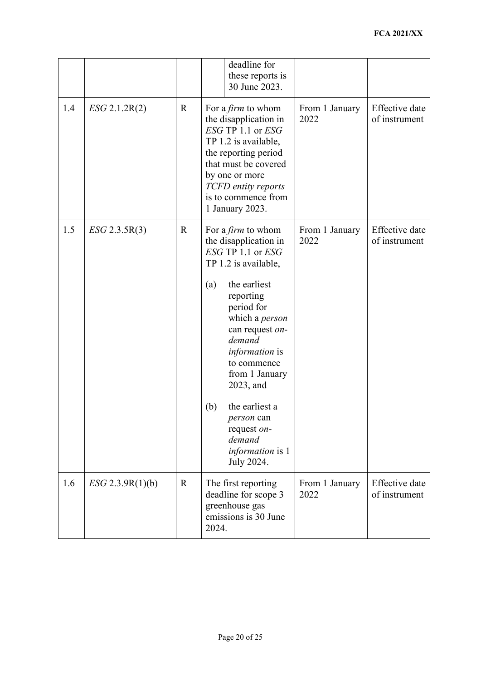|     |                    |             | deadline for<br>these reports is<br>30 June 2023.                                                                                                                                                                                                                                                                                                                                       |                        |                                        |
|-----|--------------------|-------------|-----------------------------------------------------------------------------------------------------------------------------------------------------------------------------------------------------------------------------------------------------------------------------------------------------------------------------------------------------------------------------------------|------------------------|----------------------------------------|
| 1.4 | $ESG$ 2.1.2R(2)    | $\mathbf R$ | For a <i>firm</i> to whom<br>the disapplication in<br>ESG TP 1.1 or ESG<br>TP 1.2 is available,<br>the reporting period<br>that must be covered<br>by one or more<br>TCFD entity reports<br>is to commence from<br>1 January 2023.                                                                                                                                                      | From 1 January<br>2022 | <b>Effective</b> date<br>of instrument |
| 1.5 | $ESG$ 2.3.5R(3)    | $\mathbf R$ | For a <i>firm</i> to whom<br>the disapplication in<br>ESG TP 1.1 or ESG<br>TP 1.2 is available,<br>the earliest<br>(a)<br>reporting<br>period for<br>which a person<br>can request on-<br>demand<br><i>information</i> is<br>to commence<br>from 1 January<br>2023, and<br>(b)<br>the earliest a<br><i>person</i> can<br>request on-<br>demand<br><i>information</i> is 1<br>July 2024. | From 1 January<br>2022 | <b>Effective</b> date<br>of instrument |
| 1.6 | $ESG$ 2.3.9R(1)(b) | $\mathbf R$ | The first reporting<br>deadline for scope 3<br>greenhouse gas<br>emissions is 30 June<br>2024.                                                                                                                                                                                                                                                                                          | From 1 January<br>2022 | Effective date<br>of instrument        |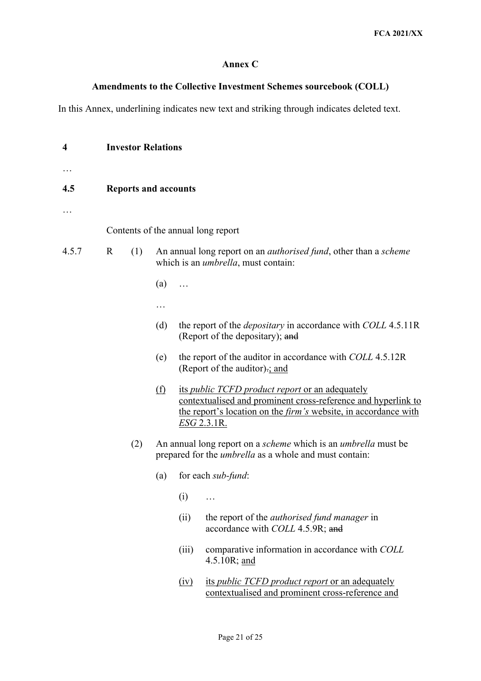## **Annex C**

## **Amendments to the Collective Investment Schemes sourcebook (COLL)**

In this Annex, underlining indicates new text and striking through indicates deleted text.

| 4     | <b>Investor Relations</b> |                             |                                    |       |                                                                                                                                                                                                                         |  |
|-------|---------------------------|-----------------------------|------------------------------------|-------|-------------------------------------------------------------------------------------------------------------------------------------------------------------------------------------------------------------------------|--|
|       |                           |                             |                                    |       |                                                                                                                                                                                                                         |  |
| 4.5   |                           | <b>Reports and accounts</b> |                                    |       |                                                                                                                                                                                                                         |  |
|       |                           |                             |                                    |       |                                                                                                                                                                                                                         |  |
|       |                           |                             | Contents of the annual long report |       |                                                                                                                                                                                                                         |  |
| 4.5.7 | $\mathbf R$               | (1)                         |                                    |       | An annual long report on an <i>authorised fund</i> , other than a <i>scheme</i><br>which is an <i>umbrella</i> , must contain:                                                                                          |  |
|       |                           |                             | (a)                                |       |                                                                                                                                                                                                                         |  |
|       |                           |                             | .                                  |       |                                                                                                                                                                                                                         |  |
|       |                           |                             | (d)                                |       | the report of the <i>depositary</i> in accordance with COLL 4.5.11R<br>(Report of the depositary); and                                                                                                                  |  |
|       |                           |                             | (e)                                |       | the report of the auditor in accordance with COLL 4.5.12R<br>(Report of the auditor): and                                                                                                                               |  |
|       |                           |                             | (f)                                |       | its <i>public TCFD product report</i> or an adequately<br>contextualised and prominent cross-reference and hyperlink to<br>the report's location on the <i>firm's</i> website, in accordance with<br><u>ESG 2.3.1R.</u> |  |
|       |                           | (2)                         |                                    |       | An annual long report on a <i>scheme</i> which is an <i>umbrella</i> must be<br>prepared for the <i>umbrella</i> as a whole and must contain:                                                                           |  |
|       |                           |                             | (a)                                |       | for each sub-fund:                                                                                                                                                                                                      |  |
|       |                           |                             |                                    | (i)   | .                                                                                                                                                                                                                       |  |
|       |                           |                             |                                    | (ii)  | the report of the <i>authorised</i> fund manager in<br>accordance with COLL 4.5.9R; and                                                                                                                                 |  |
|       |                           |                             |                                    | (iii) | comparative information in accordance with COLL<br>4.5.10R; and                                                                                                                                                         |  |
|       |                           |                             |                                    | (iy)  | its <i>public TCFD product report</i> or an adequately<br>contextualised and prominent cross-reference and                                                                                                              |  |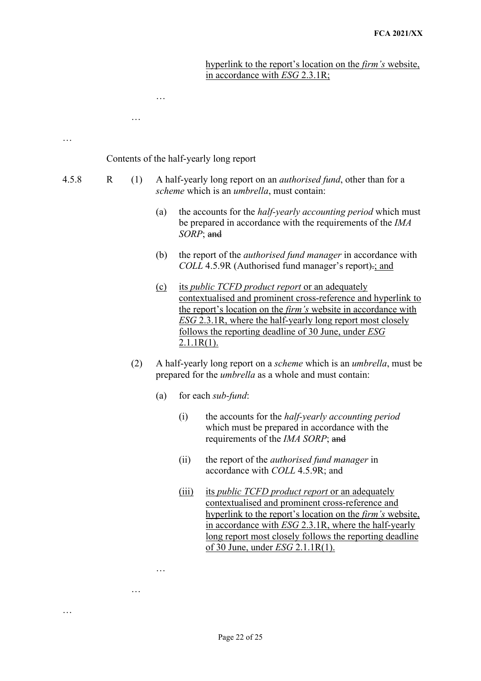hyperlink to the report's location on the *firm's* website, in accordance with *ESG* 2.3.1R;

| .     | Contents of the half-yearly long report |     |         |                                                                                                                                                                                                                                                                                                                                                       |                                                                                                                                                                                                                                                                                                                                              |  |
|-------|-----------------------------------------|-----|---------|-------------------------------------------------------------------------------------------------------------------------------------------------------------------------------------------------------------------------------------------------------------------------------------------------------------------------------------------------------|----------------------------------------------------------------------------------------------------------------------------------------------------------------------------------------------------------------------------------------------------------------------------------------------------------------------------------------------|--|
| 4.5.8 | $\mathbf R$                             | (1) |         |                                                                                                                                                                                                                                                                                                                                                       | A half-yearly long report on an <i>authorised fund</i> , other than for a<br>scheme which is an <i>umbrella</i> , must contain:                                                                                                                                                                                                              |  |
|       |                                         |     | (a)     | SORP; and                                                                                                                                                                                                                                                                                                                                             | the accounts for the <i>half-yearly accounting period</i> which must<br>be prepared in accordance with the requirements of the <i>IMA</i>                                                                                                                                                                                                    |  |
|       |                                         |     | (b)     |                                                                                                                                                                                                                                                                                                                                                       | the report of the <i>authorised fund manager</i> in accordance with<br>COLL 4.5.9R (Authorised fund manager's report) -; and                                                                                                                                                                                                                 |  |
|       |                                         |     | $\circ$ | its <i>public TCFD product report</i> or an adequately<br>contextualised and prominent cross-reference and hyperlink to<br>the report's location on the <i>firm's</i> website in accordance with<br><b>ESG 2.3.1R, where the half-yearly long report most closely</b><br><u>follows the reporting deadline of 30 June, under ESG</u><br>$2.1.1R(1)$ . |                                                                                                                                                                                                                                                                                                                                              |  |
|       |                                         | (2) |         | A half-yearly long report on a scheme which is an umbrella, must be<br>prepared for the <i>umbrella</i> as a whole and must contain:                                                                                                                                                                                                                  |                                                                                                                                                                                                                                                                                                                                              |  |
|       |                                         |     | (a)     |                                                                                                                                                                                                                                                                                                                                                       | for each sub-fund:                                                                                                                                                                                                                                                                                                                           |  |
|       |                                         |     |         | (i)                                                                                                                                                                                                                                                                                                                                                   | the accounts for the <i>half-yearly accounting period</i><br>which must be prepared in accordance with the<br>requirements of the IMA SORP; and                                                                                                                                                                                              |  |
|       |                                         |     |         | (ii)                                                                                                                                                                                                                                                                                                                                                  | the report of the <i>authorised fund manager</i> in<br>accordance with <i>COLL</i> 4.5.9R; and                                                                                                                                                                                                                                               |  |
|       |                                         |     |         | (iii)                                                                                                                                                                                                                                                                                                                                                 | its <i>public TCFD product report</i> or an adequately<br>contextualised and prominent cross-reference and<br>hyperlink to the report's location on the <i>firm's</i> website,<br>in accordance with ESG 2.3.1R, where the half-yearly<br>long report most closely follows the reporting deadline<br>of 30 June, under <i>ESG</i> 2.1.1R(1). |  |

…

…

…

…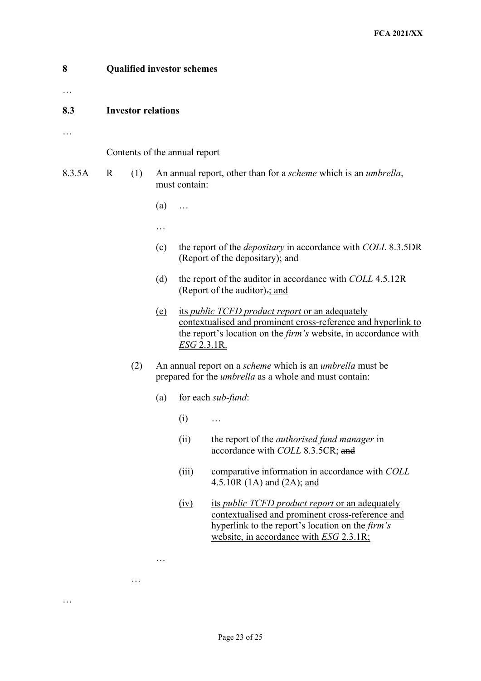| 8<br>. | <b>Qualified investor schemes</b> |     |            |                                                                                                                                                                                                                                                                                                                                                                                                                                       |                                                                                                                                                                                                                  |  |  |  |  |
|--------|-----------------------------------|-----|------------|---------------------------------------------------------------------------------------------------------------------------------------------------------------------------------------------------------------------------------------------------------------------------------------------------------------------------------------------------------------------------------------------------------------------------------------|------------------------------------------------------------------------------------------------------------------------------------------------------------------------------------------------------------------|--|--|--|--|
| 8.3    | <b>Investor relations</b>         |     |            |                                                                                                                                                                                                                                                                                                                                                                                                                                       |                                                                                                                                                                                                                  |  |  |  |  |
|        | Contents of the annual report     |     |            |                                                                                                                                                                                                                                                                                                                                                                                                                                       |                                                                                                                                                                                                                  |  |  |  |  |
| 8.3.5A | R                                 | (1) |            | An annual report, other than for a <i>scheme</i> which is an <i>umbrella</i> ,<br>must contain:                                                                                                                                                                                                                                                                                                                                       |                                                                                                                                                                                                                  |  |  |  |  |
|        |                                   |     | (a)        |                                                                                                                                                                                                                                                                                                                                                                                                                                       |                                                                                                                                                                                                                  |  |  |  |  |
|        |                                   |     | .          |                                                                                                                                                                                                                                                                                                                                                                                                                                       |                                                                                                                                                                                                                  |  |  |  |  |
|        |                                   |     | (c)        | the report of the <i>depositary</i> in accordance with <i>COLL</i> 8.3.5DR<br>(Report of the depositary); and<br>the report of the auditor in accordance with COLL 4.5.12R<br>(Report of the auditor): and<br>its <i>public TCFD product report</i> or an adequately<br>contextualised and prominent cross-reference and hyperlink to<br>the report's location on the <i>firm's</i> website, in accordance with<br><u>ESG 2.3.1R.</u> |                                                                                                                                                                                                                  |  |  |  |  |
|        |                                   |     | (d)        |                                                                                                                                                                                                                                                                                                                                                                                                                                       |                                                                                                                                                                                                                  |  |  |  |  |
|        |                                   |     | <u>(e)</u> |                                                                                                                                                                                                                                                                                                                                                                                                                                       |                                                                                                                                                                                                                  |  |  |  |  |
|        |                                   | (2) |            |                                                                                                                                                                                                                                                                                                                                                                                                                                       | An annual report on a <i>scheme</i> which is an <i>umbrella</i> must be<br>prepared for the <i>umbrella</i> as a whole and must contain:                                                                         |  |  |  |  |
|        |                                   | (a) |            |                                                                                                                                                                                                                                                                                                                                                                                                                                       | for each sub-fund:                                                                                                                                                                                               |  |  |  |  |
|        |                                   |     |            | (i)                                                                                                                                                                                                                                                                                                                                                                                                                                   |                                                                                                                                                                                                                  |  |  |  |  |
|        |                                   |     |            | (ii)                                                                                                                                                                                                                                                                                                                                                                                                                                  | the report of the <i>authorised fund manager</i> in<br>accordance with COLL 8.3.5CR; and                                                                                                                         |  |  |  |  |
|        |                                   |     |            | (iii)                                                                                                                                                                                                                                                                                                                                                                                                                                 | comparative information in accordance with COLL<br>4.5.10R $(1A)$ and $(2A)$ ; and                                                                                                                               |  |  |  |  |
|        |                                   |     |            | (iv)                                                                                                                                                                                                                                                                                                                                                                                                                                  | its <i>public TCFD product report</i> or an adequately<br>contextualised and prominent cross-reference and<br>hyperlink to the report's location on the <i>firm's</i><br>website, in accordance with ESG 2.3.1R; |  |  |  |  |

…

…

…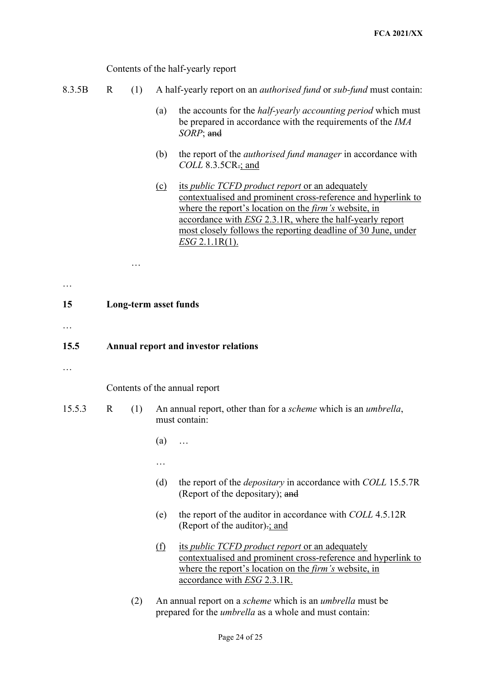Contents of the half-yearly report

|  |  |  | 8.3.5B R (1) A half-yearly report on an <i>authorised fund</i> or <i>sub-fund</i> must contain: |  |  |  |
|--|--|--|-------------------------------------------------------------------------------------------------|--|--|--|
|--|--|--|-------------------------------------------------------------------------------------------------|--|--|--|

- (a) the accounts for the *half-yearly accounting period* which must be prepared in accordance with the requirements of the *IMA SORP*; and
- (b) the report of the *authorised fund manager* in accordance with *COLL* 8.3.5CR.; and
- (c) its *public TCFD product report* or an adequately contextualised and prominent cross-reference and hyperlink to where the report's location on the *firm's* website, in accordance with *ESG* 2.3.1R, where the half-yearly report most closely follows the reporting deadline of 30 June, under *ESG* 2.1.1R(1).

…

## **15 Long-term asset funds**

…

…

## **15.5 Annual report and investor relations**

…

Contents of the annual report

- 15.5.3 R (1) An annual report, other than for a *scheme* which is an *umbrella*, must contain:
	- (a) …
	- …
	- (d) the report of the *depositary* in accordance with *COLL* 15.5.7R (Report of the depositary); and
	- (e) the report of the auditor in accordance with *COLL* 4.5.12R (Report of the auditor).; and
	- (f) its *public TCFD product report* or an adequately contextualised and prominent cross-reference and hyperlink to where the report's location on the *firm's* website, in accordance with *ESG* 2.3.1R.
	- (2) An annual report on a *scheme* which is an *umbrella* must be prepared for the *umbrella* as a whole and must contain: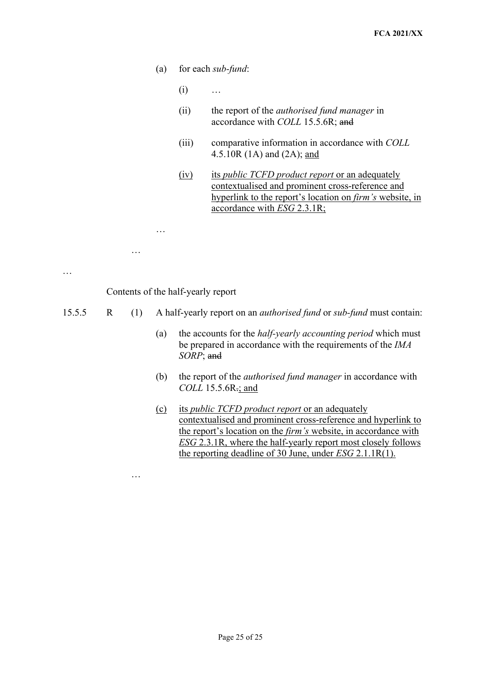- (a) for each *sub-fund*:
	- (i) …

…

…

- (ii) the report of the *authorised fund manager* in accordance with *COLL* 15.5.6R; and
- (iii) comparative information in accordance with *COLL*  4.5.10R (1A) and (2A); and
- (iv) its *public TCFD product report* or an adequately contextualised and prominent cross-reference and hyperlink to the report's location on *firm's* website, in accordance with *ESG* 2.3.1R;

… … Contents of the half-yearly report 15.5.5 R (1) A half-yearly report on an *authorised fund* or *sub-fund* must contain: (a) the accounts for the *half-yearly accounting period* which must be prepared in accordance with the requirements of the *IMA SORP*; and (b) the report of the *authorised fund manager* in accordance with *COLL* 15.5.6R.; and

> (c) its *public TCFD product report* or an adequately contextualised and prominent cross-reference and hyperlink to the report's location on the *firm's* website, in accordance with *ESG* 2.3.1R, where the half-yearly report most closely follows the reporting deadline of 30 June, under *ESG* 2.1.1R(1).